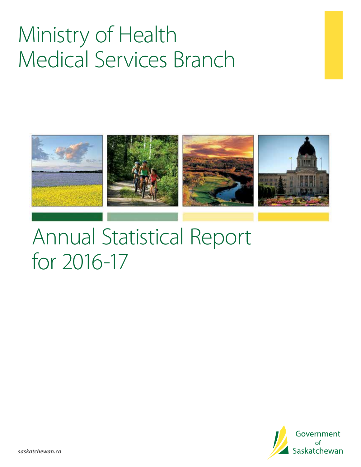# Ministry of Health Medical Services Branch



# Annual Statistical Report for 2016-17

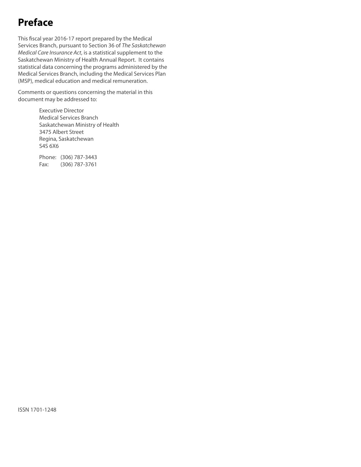## **Preface**

This fiscal year 2016-17 report prepared by the Medical Services Branch, pursuant to Section 36 of *The Saskatchewan Medical Care Insurance Act*, is a statistical supplement to the Saskatchewan Ministry of Health Annual Report. It contains statistical data concerning the programs administered by the Medical Services Branch, including the Medical Services Plan (MSP), medical education and medical remuneration.

Comments or questions concerning the material in this document may be addressed to:

> Executive Director Medical Services Branch Saskatchewan Ministry of Health 3475 Albert Street Regina, Saskatchewan S4S 6X6

Phone: (306) 787-3443 Fax: (306) 787-3761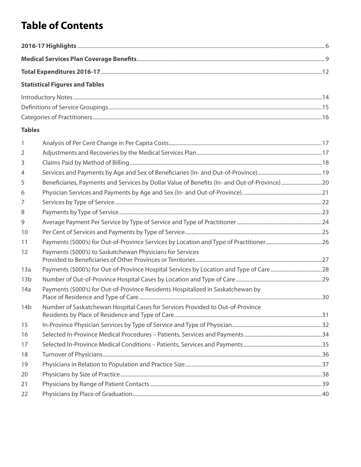# **Table of Contents**

|                 | <b>Statistical Figures and Tables</b>                                                         |  |
|-----------------|-----------------------------------------------------------------------------------------------|--|
|                 |                                                                                               |  |
|                 |                                                                                               |  |
|                 |                                                                                               |  |
| <b>Tables</b>   |                                                                                               |  |
| $\mathbf{1}$    |                                                                                               |  |
| $\overline{2}$  |                                                                                               |  |
| 3               |                                                                                               |  |
| $\overline{4}$  |                                                                                               |  |
| 5               | Beneficiaries, Payments and Services by Dollar Value of Benefits (In- and Out-of-Province) 20 |  |
| 6               |                                                                                               |  |
| $\overline{7}$  |                                                                                               |  |
| 8               |                                                                                               |  |
| 9               |                                                                                               |  |
| 10              |                                                                                               |  |
| 11              |                                                                                               |  |
| 12              | Payments (\$000's) to Saskatchewan Physicians for Services                                    |  |
| 13a             |                                                                                               |  |
| 13 <sub>b</sub> |                                                                                               |  |
| 14a             | Payments (\$000's) for Out-of-Province Residents Hospitalized in Saskatchewan by              |  |
| 14 <sub>b</sub> | Number of Saskatchewan Hospital Cases for Services Provided to Out-of-Province                |  |
| 15              |                                                                                               |  |
| 16              |                                                                                               |  |

 Selected In-Province Medical Conditions – Patients, Services and Payments...........................................................35 Turnover of Physicians...................................................................................................................................................................36 Physicians in Relation to Population and Practice Size......................................................................................................37 Physicians by Size of Practice......................................................................................................................................................38 Physicians by Range of Patient Contacts................................................................................................................................39 Physicians by Place of Graduation.............................................................................................................................................40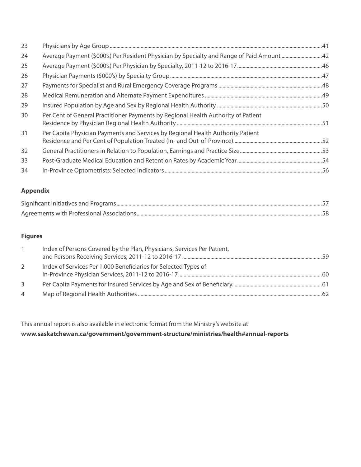| 23 |                                                                                   |
|----|-----------------------------------------------------------------------------------|
| 24 |                                                                                   |
| 25 |                                                                                   |
| 26 |                                                                                   |
| 27 |                                                                                   |
| 28 |                                                                                   |
| 29 |                                                                                   |
| 30 | Per Cent of General Practitioner Payments by Regional Health Authority of Patient |
| 31 | Per Capita Physician Payments and Services by Regional Health Authority Patient   |
| 32 |                                                                                   |
| 33 |                                                                                   |
| 34 |                                                                                   |
|    |                                                                                   |

#### **Appendix**

#### **Figures**

|   | Index of Persons Covered by the Plan, Physicians, Services Per Patient, |
|---|-------------------------------------------------------------------------|
|   | Index of Services Per 1,000 Beneficiaries for Selected Types of<br>60   |
| 3 |                                                                         |
| 4 |                                                                         |

This annual report is also available in electronic format from the Ministry's website at **www.saskatchewan.ca/government/government-structure/ministries/health#annual-reports**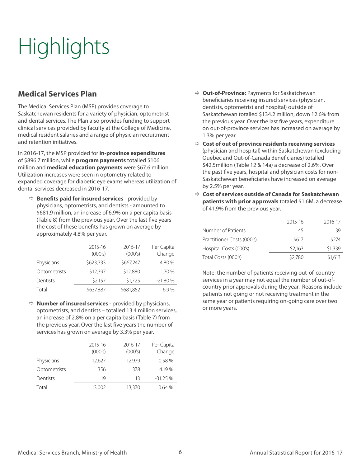# **Highlights**

### **Medical Services Plan**

The Medical Services Plan (MSP) provides coverage to Saskatchewan residents for a variety of physician, optometrist and dental services. The Plan also provides funding to support clinical services provided by faculty at the College of Medicine, medical resident salaries and a range of physician recruitment and retention initiatives.

In 2016-17, the MSP provided for **in-province expenditures** of \$896.7 million, while **program payments** totalled \$106 million and **medical education payments** were \$67.6 million. Utilization increases were seen in optometry related to expanded coverage for diabetic eye exams whereas utilization of dental services decreased in 2016-17.

Ö **Benefits paid for insured services** - provided by physicians, optometrists, and dentists - amounted to \$681.9 million, an increase of 6.9% on a per capita basis (Table 8) from the previous year. Over the last five years the cost of these benefits has grown on average by approximately 4.8% per year.

|              | 2015-16<br>(000's) | 2016-17<br>(000's) | Per Capita<br>Change |
|--------------|--------------------|--------------------|----------------------|
| Physicians   | \$623,333          | \$667,247          | 4.80 %               |
| Optometrists | \$12,397           | \$12,880           | 1.70 %               |
| Dentists     | \$2,157            | \$1,725            | $-21.80%$            |
| Total        | \$637,887          | \$681,852          | 6.9%                 |

Ö **Number of insured services** - provided by physicians, optometrists, and dentists – totalled 13.4 million services, an increase of 2.8% on a per capita basis (Table 7) from the previous year. Over the last five years the number of services has grown on average by 3.3% per year.

|              | 2015-16<br>(000's) | 2016-17<br>(000's) | Per Capita<br>Change |
|--------------|--------------------|--------------------|----------------------|
| Physicians   | 12,627             | 12.979             | 0.58%                |
| Optometrists | 356                | 378                | 4.19%                |
| Dentists     | 19                 | 13                 | $-31.25%$            |
| Total        | 13,002             | 13,370             | 0.64%                |

- Ö **Out-of-Province:** Payments for Saskatchewan beneficiaries receiving insured services (physician, dentists, optometrist and hospital) outside of Saskatchewan totalled \$134.2 million, down 12.6% from the previous year. Over the last five years, expenditure on out-of-province services has increased on average by 1.3% per year.
- Ö **Cost of out of province residents receiving services**  (physician and hospital) within Saskatchewan (excluding Quebec and Out-of-Canada Beneficiaries) totalled \$42.5million (Table 12 & 14a) a decrease of 2.6%. Over the past five years, hospital and physician costs for non-Saskatchewan beneficiaries have increased on average by 2.5% per year.
- Ö **Cost of services outside of Canada for Saskatchewan patients with prior approvals** totaled \$1.6M, a decrease of 41.9% from the previous year.

|                            | 2015-16 | 2016-17 |
|----------------------------|---------|---------|
| Number of Patients         | 45      | 39      |
| Practitioner Costs (000's) | \$617   | \$274   |
| Hospital Costs (000's)     | \$2.163 | \$1,339 |
| Total Costs (000's)        | \$2,780 | \$1,613 |

Note: the number of patients receiving out-of-country services in a year may not equal the number of out-ofcountry prior approvals during the year. Reasons include patients not going or not receiving treatment in the same year or patients requiring on-going care over two or more years.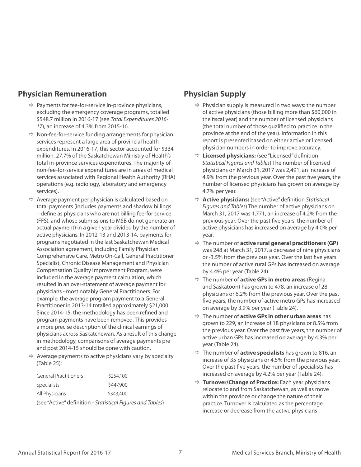### **Physician Remuneration**

- $\Rightarrow$  Payments for fee-for-service in-province physicians, excluding the emergency coverage programs, totalled \$548.7 million in 2016-17 (see *Total Expenditures 2016- 17*), an increase of 4.3% from 2015-16.
- $\Rightarrow$  Non-fee-for-service funding arrangements for physician services represent a large area of provincial health expenditures. In 2016-17, this sector accounted for \$334 million, 27.7% of the Saskatchewan Ministry of Health's total in-province services expenditures. The majority of non-fee-for-service expenditures are in areas of medical services associated with Regional Health Authority (RHA) operations (e.g. radiology, laboratory and emergency services).
- $\Rightarrow$  Average payment per physician is calculated based on total payments (includes payments and shadow billings – define as physicians who are not billing fee-for service (FFS), and whose submissions to MSB do not generate an actual payment) in a given year divided by the number of active physicians. In 2012-13 and 2013-14, payments for programs negotiated in the last Saskatchewan Medical Association agreement, including Family Physician Comprehensive Care, Metro On-Call, General Practitioner Specialist, Chronic Disease Management and Physician Compensation Quality Improvement Program, were included in the average payment calculation, which resulted in an over-statement of average payment for physicians - most notably General Practitioners. For example, the average program payment to a General Practitioner in 2013-14 totalled approximately \$21,000. Since 2014-15, the methodology has been refined and program payments have been removed. This provides a more precise description of the clinical earnings of physicians across Saskatchewan. As a result of this change in methodology, comparisons of average payments pre and post 2014-15 should be done with caution.
- $\Rightarrow$  Average payments to active physicians vary by specialty (Table 25):

| <b>General Practitioners</b>                               | \$254,100 |  |  |
|------------------------------------------------------------|-----------|--|--|
| <b>Specialists</b>                                         | \$447,900 |  |  |
| All Physicians                                             | \$343,400 |  |  |
| (see "Active" definition - Statistical Figures and Tables) |           |  |  |

### **Physician Supply**

- $\Rightarrow$  Physician supply is measured in two ways: the number of active physicians (those billing more than \$60,000 in the fiscal year) and the number of licensed physicians (the total number of those qualified to practice in the province at the end of the year). Information in this report is presented based on either active or licensed physician numbers in order to improve accuracy.
- Ö **Licensed physicians:** (see "Licensed" definition *Statistical Figures and Tables*) The number of licensed physicians on March 31, 2017 was 2,491, an increase of 4.9% from the previous year. Over the past five years, the number of licensed physicians has grown on average by 4.7% per year.
- Ö **Active physicians:** (see "Active" definition *Statistical Figures and Tables*) The number of active physicians on March 31, 2017 was 1,771, an increase of 4.2% from the previous year. Over the past five years, the number of active physicians has increased on average by 4.0% per year.
- Ö The number of **active rural general practitioners (GP)** was 248 at March 31, 2017, a decrease of nine physicians or -3.5% from the previous year. Over the last five years the number of active rural GPs has increased on average by 4.4% per year (Table 24).
- Ö The number of **active GPs in metro areas** (Regina and Saskatoon) has grown to 478, an increase of 28 physicians or 6.2% from the previous year. Over the past five years, the number of active metro GPs has increased on average by 3.9% per year (Table 24).
- Ö The number of **active GPs in other urban areas** has grown to 229, an increase of 18 physicians or 8.5% from the previous year. Over the past five years, the number of active urban GPs has increased on average by 4.3% per year (Table 24).
- Ö The number of **active specialists** has grown to 816, an increase of 35 physicians or 4.5% from the previous year. Over the past five years, the number of specialists has increased on average by 4.2% per year (Table 24).
- Ö **Turnover/Change of Practice:** Each year physicians relocate to and from Saskatchewan, as well as move within the province or change the nature of their practice. Turnover is calculated as the percentage increase or decrease from the active physicians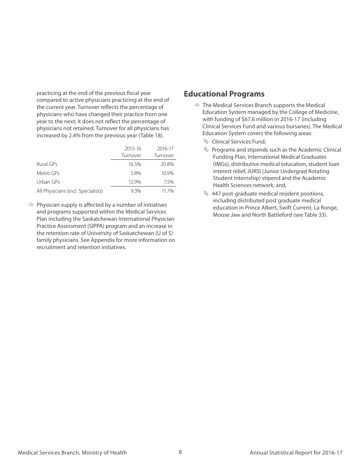practicing at the end of the previous fiscal year compared to active physicians practicing at the end of the current year. Turnover reflects the percentage of physicians who have changed their practice from one year to the next; it does not reflect the percentage of physicians not retained. Turnover for all physicians has increased by 2.4% from the previous year (Table 18).

|                                    | 2015-16  | 2016-17  |
|------------------------------------|----------|----------|
|                                    | Turnover | Turnover |
| Rural GPs                          | 16.5%    | 20.8%    |
| Metro GPs                          | 5.8%     | 10.9%    |
| Urban GPs                          | 12.9%    | 75%      |
| All Physicians (incl. Specialists) | 9.3%     | 117%     |

 $\Rightarrow$  Physician supply is affected by a number of initiatives and programs supported within the Medical Services Plan including the Saskatchewan International Physician Practice Assessment (SIPPA) program and an increase in the retention rate of University of Saskatchewan (U of S) family physicians. See Appendix for more information on recruitment and retention initiatives.

#### **Educational Programs**

- $\Rightarrow$  The Medical Services Branch supports the Medical Education System managed by the College of Medicine, with funding of \$67.6 million in 2016-17 (including Clinical Services Fund and various bursaries). The Medical Education System covers the following areas:
	- $\%$  Clinical Services Fund:
	- $\%$  Programs and stipends such as the Academic Clinical Funding Plan, International Medical Graduates (IMGs), distributive medical education, student loan interest relief, JURSI (Junior Undergrad Rotating Student Internship) stipend and the Academic Health Sciences network; and,
	- $\%$  447 post-graduate medical resident positions, including distributed post graduate medical education in Prince Albert, Swift Current, La Ronge, Moose Jaw and North Battleford (see Table 33).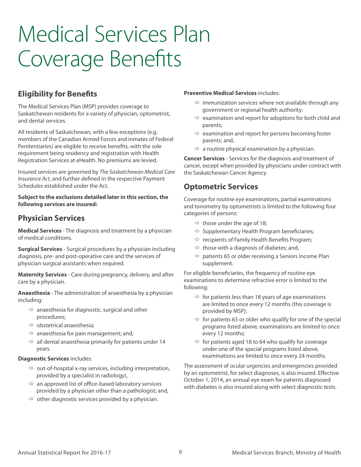# Medical Services Plan Coverage Benefits

### **Eligibility for Benefits**

The Medical Services Plan (MSP) provides coverage to Saskatchewan residents for a variety of physician, optometrist, and dental services.

All residents of Saskatchewan, with a few exceptions (e.g. members of the Canadian Armed Forces and inmates of Federal Penitentiaries) are eligible to receive benefits, with the sole requirement being residency and registration with Health Registration Services at eHealth. No premiums are levied.

Insured services are governed by *The Saskatchewan Medical Care Insurance Act*, and further defined in the respective Payment Schedules established under the Act.

**Subject to the exclusions detailed later in this section, the following services are insured:**

### **Physician Services**

**Medical Services** - The diagnosis and treatment by a physician of medical conditions.

**Surgical Services** - Surgical procedures by a physician including diagnosis, pre- and post-operative care and the services of physician surgical assistants when required.

**Maternity Services** - Care during pregnancy, delivery, and after care by a physician.

**Anaesthesia** - The administration of anaesthesia by a physician including:

- $\Rightarrow$  anaesthesia for diagnostic, surgical and other procedures;
- $\Rightarrow$  obstetrical anaesthesia;
- $\Rightarrow$  anaesthesia for pain management; and,
- $\Rightarrow$  all dental anaesthesia primarily for patients under 14 years.

#### **Diagnostic Services** includes:

- $\Rightarrow$  out-of-hospital x-ray services, including interpretation, provided by a specialist in radiology),
- $\Rightarrow$  an approved list of office-based laboratory services provided by a physician other than a pathologist; and,
- $\Rightarrow$  other diagnostic services provided by a physician.

#### **Preventive Medical Services** includes:

- $\Rightarrow$  immunization services where not available through any government or regional health authority;
- $\Rightarrow$  examination and report for adoptions for both child and parents;
- $\Rightarrow$  examination and report for persons becoming foster parents; and,
- $\Rightarrow$  a routine physical examination by a physician.

**Cancer Services** - Services for the diagnosis and treatment of cancer, except when provided by physicians under contract with the Saskatchewan Cancer Agency.

### **Optometric Services**

Coverage for routine eye examinations, partial examinations and tonometry by optometrists is limited to the following four categories of persons:

- $\Rightarrow$  those under the age of 18;
- $\Rightarrow$  Supplementary Health Program beneficiaries;
- $\Rightarrow$  recipients of Family Health Benefits Program;
- $\Rightarrow$  those with a diagnosis of diabetes; and,
- $\Rightarrow$  patients 65 or older receiving a Seniors Income Plan supplement.

For eligible beneficiaries, the frequency of routine eye examinations to determine refractive error is limited to the following:

- $\Rightarrow$  for patients less than 18 years of age examinations are limited to once every 12 months (this coverage is provided by MSP);
- $\Rightarrow$  for patients 65 or older who qualify for one of the special programs listed above, examinations are limited to once every 12 months;
- $\Rightarrow$  for patients aged 18 to 64 who qualify for coverage under one of the special programs listed above, examinations are limited to once every 24 months.

The assessment of ocular urgencies and emergencies provided by an optometrist, for select diagnoses, is also insured. Effective October 1, 2014, an annual eye exam for patients diagnosed with diabetes is also insured along with select diagnostic tests.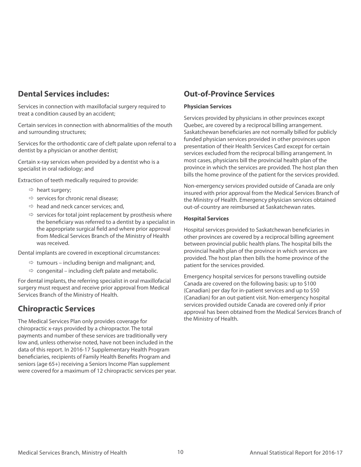### **Dental Services includes:**

Services in connection with maxillofacial surgery required to treat a condition caused by an accident;

Certain services in connection with abnormalities of the mouth and surrounding structures;

Services for the orthodontic care of cleft palate upon referral to a dentist by a physician or another dentist;

Certain x-ray services when provided by a dentist who is a specialist in oral radiology; and

Extraction of teeth medically required to provide:

- $\Rightarrow$  heart surgery;
- $\Rightarrow$  services for chronic renal disease;
- $\Rightarrow$  head and neck cancer services; and,
- $\Rightarrow$  services for total joint replacement by prosthesis where the beneficiary was referred to a dentist by a specialist in the appropriate surgical field and where prior approval from Medical Services Branch of the Ministry of Health was received.

Dental implants are covered in exceptional circumstances:

- $\Rightarrow$  tumours including benign and malignant; and,
- $\Rightarrow$  congenital including cleft palate and metabolic.

For dental implants, the referring specialist in oral maxillofacial surgery must request and receive prior approval from Medical Services Branch of the Ministry of Health.

#### **Chiropractic Services**

The Medical Services Plan only provides coverage for chiropractic x-rays provided by a chiropractor. The total payments and number of these services are traditionally very low and, unless otherwise noted, have not been included in the data of this report. In 2016-17 Supplementary Health Program beneficiaries, recipients of Family Health Benefits Program and seniors (age 65+) receiving a Seniors Income Plan supplement were covered for a maximum of 12 chiropractic services per year.

#### **Out-of-Province Services**

#### **Physician Services**

Services provided by physicians in other provinces except Quebec, are covered by a reciprocal billing arrangement. Saskatchewan beneficiaries are not normally billed for publicly funded physician services provided in other provinces upon presentation of their Health Services Card except for certain services excluded from the reciprocal billing arrangement. In most cases, physicians bill the provincial health plan of the province in which the services are provided. The host plan then bills the home province of the patient for the services provided.

Non-emergency services provided outside of Canada are only insured with prior approval from the Medical Services Branch of the Ministry of Health. Emergency physician services obtained out-of-country are reimbursed at Saskatchewan rates.

#### **Hospital Services**

Hospital services provided to Saskatchewan beneficiaries in other provinces are covered by a reciprocal billing agreement between provincial public health plans. The hospital bills the provincial health plan of the province in which services are provided. The host plan then bills the home province of the patient for the services provided.

Emergency hospital services for persons travelling outside Canada are covered on the following basis: up to \$100 (Canadian) per day for in-patient services and up to \$50 (Canadian) for an out-patient visit. Non-emergency hospital services provided outside Canada are covered only if prior approval has been obtained from the Medical Services Branch of the Ministry of Health.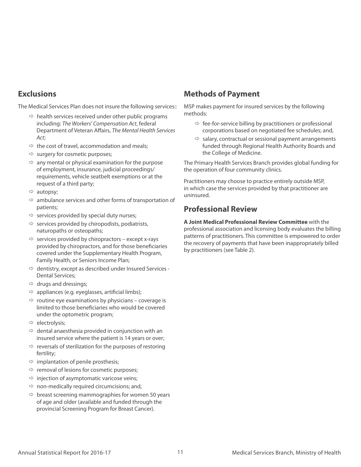#### **Exclusions**

The Medical Services Plan does not insure the following services::

- $\Rightarrow$  health services received under other public programs including: *The Workers' Compensation Act*, federal Department of Veteran Affairs, *The Mental Health Services Act*;
- $\Rightarrow$  the cost of travel, accommodation and meals;
- $\Rightarrow$  surgery for cosmetic purposes;
- $\Rightarrow$  any mental or physical examination for the purpose of employment, insurance, judicial proceedings/ requirements, vehicle seatbelt exemptions or at the request of a third party;
- $\Rightarrow$  autopsy;
- $\Rightarrow$  ambulance services and other forms of transportation of patients;
- $\Rightarrow$  services provided by special duty nurses;
- $\Rightarrow$  services provided by chiropodists, podiatrists, naturopaths or osteopaths;
- $\Rightarrow$  services provided by chiropractors except x-rays provided by chiropractors, and for those beneficiaries covered under the Supplementary Health Program, Family Health, or Seniors Income Plan;
- $\Rightarrow$  dentistry, except as described under Insured Services -Dental Services;
- $\Rightarrow$  drugs and dressings;
- $\Rightarrow$  appliances (e.g. eyeglasses, artificial limbs);
- $\Rightarrow$  routine eye examinations by physicians coverage is limited to those beneficiaries who would be covered under the optometric program;
- $\Rightarrow$  electrolysis;
- $\Rightarrow$  dental anaesthesia provided in conjunction with an insured service where the patient is 14 years or over;
- $\Rightarrow$  reversals of sterilization for the purposes of restoring fertility;
- $\Rightarrow$  implantation of penile prosthesis;
- $\Rightarrow$  removal of lesions for cosmetic purposes;
- $\Rightarrow$  injection of asymptomatic varicose veins;
- $\Rightarrow$  non-medically required circumcisions; and,
- $\Rightarrow$  breast screening mammographies for women 50 years of age and older (available and funded through the provincial Screening Program for Breast Cancer).

### **Methods of Payment**

MSP makes payment for insured services by the following methods:

- $\Rightarrow$  fee-for-service billing by practitioners or professional corporations based on negotiated fee schedules; and,
- $\Rightarrow$  salary, contractual or sessional payment arrangements funded through Regional Health Authority Boards and the College of Medicine.

The Primary Health Services Branch provides global funding for the operation of four community clinics.

Practitioners may choose to practice entirely outside MSP, in which case the services provided by that practitioner are uninsured.

#### **Professional Review**

**A Joint Medical Professional Review Committee** with the professional association and licensing body evaluates the billing patterns of practitioners. This committee is empowered to order the recovery of payments that have been inappropriately billed by practitioners (see Table 2).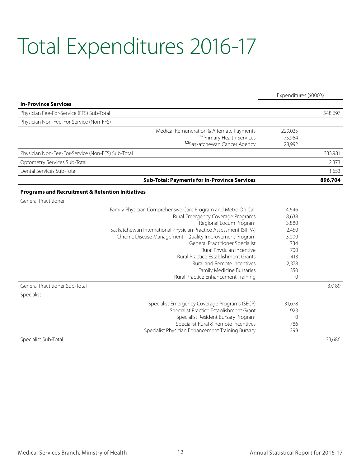# Total Expenditures 2016-17

|                                                                  | Expenditures (\$000's) |         |
|------------------------------------------------------------------|------------------------|---------|
| <b>In-Province Services</b>                                      |                        |         |
| Physician Fee-For-Service (FFS) Sub-Total                        |                        | 548,697 |
| Physician Non-Fee-For-Service (Non-FFS)                          |                        |         |
| Medical Remuneration & Alternate Payments                        | 229,025                |         |
| <sup>1,2</sup> Primary Health Services                           | 75,964                 |         |
| 1,2Saskatchewan Cancer Agency                                    | 28,992                 |         |
| Physician Non-Fee-For-Service (Non-FFS) Sub-Total                |                        | 333,981 |
| Optometry Services Sub-Total                                     |                        | 12,373  |
| Dental Services Sub-Total                                        |                        | 1,653   |
| <b>Sub-Total: Payments for In-Province Services</b>              |                        | 896,704 |
| <b>Programs and Recruitment &amp; Retention Initiatives</b>      |                        |         |
| <b>General Practitioner</b>                                      |                        |         |
| Family Physician Comprehensive Care Program and Metro On Call    | 14,646                 |         |
| Rural Emergency Coverage Programs                                | 8,638                  |         |
| Regional Locum Program                                           | 3,880                  |         |
| Saskatchewan International Physician Practice Assessment (SIPPA) | 2,450                  |         |
| Chronic Disease Management - Quality Improvement Program         | 3,000                  |         |
| <b>General Practitioner Specialist</b>                           | 734                    |         |
| Rural Physician Incentive                                        | 700                    |         |
| Rural Practice Establishment Grants                              | 413                    |         |
| Rural and Remote Incentives                                      | 2,378                  |         |
| Family Medicine Bursaries                                        | 350                    |         |
| Rural Practice Enhancement Training                              | $\Omega$               |         |
| General Practitioner Sub-Total                                   |                        | 37,189  |
| Specialist                                                       |                        |         |
| Specialist Emergency Coverage Programs (SECP)                    | 31,678                 |         |
| Specialist Practice Establishment Grant                          | 923                    |         |
| Specialist Resident Bursary Program                              | $\overline{0}$         |         |
| Specialist Rural & Remote Incentives                             | 786                    |         |
| Specialist Physician Enhancement Training Bursary                | 299                    |         |
| Specialist Sub-Total                                             |                        | 33,686  |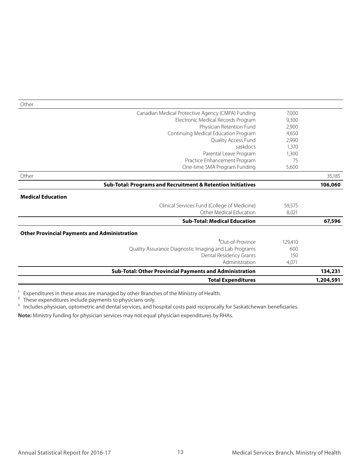| <b>Total Expenditures</b>                                                |                | 1,204,591 |
|--------------------------------------------------------------------------|----------------|-----------|
| Sub-Total: Other Provincial Payments and Administration                  |                | 134,231   |
| Administration                                                           | 4,071          |           |
| Dental Residency Grants                                                  | 150            |           |
| Quality Assurance Diagnostic Imaging and Lab Programs                    | 600            |           |
| 30ut-of-Province                                                         | 129,410        |           |
| <b>Other Provincial Payments and Administration</b>                      |                |           |
| <b>Sub-Total: Medical Education</b>                                      |                | 67,596    |
| Other Medical Education                                                  | 8,021          |           |
| <b>Medical Education</b><br>Clinical Services Fund (College of Medicine) | 59,575         |           |
| Sub-Total: Programs and Recruitment & Retention Initiatives              |                | 106,060   |
| Other                                                                    |                | 35,185    |
| One-time SMA Program Funding                                             | 5,600          |           |
| Practice Enhancement Program                                             | 75             |           |
| Parental Leave Program                                                   | 1,300          |           |
| saskdocs                                                                 | 1,370          |           |
| Continuing Medical Education Program<br>Quality Access Fund              | 4,650<br>2,990 |           |
| Physician Retention Fund                                                 | 2,900          |           |
| Electronic Medical Records Program                                       | 9,300          |           |
| Canadian Medical Protective Agency (CMPA) Funding                        | 7,000          |           |

1 Expenditures in these areas are managed by other Branches of the Ministry of Health.

<sup>2</sup> These expenditures include payments to physicians only.

<sup>3</sup> Includes physician, optometric and dental services, and hospital costs paid reciprocally for Saskatchewan beneficiaries.

**Note:** Ministry funding for physician services may not equal physician expenditures by RHAs.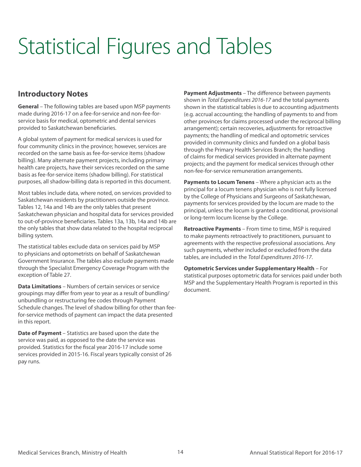# Statistical Figures and Tables

### **Introductory Notes**

**General** – The following tables are based upon MSP payments made during 2016-17 on a fee-for-service and non-fee-forservice basis for medical, optometric and dental services provided to Saskatchewan beneficiaries.

A global system of payment for medical services is used for four community clinics in the province; however, services are recorded on the same basis as fee-for-service items (shadow billing). Many alternate payment projects, including primary health care projects, have their services recorded on the same basis as fee-for-service items (shadow billing). For statistical purposes, all shadow-billing data is reported in this document.

Most tables include data, where noted, on services provided to Saskatchewan residents by practitioners outside the province. Tables 12, 14a and 14b are the only tables that present Saskatchewan physician and hospital data for services provided to out-of-province beneficiaries. Tables 13a, 13b, 14a and 14b are the only tables that show data related to the hospital reciprocal billing system.

The statistical tables exclude data on services paid by MSP to physicians and optometrists on behalf of Saskatchewan Government Insurance. The tables also exclude payments made through the Specialist Emergency Coverage Program with the exception of Table 27.

**Data Limitations** – Numbers of certain services or service groupings may differ from year to year as a result of bundling/ unbundling or restructuring fee codes through Payment Schedule changes. The level of shadow billing for other than feefor-service methods of payment can impact the data presented in this report.

**Date of Payment** – Statistics are based upon the date the service was paid, as opposed to the date the service was provided. Statistics for the fiscal year 2016-17 include some services provided in 2015-16. Fiscal years typically consist of 26 pay runs.

**Payment Adjustments** – The difference between payments shown in *Total Expenditures 2016-17* and the total payments shown in the statistical tables is due to accounting adjustments (e.g. accrual accounting; the handling of payments to and from other provinces for claims processed under the reciprocal billing arrangement); certain recoveries, adjustments for retroactive payments; the handling of medical and optometric services provided in community clinics and funded on a global basis through the Primary Health Services Branch; the handling of claims for medical services provided in alternate payment projects; and the payment for medical services through other non-fee-for-service remuneration arrangements.

**Payments to Locum Tenens** – Where a physician acts as the principal for a locum tenens physician who is not fully licensed by the College of Physicians and Surgeons of Saskatchewan, payments for services provided by the locum are made to the principal, unless the locum is granted a conditional, provisional or long-term locum license by the College.

**Retroactive Payments** – From time to time, MSP is required to make payments retroactively to practitioners, pursuant to agreements with the respective professional associations. Any such payments, whether included or excluded from the data tables, are included in the *Total Expenditures 2016-17*.

**Optometric Services under Supplementary Health** – For statistical purposes optometric data for services paid under both MSP and the Supplementary Health Program is reported in this document.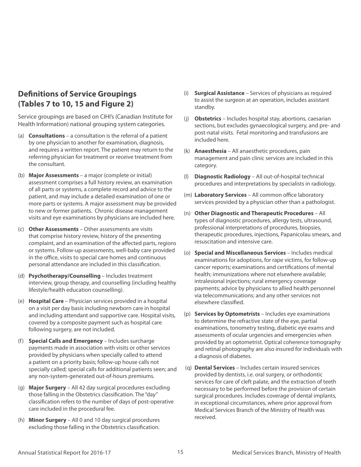### **Definitions of Service Groupings (Tables 7 to 10, 15 and Figure 2)**

Service groupings are based on CIHI's (Canadian Institute for Health Information) national grouping system categories.

- (a) **Consultations** a consultation is the referral of a patient by one physician to another for examination, diagnosis, and requires a written report. The patient may return to the referring physician for treatment or receive treatment from the consultant.
- (b) **Major Assessments** a major (complete or initial) assessment comprises a full history review, an examination of all parts or systems, a complete record and advice to the patient, and may include a detailed examination of one or more parts or systems. A major assessment may be provided to new or former patients. Chronic disease management visits and eye examinations by physicians are included here.
- (c) **Other Assessments** Other assessments are visits that comprise history review, history of the presenting complaint, and an examination of the affected parts, regions or systems. Follow-up assessments, well-baby care provided in the office, visits to special care homes and continuous personal attendance are included in this classification.
- (d) **Psychotherapy/Counselling** Includes treatment interview, group therapy, and counselling (including healthy lifestyle/health education counselling).
- (e) **Hospital Care** Physician services provided in a hospital on a visit per day basis including newborn care in hospital and including attendant and supportive care. Hospital visits, covered by a composite payment such as hospital care following surgery, are not included.
- (f) **Special Calls and Emergency** Includes surcharge payments made in association with visits or other services provided by physicians when specially called to attend a patient on a priority basis; follow-up house calls not specially called; special calls for additional patients seen; and any non-system-generated out-of-hours premiums.
- (g) **Major Surgery** All 42 day surgical procedures excluding those falling in the Obstetrics classification. The "day" classification refers to the number of days of post-operative care included in the procedural fee.
- (h) **Minor Surgery** All 0 and 10 day surgical procedures excluding those falling in the Obstetrics classification.
- (i) **Surgical Assistance** Services of physicians as required to assist the surgeon at an operation, includes assistant standby.
- (j) **Obstetrics** Includes hospital stay, abortions, caesarian sections, but excludes gynaecological surgery, and pre- and post-natal visits. Fetal monitoring and transfusions are included here.
- (k) **Anaesthesia** All anaesthetic procedures, pain management and pain clinic services are included in this category.
- (l) **Diagnostic Radiology** All out-of-hospital technical procedures and interpretations by specialists in radiology.
- (m) **Laboratory Services** All common office laboratory services provided by a physician other than a pathologist.
- (n) **Other Diagnostic and Therapeutic Procedures** All types of diagnostic procedures, allergy tests, ultrasound, professional interpretations of procedures, biopsies, therapeutic procedures, injections, Papanicolau smears, and resuscitation and intensive care.
- (o) **Special and Miscellaneous Services** Includes medical examinations for adoptions, for rape victims, for follow-up cancer reports; examinations and certifications of mental health; immunizations where not elsewhere available; intralesional injections; rural emergency coverage payments; advice by physicians to allied health personnel via telecommunications; and any other services not elsewhere classified.
- (p) **Services by Optometrists** Includes eye examinations to determine the refractive state of the eye, partial examinations, tonometry testing, diabetic eye exams and assessments of ocular urgencies and emergencies when provided by an optometrist. Optical coherence tomography and retinal photography are also insured for individuals with a diagnosis of diabetes.
- (q) **Dental Services** Includes certain insured services provided by dentists, i.e. oral surgery, or orthodontic services for care of cleft palate, and the extraction of teeth necessary to be performed before the provision of certain surgical procedures. Includes coverage of dental implants, in exceptional circumstances, where prior approval from Medical Services Branch of the Ministry of Health was received.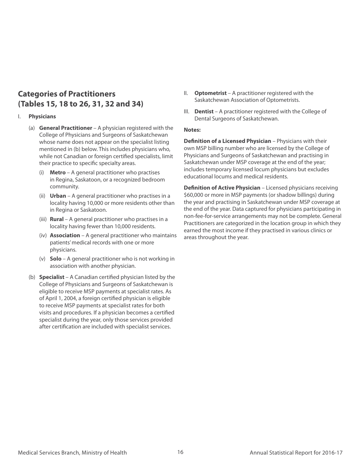### **Categories of Practitioners (Tables 15, 18 to 26, 31, 32 and 34)**

#### I. **Physicians**

- (a) **General Practitioner**  A physician registered with the College of Physicians and Surgeons of Saskatchewan whose name does not appear on the specialist listing mentioned in (b) below. This includes physicians who, while not Canadian or foreign certified specialists, limit their practice to specific specialty areas.
	- (i) **Metro** A general practitioner who practises in Regina, Saskatoon, or a recognized bedroom community.
	- (ii) **Urban** A general practitioner who practises in a locality having 10,000 or more residents other than in Regina or Saskatoon.
	- (iii) **Rural** A general practitioner who practises in a locality having fewer than 10,000 residents.
	- (iv) **Association** A general practitioner who maintains patients' medical records with one or more physicians.
	- (v) **Solo** A general practitioner who is not working in association with another physician.
- (b) **Specialist**  A Canadian certified physician listed by the College of Physicians and Surgeons of Saskatchewan is eligible to receive MSP payments at specialist rates. As of April 1, 2004, a foreign certified physician is eligible to receive MSP payments at specialist rates for both visits and procedures. If a physician becomes a certified specialist during the year, only those services provided after certification are included with specialist services.
- II. **Optometrist**  A practitioner registered with the Saskatchewan Association of Optometrists.
- III. **Dentist** A practitioner registered with the College of Dental Surgeons of Saskatchewan.

#### **Notes:**

**Definition of a Licensed Physician** – Physicians with their own MSP billing number who are licensed by the College of Physicians and Surgeons of Saskatchewan and practising in Saskatchewan under MSP coverage at the end of the year; includes temporary licensed locum physicians but excludes educational locums and medical residents.

**Definition of Active Physician** – Licensed physicians receiving \$60,000 or more in MSP payments (or shadow billings) during the year and practising in Saskatchewan under MSP coverage at the end of the year. Data captured for physicians participating in non-fee-for-service arrangements may not be complete. General Practitioners are categorized in the location group in which they earned the most income if they practised in various clinics or areas throughout the year.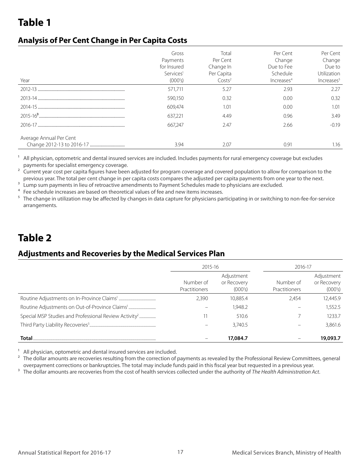### **Analysis of Per Cent Change in Per Capita Costs**

| Year                    | Gross<br>Payments<br>for Insured<br>Services <sup>1</sup><br>(000's) | Total<br>Per Cent<br>Change In<br>Per Capita<br>Costs <sup>2</sup> | Per Cent<br>Change<br>Due to Fee<br>Schedule<br>Increases <sup>4</sup> | Per Cent<br>Change<br>Due to<br>Utilization<br>Increases <sup>5</sup> |
|-------------------------|----------------------------------------------------------------------|--------------------------------------------------------------------|------------------------------------------------------------------------|-----------------------------------------------------------------------|
|                         | 571,711                                                              | 5.27                                                               | 2.93                                                                   | 2.27                                                                  |
|                         | 590,150                                                              | 0.32                                                               | 0.00                                                                   | 0.32                                                                  |
|                         | 609.474                                                              | 1.01                                                               | 0.00                                                                   | 1.01                                                                  |
|                         | 637,221                                                              | 4.49                                                               | 0.96                                                                   | 3.49                                                                  |
|                         | 667.247                                                              | 2.47                                                               | 2.66                                                                   | $-0.19$                                                               |
| Average Annual Per Cent | 3.94                                                                 | 2.07                                                               | 0.91                                                                   | 1.16                                                                  |

<sup>1</sup> All physician, optometric and dental insured services are included. Includes payments for rural emergency coverage but excludes payments for specialist emergency coverage.

<sup>2</sup> Current year cost per capita figures have been adjusted for program coverage and covered population to allow for comparison to the previous year. The total per cent change in per capita costs compares the adjusted per capita payments from one year to the next.

<sup>3</sup> Lump sum payments in lieu of retroactive amendments to Payment Schedules made to physicians are excluded.

4 Fee schedule increases are based on theoretical values of fee and new items increases.

<sup>5</sup> The change in utilization may be affected by changes in data capture for physicians participating in or switching to non-fee-for-service arrangements.

## **Table 2**

### **Adjustments and Recoveries by the Medical Services Plan**

|                                                                   | 2015-16                    |                                      | 2016-17                    |                                      |
|-------------------------------------------------------------------|----------------------------|--------------------------------------|----------------------------|--------------------------------------|
|                                                                   | Number of<br>Practitioners | Adjustment<br>or Recovery<br>(000's) | Number of<br>Practitioners | Adjustment<br>or Recovery<br>(000's) |
|                                                                   | 2.390                      | 10,885.4                             | 2.454                      | 12,445.9                             |
|                                                                   |                            | 1.948.2                              |                            | 1.552.5                              |
| Special MSP Studies and Professional Review Activity <sup>2</sup> |                            | 510.6                                |                            | 1233.7                               |
|                                                                   |                            | 3.740.5                              |                            | 3,861.6                              |
| Total                                                             |                            | 17,084.7                             |                            | 19,093.7                             |

<sup>1</sup> All physician, optometric and dental insured services are included.

<sup>2</sup> The dollar amounts are recoveries resulting from the correction of payments as revealed by the Professional Review Committees, general overpayment corrections or bankruptcies. The total may include funds paid in this fiscal year but requested in a previous year.

<sup>3</sup> The dollar amounts are recoveries from the cost of health services collected under the authority of *The Health Administration Act*.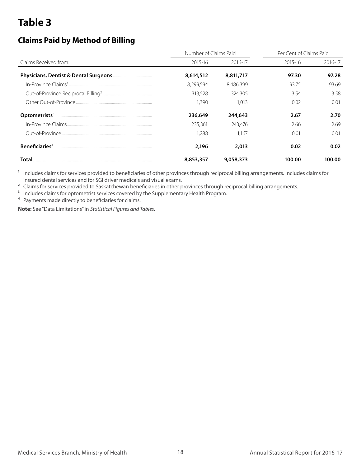### **Claims Paid by Method of Billing**

|                       | Number of Claims Paid |           | Per Cent of Claims Paid |         |  |
|-----------------------|-----------------------|-----------|-------------------------|---------|--|
| Claims Received from: | 2015-16               | 2016-17   | 2015-16                 | 2016-17 |  |
|                       | 8,614,512             | 8,811,717 | 97.30                   | 97.28   |  |
|                       | 8.299.594             | 8,486,399 | 93.75                   | 93.69   |  |
|                       | 313,528               | 324,305   | 3.54                    | 3.58    |  |
|                       | 1.390                 | 1.013     | 0.02                    | 0.01    |  |
|                       | 236,649               | 244,643   | 2.67                    | 2.70    |  |
|                       | 235,361               | 243.476   | 2.66                    | 2.69    |  |
|                       | 1.288                 | 1.167     | 0.01                    | 0.01    |  |
|                       | 2,196                 | 2,013     | 0.02                    | 0.02    |  |
| Total                 | 8,853,357             | 9,058,373 | 100.00                  | 100.00  |  |

<sup>1</sup> Includes claims for services provided to beneficiaries of other provinces through reciprocal billing arrangements. Includes claims for insured dental services and for SGI driver medicals and visual exams.

<sup>2</sup> Claims for services provided to Saskatchewan beneficiaries in other provinces through reciprocal billing arrangements.

<sup>3</sup> Includes claims for optometrist services covered by the Supplementary Health Program.

4 Payments made directly to beneficiaries for claims.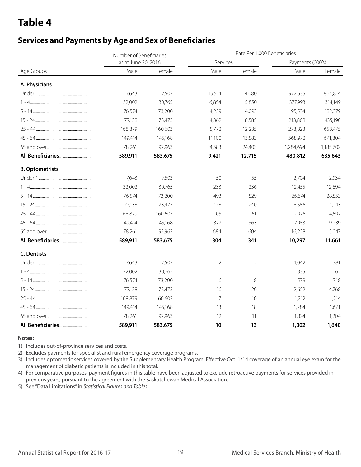### **Services and Payments by Age and Sex of Beneficiaries**

|                        | Number of Beneficiaries |         | Rate Per 1,000 Beneficiaries |        |                  |           |  |  |  |
|------------------------|-------------------------|---------|------------------------------|--------|------------------|-----------|--|--|--|
|                        | as at June 30, 2016     |         | Services                     |        | Payments (000's) |           |  |  |  |
| Age Groups             | Male                    | Female  | Male                         | Female | Male             | Female    |  |  |  |
| A. Physicians          |                         |         |                              |        |                  |           |  |  |  |
|                        | 7.643                   | 7,503   | 15,514                       | 14,080 | 972,535          | 864,814   |  |  |  |
|                        | 32,002                  | 30,765  | 6,854                        | 5,850  | 377,993          | 314,149   |  |  |  |
|                        | 76,574                  | 73,200  | 4,259                        | 4,093  | 195,534          | 182,379   |  |  |  |
|                        | 77,138                  | 73,473  | 4,362                        | 8,585  | 213,808          | 435,190   |  |  |  |
|                        | 168,879                 | 160,603 | 5,772                        | 12,235 | 278,823          | 658,475   |  |  |  |
|                        | 149,414                 | 145,168 | 11,100                       | 13,583 | 568,972          | 671,804   |  |  |  |
|                        | 78,261                  | 92,963  | 24,583                       | 24,403 | 1,284,694        | 1,185,602 |  |  |  |
|                        | 589,911                 | 583,675 | 9,421                        | 12,715 | 480,812          | 635,643   |  |  |  |
| <b>B. Optometrists</b> |                         |         |                              |        |                  |           |  |  |  |
|                        | 7,643                   | 7,503   | 50                           | 55     | 2,704            | 2,934     |  |  |  |
|                        | 32,002                  | 30,765  | 233                          | 236    | 12,455           | 12,694    |  |  |  |
|                        | 76,574                  | 73,200  | 493                          | 529    | 26,674           | 28,553    |  |  |  |
|                        | 77,138                  | 73,473  | 178                          | 240    | 8,556            | 11,243    |  |  |  |
|                        | 168,879                 | 160,603 | 105                          | 161    | 2,926            | 4,592     |  |  |  |
|                        | 149,414                 | 145,168 | 327                          | 363    | 7,953            | 9,239     |  |  |  |
|                        | 78,261                  | 92,963  | 684                          | 604    | 16,228           | 15,047    |  |  |  |
|                        | 589,911                 | 583,675 | 304                          | 341    | 10,297           | 11,661    |  |  |  |
| <b>C. Dentists</b>     |                         |         |                              |        |                  |           |  |  |  |
|                        | 7.643                   | 7,503   | 2                            | 2      | 1.042            | 381       |  |  |  |
|                        | 32,002                  | 30,765  |                              |        | 335              | 62        |  |  |  |
|                        | 76,574                  | 73,200  | 6                            | 8      | 579              | 718       |  |  |  |
|                        | 77,138                  | 73,473  | 16                           | 20     | 2,652            | 4,768     |  |  |  |
|                        | 168,879                 | 160,603 | 7                            | 10     | 1,212            | 1,214     |  |  |  |
|                        | 149,414                 | 145,168 | 13                           | 18     | 1,284            | 1,671     |  |  |  |
|                        | 78,261                  | 92,963  | 12                           | 11     | 1,324            | 1,204     |  |  |  |
|                        | 589,911                 | 583,675 | 10                           | 13     | 1,302            | 1,640     |  |  |  |

#### **Notes:**

1) Includes out-of-province services and costs.

2) Excludes payments for specialist and rural emergency coverage programs.

3) Includes optometric services covered by the Supplementary Health Program. Effective Oct. 1/14 coverage of an annual eye exam for the management of diabetic patients is included in this total.

4) For comparative purposes, payment figures in this table have been adjusted to exclude retroactive payments for services provided in previous years, pursuant to the agreement with the Saskatchewan Medical Association.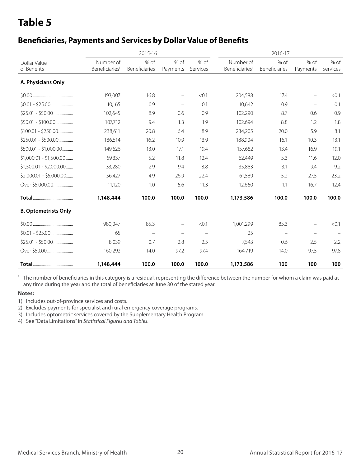### **Beneficiaries, Payments and Services by Dollar Value of Benefits**

|                             |                                         | 2015-16                  |                          |                          | 2016-17                                 |                          |                          |                  |
|-----------------------------|-----------------------------------------|--------------------------|--------------------------|--------------------------|-----------------------------------------|--------------------------|--------------------------|------------------|
| Dollar Value<br>of Benefits | Number of<br>Beneficiaries <sup>1</sup> | % of<br>Beneficiaries    | % of<br>Payments         | % of<br>Services         | Number of<br>Beneficiaries <sup>1</sup> | % of<br>Beneficiaries    | % of<br>Payments         | % of<br>Services |
|                             |                                         |                          |                          |                          |                                         |                          |                          |                  |
| A. Physicians Only          |                                         |                          |                          |                          |                                         |                          |                          |                  |
|                             | 193,007                                 | 16.8                     | $\equiv$                 | < 0.1                    | 204,588                                 | 17.4                     | $\overline{\phantom{0}}$ | < 0.1            |
|                             | 10,165                                  | 0.9                      | $\overline{\phantom{m}}$ | 0.1                      | 10,642                                  | 0.9                      | $\overline{\phantom{m}}$ | 0.1              |
|                             | 102,645                                 | 8.9                      | 0.6                      | 0.9                      | 102,290                                 | 8.7                      | 0.6                      | 0.9              |
|                             | 107,712                                 | 9.4                      | 1.3                      | 1.9                      | 102,694                                 | 8.8                      | 1.2                      | 1.8              |
| $$100.01 - $250.00$         | 238,611                                 | 20.8                     | 6.4                      | 8.9                      | 234,205                                 | 20.0                     | 5.9                      | 8.1              |
| $$250.01 - $500.00$         | 186,514                                 | 16.2                     | 10.9                     | 13.9                     | 188,904                                 | 16.1                     | 10.3                     | 13.1             |
| $$500.01 - $1,000.00$       | 149,626                                 | 13.0                     | 17.1                     | 19.4                     | 157,682                                 | 13.4                     | 16.9                     | 19.1             |
| $$1,000.01 - $1,500.00$     | 59,337                                  | 5.2                      | 11.8                     | 12.4                     | 62,449                                  | 5.3                      | 11.6                     | 12.0             |
| $$1,500.01 - $2,000.00$     | 33,280                                  | 2.9                      | 9.4                      | 8.8                      | 35,883                                  | 3.1                      | 9.4                      | 9.2              |
| $$2,000.01 - $5,000.00$     | 56,427                                  | 4.9                      | 26.9                     | 22.4                     | 61,589                                  | 5.2                      | 27.5                     | 23.2             |
| Over \$5,000.00             | 11,120                                  | 1.0                      | 15.6                     | 11.3                     | 12,660                                  | 1.1                      | 16.7                     | 12.4             |
|                             | 1,148,444                               | 100.0                    | 100.0                    | 100.0                    | 1,173,586                               | 100.0                    | 100.0                    | 100.0            |
| <b>B. Optometrists Only</b> |                                         |                          |                          |                          |                                         |                          |                          |                  |
|                             | 980,047                                 | 85.3                     | $\overline{\phantom{0}}$ | < 0.1                    | 1,001,299                               | 85.3                     | $\overline{\phantom{0}}$ | < 0.1            |
|                             | 65                                      | $\overline{\phantom{m}}$ |                          | $\overline{\phantom{m}}$ | 25                                      | $\overline{\phantom{a}}$ | $\qquad \qquad -$        |                  |
|                             | 8,039                                   | 0.7                      | 2.8                      | 2.5                      | 7,543                                   | 0.6                      | 2.5                      | 2.2              |
|                             | 160,292                                 | 14.0                     | 97.2                     | 97.4                     | 164,719                                 | 14.0                     | 97.5                     | 97.8             |
|                             | 1,148,444                               | 100.0                    | 100.0                    | 100.0                    | 1,173,586                               | 100                      | 100                      | 100              |

<sup>1</sup> The number of beneficiaries in this category is a residual, representing the difference between the number for whom a claim was paid at any time during the year and the total of beneficiaries at June 30 of the stated year.

#### **Notes:**

1) Includes out-of-province services and costs.

2) Excludes payments for specialist and rural emergency coverage programs.

3) Includes optometric services covered by the Supplementary Health Program.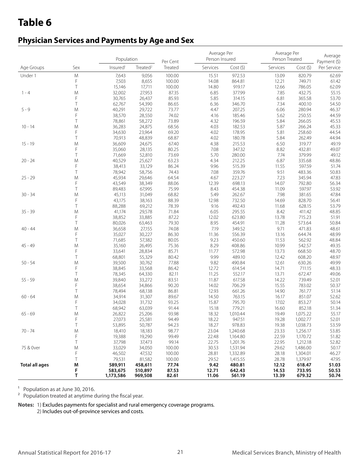### **Physician Services and Payments by Age and Sex**

|                       |           | Population           |                      | Per Cent       | Average Per<br>Person Insured |                      | Average Per<br>Person Treated |                      | Average<br>Payment (\$) |
|-----------------------|-----------|----------------------|----------------------|----------------|-------------------------------|----------------------|-------------------------------|----------------------|-------------------------|
| Age Groups            | Sex       | Insured <sup>1</sup> | Treated <sup>2</sup> | Treated        | Services                      | Cost(5)              | Services                      | Cost(5)              | Per Service             |
| Under 1               | ${\sf M}$ | 7,643                | 9,056                | 100.00         | 15.51                         | 972.53               | 13.09                         | 820.79               | 62.69                   |
|                       | F         | 7,503                | 8,655                | 100.00         | 14.08                         | 864.81               | 12.21                         | 749.71               | 61.42                   |
|                       | Τ         | 15,146               | 17,711               | 100.00         | 14.80                         | 919.17               | 12.66                         | 786.05               | 62.09                   |
| $1 - 4$               | M         | 32,002               | 27,953               | 87.35          | 6.85                          | 377.99               | 7.85                          | 432.75               | 55.15                   |
|                       | F         | 30,765               | 26,437               | 85.93          | 5.85                          | 314.15               | 6.81                          | 365.58               | 53.70                   |
|                       | Τ         | 62,767               | 54,390               | 86.65          | 6.36                          | 346.70               | 7.34                          | 400.10               | 54.50                   |
| $5 - 9$               | M         | 40,291               | 29,722               | 73.77          | 4.47                          | 207.25               | 6.06                          | 280.94               | 46.37                   |
|                       | F         | 38,570               | 28,550               | 74.02          | 4.16                          | 185.46               | 5.62                          | 250.55               | 44.59                   |
|                       | Τ         | 78,861               | 58,272               | 73.89          | 4.32                          | 196.59               | 5.84                          | 266.05               | 45.53                   |
| $10 - 14$             | M         | 36,283               | 24,875               | 68.56          | 4.03                          | 182.53               | 5.87                          | 266.24               | 45.33                   |
|                       | F         | 34,630               | 23,964               | 69.20          | 4.02                          | 178.95               | 5.81                          | 258.60               | 44.54                   |
|                       | T         | 70,913               | 48,839               | 68.87          | 4.02                          | 180.78               | 5.84                          | 262.49               | 44.94                   |
| $15 - 19$             | M         | 36,609               | 24,675               | 67.40          | 4.38                          | 215.53               | 6.50                          | 319.77               | 49.19                   |
|                       | F         | 35,060               | 28,135               | 80.25          | 7.08                          | 347.32               | 8.82                          | 432.81               | 49.07                   |
|                       | T         | 71,669               | 52,810               | 73.69          | 5.70                          | 280.00               | 7.74                          | 379.99               | 49.12                   |
| $20 - 24$             | M         | 40,529               | 25,627               | 63.23          | 4.34                          | 212.25               | 6.87                          | 335.68               | 48.86                   |
|                       | F         | 38,413               | 33,129               | 86.24          | 9.96                          | 515.39               | 11.55                         | 597.59               | 51.74                   |
|                       | T         | 78,942               | 58,756               | 74.43          | 7.08                          | 359.76               | 9.51                          | 483.36               | 50.83                   |
| $25 - 29$             | M<br>F    | 45,934               | 29,646               | 64.54          | 4.67                          | 223.27               | 7.23                          | 345.94               | 47.83                   |
|                       | Τ         | 43,549               | 38,349               | 88.06          | 12.39                         | 698.13               | 14.07                         | 792.80               | 56.34                   |
| $30 - 34$             | M         | 89,483<br>45,113     | 67,995<br>31,049     | 75.99<br>68.82 | 8.43<br>5.49                  | 454.38<br>262.67     | 11.09<br>7.98                 | 597.97<br>381.65     | 53.92<br>47.84          |
|                       | F         | 43,175               | 38,163               | 88.39          | 12.98                         | 732.50               | 14.69                         | 828.70               | 56.41                   |
|                       | T         | 88,288               | 69,212               | 78.39          | 9.16                          | 492.43               | 11.68                         | 628.15               | 53.79                   |
| $35 - 39$             | M         | 41,174               | 29,578               | 71.84          | 6.05                          | 295.55               | 8.42                          | 411.42               | 48.85                   |
|                       | F         | 38,852               | 33,885               | 87.22          | 12.02                         | 623.80               | 13.78                         | 715.23               | 51.91                   |
|                       | T         | 80,026               | 63,463               | 79.30          | 8.95                          | 454.91               | 11.28                         | 573.64               | 50.84                   |
| $40 - 44$             | M         | 36,658               | 27,155               | 74.08          | 7.19                          | 349.52               | 9.71                          | 471.83               | 48.61                   |
|                       | F         | 35,027               | 30,227               | 86.30          | 11.36                         | 556.39               | 13.16                         | 644.74               | 48.99                   |
|                       | T         | 71,685               | 57,382               | 80.05          | 9.23                          | 450.60               | 11.53                         | 562.92               | 48.84                   |
| $45 - 49$             | M         | 35,160               | 26,495               | 75.36          | 8.29                          | 408.86               | 10.99                         | 542.57               | 49.35                   |
|                       | F         | 33,641               | 28,834               | 85.71          | 11.77                         | 572.98               | 13.73                         | 668.50               | 48.70                   |
|                       | T         | 68,801               | 55,329               | 80.42          | 9.99                          | 489.10               | 12.42                         | 608.20               | 48.97                   |
| $50 - 54$             | M         | 39,500               | 30,762               | 77.88          | 9.82                          | 490.84               | 12.61                         | 630.26               | 49.99                   |
|                       | F         | 38,845               | 33,568               | 86.42          | 12.72                         | 614.54               | 14.71                         | 711.15               | 48.33                   |
|                       | Τ         | 78,345               | 64,330               | 82.11          | 11.25                         | 552.17               | 13.71                         | 672.47               | 49.06                   |
| $55 - 59$             | M         | 39,840               | 33,272               | 83.51          | 11.87                         | 617.58               | 14.22                         | 739.49               | 52.01                   |
|                       | F         | 38,654               | 34,866               | 90.20          | 14.02                         | 706.29               | 15.55                         | 783.02               | 50.37                   |
|                       | T         | 78,494               | 68,138               | 86.81          | 12.93                         | 661.26               | 14.90                         | 761.77               | 51.14                   |
| $60 - 64$             | M         | 34,914               | 31,307               | 89.67          | 14.50                         | 763.15               | 16.17                         | 851.07               | 52.62                   |
|                       | F         | 34,028               | 31,732               | 93.25          | 15.87                         | 795.70               | 17.02                         | 853.27               | 50.14                   |
|                       | T         | 68,942               | 63,039               | 91.44          | 15.18                         | 779.21               | 16.60                         | 852.18               | 51.34                   |
| $65 - 69$             | ${\sf M}$ | 26,822               | 25,206               | 93.98          | 18.32                         | 1,010.44             | 19.49                         | 1,075.22             | 55.17                   |
|                       | F         | 27,073               | 25,581               | 94.49          | 18.22                         | 947.51               | 19.28                         | 1,002.77             | 52.01                   |
|                       | Τ         | 53,895               | 50,787               | 94.23          | 18.27                         | 978.83               | 19.38                         | 1,038.73             | 53.59                   |
| $70 - 74$             | M<br>F    | 18,410               | 18,183               | 98.77          | 23.04                         | 1,240.68             | 23.33                         | 1,256.17             | 53.85                   |
|                       | Τ         | 19,388               | 19,290               | 99.49<br>99.14 | 22.48                         | 1,164.80             | 22.59                         | 1,170.72             | 51.82                   |
| 75 & Over             | M         | 37,798<br>33,029     | 37,473<br>34,050     | 100.00         | 22.75<br>30.53                | 1,201.76<br>1,531.94 | 22.95<br>29.62                | 1,212.18<br>1,486.00 | 52.82<br>50.17          |
|                       | F         | 46,502               | 47,532               | 100.00         | 28.81                         | 1,332.89             | 28.18                         | 1,304.01             | 46.27                   |
|                       | Τ         | 79,531               | 81,582               | 100.00         | 29.52                         | 1,415.55             | 28.78                         | 1,379.97             | 47.95                   |
| <b>Total all ages</b> | M         | 589,911              | 458,611              | 77.74          | 9.42                          | 480.81               | 12.12                         | 618.47               | 51.03                   |
|                       | F         | 583,675              | 510,897              | 87.53          | 12.71                         | 642.43               | 14.53                         | 733.95               | 50.53                   |
|                       | Τ         | 1,173,586            | 969,508              | 82.61          | 11.06                         | 561.19               | 13.39                         | 679.32               | 50.74                   |

<sup>1</sup> Population as at June 30, 2016.

<sup>2</sup> Population treated at anytime during the fiscal year.

**Notes:** 1) Excludes payments for specialist and rural emergency coverage programs.

2) Includes out-of-province services and costs.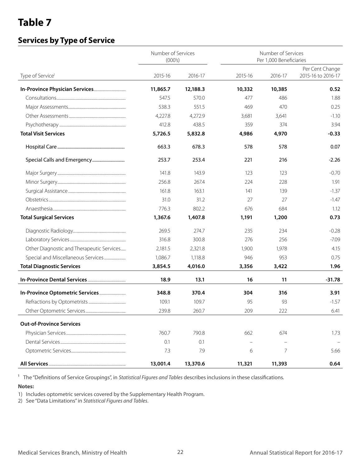### **Services by Type of Service**

|                                           | Number of Services<br>(000's) |          |         | Number of Services<br>Per 1,000 Beneficiaries |                                       |  |  |  |
|-------------------------------------------|-------------------------------|----------|---------|-----------------------------------------------|---------------------------------------|--|--|--|
| Type of Service <sup>1</sup>              | 2015-16                       | 2016-17  | 2015-16 | 2016-17                                       | Per Cent Change<br>2015-16 to 2016-17 |  |  |  |
|                                           | 11,865.7                      | 12,188.3 | 10,332  | 10,385                                        | 0.52                                  |  |  |  |
|                                           | 547.5                         | 570.0    | 477     | 486                                           | 1.88                                  |  |  |  |
|                                           | 538.3                         | 551.5    | 469     | 470                                           | 0.25                                  |  |  |  |
|                                           | 4,227.8                       | 4,272.9  | 3,681   | 3,641                                         | $-1.10$                               |  |  |  |
|                                           | 412.8                         | 438.5    | 359     | 374                                           | 3.94                                  |  |  |  |
| <b>Total Visit Services</b>               | 5,726.5                       | 5,832.8  | 4,986   | 4,970                                         | $-0.33$                               |  |  |  |
|                                           | 663.3                         | 678.3    | 578     | 578                                           | 0.07                                  |  |  |  |
|                                           | 253.7                         | 253.4    | 221     | 216                                           | $-2.26$                               |  |  |  |
|                                           | 141.8                         | 143.9    | 123     | 123                                           | $-0.70$                               |  |  |  |
|                                           | 256.8                         | 267.4    | 224     | 228                                           | 1.91                                  |  |  |  |
|                                           | 161.8                         | 163.1    | 141     | 139                                           | $-1.37$                               |  |  |  |
|                                           | 31.0                          | 31.2     | 27      | 27                                            | $-1.47$                               |  |  |  |
|                                           | 776.3                         | 802.2    | 676     | 684                                           | 1.12                                  |  |  |  |
| <b>Total Surgical Services</b>            | 1,367.6                       | 1,407.8  | 1,191   | 1,200                                         | 0.73                                  |  |  |  |
|                                           | 269.5                         | 274.7    | 235     | 234                                           | $-0.28$                               |  |  |  |
|                                           | 316.8                         | 300.8    | 276     | 256                                           | $-7.09$                               |  |  |  |
| Other Diagnostic and Therapeutic Services | 2,181.5                       | 2,321.8  | 1,900   | 1,978                                         | 4.15                                  |  |  |  |
|                                           | 1,086.7                       | 1,118.8  | 946     | 953                                           | 0.75                                  |  |  |  |
| <b>Total Diagnostic Services</b>          | 3,854.5                       | 4,016.0  | 3,356   | 3,422                                         | 1.96                                  |  |  |  |
|                                           | 18.9                          | 13.1     | 16      | 11                                            | $-31.78$                              |  |  |  |
|                                           | 348.8                         | 370.4    | 304     | 316                                           | 3.91                                  |  |  |  |
|                                           | 109.1                         | 109.7    | 95      | 93                                            | $-1.57$                               |  |  |  |
|                                           | 239.8                         | 260.7    | 209     | 222                                           | 6.41                                  |  |  |  |
| <b>Out-of-Province Services</b>           |                               |          |         |                                               |                                       |  |  |  |
|                                           | 760.7                         | 790.8    | 662     | 674                                           | 1.73                                  |  |  |  |
|                                           | 0.1                           | 0.1      |         |                                               |                                       |  |  |  |
|                                           | 7.3                           | 7.9      | 6       | 7                                             | 5.66                                  |  |  |  |
|                                           | 13,001.4                      | 13,370.6 | 11,321  | 11,393                                        | 0.64                                  |  |  |  |

<sup>1</sup> The "Definitions of Service Groupings", in *Statistical Figures and Tables* describes inclusions in these classifications.

#### **Notes:**

1) Includes optometric services covered by the Supplementary Health Program.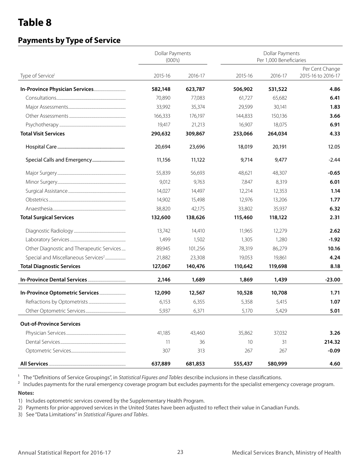### **Payments by Type of Service**

|                                                 | <b>Dollar Payments</b><br>(000's) |         | <b>Dollar Payments</b><br>Per 1,000 Beneficiaries |         |                                       |  |  |
|-------------------------------------------------|-----------------------------------|---------|---------------------------------------------------|---------|---------------------------------------|--|--|
| Type of Service <sup>1</sup>                    | 2015-16                           | 2016-17 | 2015-16                                           | 2016-17 | Per Cent Change<br>2015-16 to 2016-17 |  |  |
|                                                 | 582,148                           | 623,787 | 506,902                                           | 531,522 | 4.86                                  |  |  |
|                                                 | 70,890                            | 77,083  | 61,727                                            | 65,682  | 6.41                                  |  |  |
|                                                 | 33,992                            | 35,374  | 29,599                                            | 30,141  | 1.83                                  |  |  |
|                                                 | 166,333                           | 176,197 | 144,833                                           | 150,136 | 3.66                                  |  |  |
|                                                 | 19,417                            | 21,213  | 16,907                                            | 18,075  | 6.91                                  |  |  |
| <b>Total Visit Services</b>                     | 290,632                           | 309,867 | 253,066                                           | 264,034 | 4.33                                  |  |  |
|                                                 | 20,694                            | 23,696  | 18,019                                            | 20,191  | 12.05                                 |  |  |
|                                                 | 11,156                            | 11,122  | 9,714                                             | 9,477   | $-2.44$                               |  |  |
|                                                 | 55,839                            | 56,693  | 48,621                                            | 48,307  | $-0.65$                               |  |  |
|                                                 | 9,012                             | 9,763   | 7,847                                             | 8,319   | 6.01                                  |  |  |
|                                                 | 14,027                            | 14,497  | 12,214                                            | 12,353  | 1.14                                  |  |  |
|                                                 | 14,902                            | 15,498  | 12,976                                            | 13,206  | 1.77                                  |  |  |
|                                                 | 38,820                            | 42,175  | 33,802                                            | 35,937  | 6.32                                  |  |  |
| <b>Total Surgical Services</b>                  | 132,600                           | 138,626 | 115,460                                           | 118,122 | 2.31                                  |  |  |
|                                                 | 13,742                            | 14,410  | 11,965                                            | 12,279  | 2.62                                  |  |  |
|                                                 | 1,499                             | 1,502   | 1,305                                             | 1,280   | $-1.92$                               |  |  |
| Other Diagnostic and Therapeutic Services       | 89,945                            | 101,256 | 78,319                                            | 86,279  | 10.16                                 |  |  |
| Special and Miscellaneous Services <sup>2</sup> | 21,882                            | 23,308  | 19,053                                            | 19,861  | 4.24                                  |  |  |
| <b>Total Diagnostic Services</b>                | 127,067                           | 140,476 | 110,642                                           | 119,698 | 8.18                                  |  |  |
|                                                 | 2,146                             | 1,689   | 1,869                                             | 1,439   | $-23.00$                              |  |  |
|                                                 | 12,090                            | 12,567  | 10,528                                            | 10,708  | 1.71                                  |  |  |
|                                                 | 6,153                             | 6,355   | 5,358                                             | 5,415   | 1.07                                  |  |  |
|                                                 | 5,937                             | 6,371   | 5,170                                             | 5,429   | 5.01                                  |  |  |
| <b>Out-of-Province Services</b>                 |                                   |         |                                                   |         |                                       |  |  |
|                                                 | 41,185                            | 43,460  | 35,862                                            | 37,032  | 3.26                                  |  |  |
|                                                 | 11                                | 36      | 10                                                | 31      | 214.32                                |  |  |
|                                                 | 307                               | 313     | 267                                               | 267     | $-0.09$                               |  |  |
|                                                 | 637,889                           | 681,853 | 555,437                                           | 580,999 | 4.60                                  |  |  |

<sup>1</sup> The "Definitions of Service Groupings", in *Statistical Figures and Tables* describe inclusions in these classifications.

<sup>2</sup> Includes payments for the rural emergency coverage program but excludes payments for the specialist emergency coverage program.

#### **Notes:**

1) Includes optometric services covered by the Supplementary Health Program.

2) Payments for prior-approved services in the United States have been adjusted to reflect their value in Canadian Funds.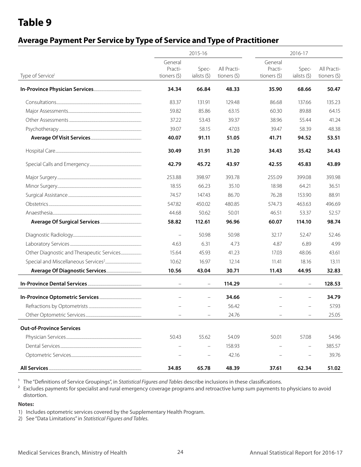### **Average Payment Per Service by Type of Service and Type of Practitioner**

|                                           |                          | 2015-16      |                 | 2016-17       |                          |               |  |
|-------------------------------------------|--------------------------|--------------|-----------------|---------------|--------------------------|---------------|--|
|                                           | General                  |              |                 | General       |                          |               |  |
|                                           | Practi-                  | Spec-        | All Practi-     | Practi-       | Spec-                    | All Practi-   |  |
| Type of Service <sup>1</sup>              | tioners $(5)$            | ialists (\$) | tioners $(\xi)$ | tioners $(5)$ | ialists (\$)             | tioners $(5)$ |  |
|                                           | 34.34                    | 66.84        | 48.33           | 35.90         | 68.66                    | 50.47         |  |
|                                           | 83.37                    | 131.91       | 129.48          | 86.68         | 137.66                   | 135.23        |  |
|                                           | 59.82                    | 85.86        | 63.15           | 60.30         | 89.88                    | 64.15         |  |
|                                           | 37.22                    | 53.43        | 39.37           | 38.96         | 55.44                    | 41.24         |  |
|                                           | 39.07                    | 58.15        | 47.03           | 39.47         | 58.39                    | 48.38         |  |
|                                           | 40.07                    | 91.11        | 51.05           | 41.71         | 94.52                    | 53.51         |  |
|                                           | 30.49                    | 31.91        | 31.20           | 34.43         | 35.42                    | 34.43         |  |
|                                           | 42.79                    | 45.72        | 43.97           | 42.55         | 45.83                    | 43.89         |  |
|                                           | 253.88                   | 398.97       | 393.78          | 255.09        | 399.08                   | 393.98        |  |
|                                           | 18.55                    | 66.23        | 35.10           | 18.98         | 64.21                    | 36.51         |  |
|                                           | 74.57                    | 147.43       | 86.70           | 76.28         | 153.90                   | 88.91         |  |
|                                           | 547.82                   | 450.02       | 480.85          | 574.73        | 463.63                   | 496.69        |  |
|                                           | 44.68                    | 50.62        | 50.01           | 46.51         | 53.37                    | 52.57         |  |
|                                           | 58.82                    | 112.61       | 96.96           | 60.07         | 114.10                   | 98.74         |  |
|                                           | $\qquad \qquad -$        | 50.98        | 50.98           | 32.17         | 52.47                    | 52.46         |  |
|                                           | 4.63                     | 6.31         | 4.73            | 4.87          | 6.89                     | 4.99          |  |
| Other Diagnostic and Therapeutic Services | 15.64                    | 45.93        | 41.23           | 17.03         | 48.06                    | 43.61         |  |
|                                           | 10.62                    | 16.97        | 12.14           | 11.41         | 18.16                    | 13.11         |  |
|                                           | 10.56                    | 43.04        | 30.71           | 11.43         | 44.95                    | 32.83         |  |
|                                           |                          |              | 114.29          |               | $\qquad \qquad -$        | 128.53        |  |
|                                           |                          |              | 34.66           |               | $\equiv$                 | 34.79         |  |
|                                           |                          |              | 56.42           |               | $\overline{\phantom{0}}$ | 57.93         |  |
|                                           | $\overline{\phantom{0}}$ |              | 24.76           |               | $\overline{\phantom{0}}$ | 25.05         |  |
| <b>Out-of-Province Services</b>           |                          |              |                 |               |                          |               |  |
|                                           | 50.43                    | 55.62        | 54.09           | 50.01         | 57.08                    | 54.96         |  |
|                                           |                          |              | 158.93          |               | $\qquad \qquad -$        | 385.57        |  |
|                                           |                          |              | 42.16           |               | $\overline{\phantom{0}}$ | 39.76         |  |
|                                           | 34.85                    | 65.78        | 48.39           | 37.61         | 62.34                    | 51.02         |  |

<sup>1</sup> The "Definitions of Service Groupings", in *Statistical Figures and Tables* describe inclusions in these classifications.

<sup>2</sup> Excludes payments for specialist and rural emergency coverage programs and retroactive lump sum payments to physicians to avoid distortion.

#### **Notes:**

1) Includes optometric services covered by the Supplementary Health Program.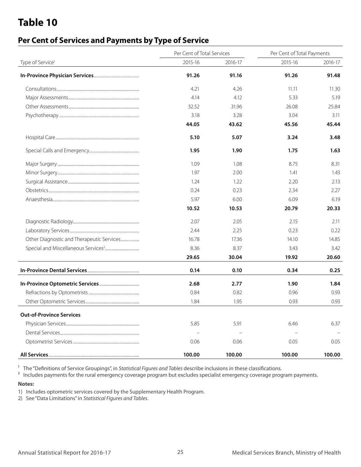### **Per Cent of Services and Payments by Type of Service**

|                                                                           | Per Cent of Total Services |         | Per Cent of Total Payments |         |  |
|---------------------------------------------------------------------------|----------------------------|---------|----------------------------|---------|--|
| Type of Service <sup>1</sup><br>Other Diagnostic and Therapeutic Services | 2015-16                    | 2016-17 | 2015-16                    | 2016-17 |  |
|                                                                           | 91.26                      | 91.16   | 91.26                      | 91.48   |  |
|                                                                           | 4.21                       | 4.26    | 11.11                      | 11.30   |  |
|                                                                           | 4.14                       | 4.12    | 5.33                       | 5.19    |  |
|                                                                           | 32.52                      | 31.96   | 26.08                      | 25.84   |  |
|                                                                           | 3.18                       | 3.28    | 3.04                       | 3.11    |  |
|                                                                           | 44.05                      | 43.62   | 45.56                      | 45.44   |  |
|                                                                           | 5.10                       | 5.07    | 3.24                       | 3.48    |  |
|                                                                           | 1.95                       | 1.90    | 1.75                       | 1.63    |  |
|                                                                           | 1.09                       | 1.08    | 8.75                       | 8.31    |  |
|                                                                           | 1.97                       | 2.00    | 1.41                       | 1.43    |  |
|                                                                           | 1.24                       | 1.22    | 2.20                       | 2.13    |  |
|                                                                           | 0.24                       | 0.23    | 2.34                       | 2.27    |  |
|                                                                           | 5.97                       | 6.00    | 6.09                       | 6.19    |  |
|                                                                           | 10.52                      | 10.53   | 20.79                      | 20.33   |  |
|                                                                           | 2.07                       | 2.05    | 2.15                       | 2.11    |  |
|                                                                           | 2.44                       | 2.25    | 0.23                       | 0.22    |  |
|                                                                           | 16.78                      | 17.36   | 14.10                      | 14.85   |  |
|                                                                           | 8.36                       | 8.37    | 3.43                       | 3.42    |  |
|                                                                           | 29.65                      | 30.04   | 19.92                      | 20.60   |  |
|                                                                           | 0.14                       | 0.10    | 0.34                       | 0.25    |  |
|                                                                           | 2.68                       | 2.77    | 1.90                       | 1.84    |  |
|                                                                           | 0.84                       | 0.82    | 0.96                       | 0.93    |  |
|                                                                           | 1.84                       | 1.95    | 0.93                       | 0.93    |  |
| <b>Out-of-Province Services</b>                                           |                            |         |                            |         |  |
|                                                                           | 5.85                       | 5.91    | 6.46                       | 6.37    |  |
|                                                                           |                            |         |                            |         |  |
|                                                                           | 0.06                       | 0.06    | 0.05                       | 0.05    |  |
|                                                                           | 100.00                     | 100.00  | 100.00                     | 100.00  |  |

<sup>1</sup> The "Definitions of Service Groupings", in *Statistical Figures and Tables* describe inclusions in these classifications.

<sup>2</sup> Includes payments for the rural emergency coverage program but excludes specialist emergency coverage program payments.

#### **Notes:**

1) Includes optometric services covered by the Supplementary Health Program.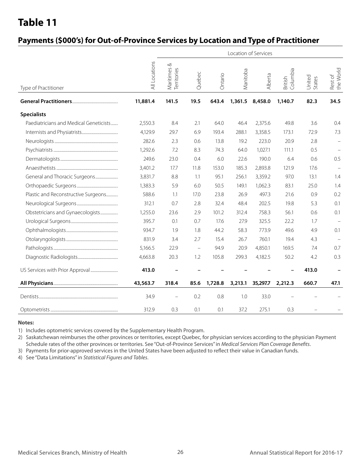### **Payments (\$000's) for Out-of-Province Services by Location and Type of Practitioner**

|                                        | Location of Services |                                 |                          |         |          |                 |                     |                  |                      |
|----------------------------------------|----------------------|---------------------------------|--------------------------|---------|----------|-----------------|---------------------|------------------|----------------------|
| Type of Practitioner                   | All Locations        | ∞<br>Maritimes &<br>Territories | Quebec                   | Ontario | Manitoba | Alberta         | Columbia<br>British | United<br>States | Rest of<br>the World |
|                                        | 11,881.4             | 141.5                           | 19.5                     | 643.4   |          | 1,361.5 8,458.0 | 1,140.7             | 82.3             | 34.5                 |
| <b>Specialists</b>                     |                      |                                 |                          |         |          |                 |                     |                  |                      |
| Paediatricians and Medical Geneticists | 2,550.3              | 8.4                             | 2.1                      | 64.0    | 46.4     | 2,375.6         | 49.8                | 3.6              | 0.4                  |
|                                        | 4,129.9              | 29.7                            | 6.9                      | 193.4   | 288.1    | 3,358.5         | 173.1               | 72.9             | 7.3                  |
|                                        | 282.6                | 2.3                             | 0.6                      | 13.8    | 19.2     | 223.0           | 20.9                | 2.8              | $\equiv$             |
|                                        | 1,292.6              | 7.2                             | 8.3                      | 74.3    | 64.0     | 1,027.1         | 111.1               | 0.5              | $\equiv$             |
|                                        | 249.6                | 23.0                            | 0.4                      | 6.0     | 22.6     | 190.0           | 6.4                 | 0.6              | 0.5                  |
|                                        | 3,401.2              | 17.7                            | 11.8                     | 153.0   | 185.3    | 2,893.8         | 121.9               | 17.6             |                      |
|                                        | 3,831.7              | 8.8                             | 1.1                      | 95.1    | 256.1    | 3,359.2         | 97.0                | 13.1             | 1.4                  |
|                                        | 1,383.3              | 5.9                             | 6.0                      | 50.5    | 149.1    | 1,062.3         | 83.1                | 25.0             | 1.4                  |
| Plastic and Reconstructive Surgeons    | 588.6                | 1.1                             | 17.0                     | 23.8    | 26.9     | 497.3           | 21.6                | 0.9              | 0.2                  |
|                                        | 312.1                | 0.7                             | 2.8                      | 32.4    | 48.4     | 202.5           | 19.8                | 5.3              | 0.1                  |
| Obstetricians and Gynaecologists       | 1,255.0              | 23.6                            | 2.9                      | 101.2   | 312.4    | 758.3           | 56.1                | 0.6              | 0.1                  |
|                                        | 395.7                | 0.1                             | 0.7                      | 17.6    | 27.9     | 325.5           | 22.2                | 1.7              |                      |
|                                        | 934.7                | 1.9                             | 1.8                      | 44.2    | 58.3     | 773.9           | 49.6                | 4.9              | 0.1                  |
|                                        | 831.9                | 3.4                             | 2.7                      | 15.4    | 26.7     | 760.1           | 19.4                | 4.3              |                      |
|                                        | 5,166.5              | 22.9                            | $\overline{\phantom{m}}$ | 94.9    | 20.9     | 4,850.1         | 169.5               | 7.4              | 0.7                  |
|                                        | 4,663.8              | 20.3                            | 1.2                      | 105.8   | 299.3    | 4,182.5         | 50.2                | 4.2              | 0.3                  |
|                                        | 413.0                |                                 |                          |         |          |                 |                     | 413.0            |                      |
|                                        | 43,563.7             | 318.4                           | 85.6                     | 1,728.8 | 3,213.1  | 35,297.7        | 2,212.3             | 660.7            | 47.1                 |
|                                        | 34.9                 | $\equiv$                        | 0.2                      | 0.8     | 1.0      | 33.0            |                     |                  |                      |
|                                        | 312.9                | 0.3                             | 0.1                      | 0.1     | 37.2     | 275.1           | 0.3                 |                  |                      |

#### **Notes:**

1) Includes optometric services covered by the Supplementary Health Program.

2) Saskatchewan reimburses the other provinces or territories, except Quebec, for physician services according to the physician Payment Schedule rates of the other provinces or territories. See "Out-of-Province Services" in *Medical Services Plan Coverage Benefits*.

3) Payments for prior-approved services in the United States have been adjusted to reflect their value in Canadian funds.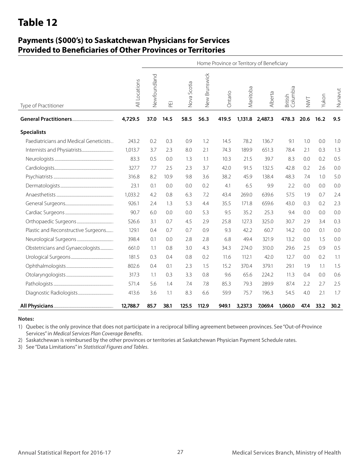### **Payments (\$000's) to Saskatchewan Physicians for Services Provided to Beneficiaries of Other Provinces or Territories**

|                                        |               | Home Province or Territory of Beneficiary |      |             |               |         |          |                 |                     |      |       |         |
|----------------------------------------|---------------|-------------------------------------------|------|-------------|---------------|---------|----------|-----------------|---------------------|------|-------|---------|
| Type of Practitioner                   | All Locations | Newfoundland                              | 푼    | Nova Scotia | New Brunswick | Ontario | Manitoba | Alberta         | British<br>Columbia | NWT  | Yukon | Nunavut |
|                                        | 4,729.5       | 37.0                                      | 14.5 | 58.5        | 56.3          | 419.5   |          | 1,131.8 2,487.3 | 478.3               | 20.6 | 16.2  | 9.5     |
| <b>Specialists</b>                     |               |                                           |      |             |               |         |          |                 |                     |      |       |         |
| Paediatricians and Medical Geneticists | 243.2         | 0.2                                       | 0.3  | 0.9         | 1.2           | 14.5    | 78.2     | 136.7           | 9.1                 | 1.0  | 0.0   | 1.0     |
|                                        | 1.013.7       | 3.7                                       | 2.3  | 8.0         | 2.1           | 74.3    | 189.9    | 651.3           | 78.4                | 2.1  | 0.3   | 1.3     |
|                                        | 83.3          | 0.5                                       | 0.0  | 1.3         | 1.1           | 10.3    | 21.5     | 39.7            | 8.3                 | 0.0  | 0.2   | 0.5     |
|                                        | 327.7         | 7.7                                       | 2.5  | 2.3         | 3.7           | 42.0    | 91.5     | 132.5           | 42.8                | 0.2  | 2.6   | 0.0     |
|                                        | 316.8         | 8.2                                       | 10.9 | 9.8         | 3.6           | 38.2    | 45.9     | 138.4           | 48.3                | 7.4  | 1.0   | 5.0     |
|                                        | 23.1          | 0.1                                       | 0.0  | 0.0         | 0.2           | 4.1     | 6.5      | 9.9             | 2.2                 | 0.0  | 0.0   | 0.0     |
|                                        | 1,033.2       | 4.2                                       | 0.8  | 6.3         | 7.2           | 43.4    | 269.0    | 639.6           | 57.5                | 1.9  | 0.7   | 2.4     |
|                                        | 926.1         | 2.4                                       | 1.3  | 5.3         | 4.4           | 35.5    | 171.8    | 659.6           | 43.0                | 0.3  | 0.2   | 2.3     |
|                                        | 90.7          | 6.0                                       | 0.0  | 0.0         | 5.3           | 9.5     | 35.2     | 25.3            | 9.4                 | 0.0  | 0.0   | 0.0     |
|                                        | 526.6         | 3.1                                       | 0.7  | 4.5         | 2.9           | 25.8    | 127.3    | 325.0           | 30.7                | 2.9  | 3.4   | 0.3     |
| Plastic and Reconstructive Surgeons    | 129.1         | 0.4                                       | 0.7  | 0.7         | 0.9           | 9.3     | 42.2     | 60.7            | 14.2                | 0.0  | 0.1   | 0.0     |
|                                        | 398.4         | 0.1                                       | 0.0  | 2.8         | 2.8           | 6.8     | 49.4     | 321.9           | 13.2                | 0.0  | 1.5   | 0.0     |
| Obstetricians and Gynaecologists       | 661.0         | 1.1                                       | 0.8  | 3.0         | 4.3           | 34.3    | 274.0    | 310.0           | 29.6                | 2.5  | 0.9   | 0.5     |
|                                        | 181.5         | 0.3                                       | 0.4  | 0.8         | 0.2           | 11.6    | 112.1    | 42.0            | 12.7                | 0.0  | 0.2   | 1.1     |
|                                        | 802.6         | 0.4                                       | 0.1  | 2.3         | 1.5           | 15.2    | 370.4    | 379.1           | 29.1                | 1.9  | 1.1   | 1.5     |
|                                        | 317.3         | 1.1                                       | 0.3  | 3.3         | 0.8           | 9.6     | 65.6     | 224.2           | 11.3                | 0.4  | 0.0   | 0.6     |
|                                        | 571.4         | 5.6                                       | 1.4  | 7.4         | 7.8           | 85.3    | 79.3     | 289.9           | 87.4                | 2.2  | 2.7   | 2.5     |
|                                        | 413.6         | 3.6                                       | 1.1  | 8.3         | 6.6           | 59.9    | 75.7     | 196.3           | 54.5                | 4.0  | 2.1   | 1.7     |
|                                        | 12,788.7      | 85.7                                      | 38.1 | 125.5       | 112.9         | 949.1   | 3,237.3  | 7,069.4         | 1,060.0             | 47.4 | 33.2  | 30.2    |

#### **Notes:**

1) Quebec is the only province that does not participate in a reciprocal billing agreement between provinces. See "Out-of-Province Services" in *Medical Services Plan Coverage Benefits*.

2) Saskatchewan is reimbursed by the other provinces or territories at Saskatchewan Physician Payment Schedule rates.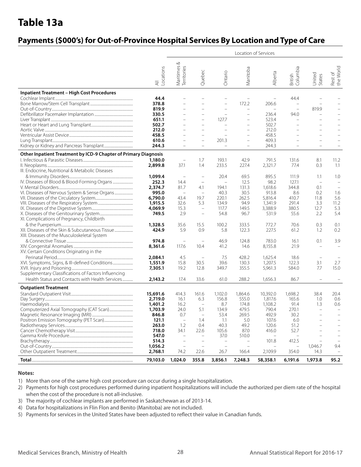# **Table 13a**

### **Payments (\$000's) for Out-of-Province Hospital Services By Location and Type of Care**

|                                                                                                 |                                        |                                 |                                 |                          |                          | Location of Services     |                          |                                 |                                 |
|-------------------------------------------------------------------------------------------------|----------------------------------------|---------------------------------|---------------------------------|--------------------------|--------------------------|--------------------------|--------------------------|---------------------------------|---------------------------------|
|                                                                                                 | -ocations<br>$\overline{\overline{z}}$ | ∞<br>Maritimes &<br>Territories | Quebec                          | Ontario                  | Manitoba                 | Alberta                  | British<br>Columbia      | United<br>States                | Rest of<br>the World            |
| <b>Inpatient Treatment - High Cost Procedures</b>                                               |                                        |                                 |                                 |                          |                          |                          |                          |                                 |                                 |
|                                                                                                 | 44.4                                   |                                 |                                 |                          | $\overline{a}$           | $\overline{\phantom{0}}$ | 44.4                     |                                 |                                 |
|                                                                                                 | 378.8                                  |                                 | $\overline{\phantom{0}}$        | $\overline{\phantom{0}}$ | 172.2                    | 206.6                    | $\overline{\phantom{0}}$ |                                 |                                 |
|                                                                                                 | 819.9                                  |                                 |                                 |                          | $\overline{\phantom{0}}$ | $\overline{\phantom{0}}$ | $\overline{a}$           | 819.9                           |                                 |
|                                                                                                 | 330.5                                  |                                 | $\overline{\phantom{0}}$        | $\overline{\phantom{a}}$ | $\overline{a}$           | 236.4                    | 94.0                     |                                 |                                 |
|                                                                                                 | 651.1                                  |                                 | $\overline{\phantom{0}}$        | 127.7                    | $\overline{\phantom{0}}$ | 523.4                    | $\overline{\phantom{a}}$ |                                 |                                 |
|                                                                                                 | 502.7                                  |                                 | $\overline{a}$                  |                          | $\overline{a}$           | 502.7                    | $\overline{\phantom{0}}$ |                                 |                                 |
|                                                                                                 | 212.0                                  |                                 |                                 |                          | $\overline{a}$           | 212.0                    |                          |                                 |                                 |
|                                                                                                 | 458.5                                  |                                 | $\overline{\phantom{0}}$        |                          | $\overline{\phantom{0}}$ | 458.5                    |                          |                                 |                                 |
|                                                                                                 | 610.6                                  |                                 | $\overline{\phantom{0}}$        | 201.3                    | $\overline{\phantom{0}}$ | 409.3                    |                          |                                 |                                 |
|                                                                                                 | 244.3                                  |                                 | $\overline{\phantom{0}}$        |                          | $\overline{\phantom{0}}$ | 244.3                    |                          |                                 |                                 |
| Other Inpatient Treatment by ICD-9 Chapter of Primary Diagnosis                                 |                                        |                                 |                                 |                          |                          |                          |                          |                                 |                                 |
|                                                                                                 | 1,180.0                                |                                 | 1.7                             | 193.1                    | 42.9                     | 791.5                    | 131.6                    | 8.1                             | 11.2                            |
|                                                                                                 | 2,899.8                                | 37.1                            | 1.4                             | 233.5                    | 227.4                    | 2,321.7                  | 77.4                     | 0.3                             | 1.1                             |
| III. Endocrine, Nutritional & Metabolic Diseases                                                |                                        |                                 |                                 |                          |                          |                          |                          |                                 |                                 |
|                                                                                                 | 1,099.4                                |                                 | $\overline{\phantom{0}}$        | 20.4                     | 69.5                     | 895.5                    | 111.9                    | 1.1                             | 1.0                             |
|                                                                                                 | 252.3                                  | 14.4                            | $\overline{\phantom{m}}$        | $\overline{a}$           | 12.5                     | 98.2                     | 127.1                    | $\overline{\phantom{0}}$        |                                 |
|                                                                                                 | 2,374.7                                | 81.7                            | 4.1                             | 194.1                    | 131.3                    | 1,618.6                  | 344.8                    | 0.1                             |                                 |
| VI. Diseases of Nervous System & Sense Organs                                                   | 995.0                                  | $\overline{\phantom{m}}$        | $\overline{\phantom{0}}$        | 40.3                     | 30.5                     | 913.8                    | 8.6                      | 0.2                             | 1.6                             |
|                                                                                                 | 6,790.0                                | 43.4                            | 19.7                            | 220.1                    | 262.5                    | 5,816.4                  | 410.7                    | 11.8                            | 5.6                             |
|                                                                                                 | 1,915.5                                | 32.6                            | 5.3                             | 134.9                    | 94.9                     | 1,341.9                  | 291.4                    | 3.3                             | 11.2                            |
|                                                                                                 | 4,069.9                                | 15.3                            | $\qquad \qquad -$               | 117.7                    | 149.5                    | 3,388.9                  | 380.5                    | 12.7                            | 5.3                             |
|                                                                                                 | 749.5                                  | 2.9                             | $\qquad \qquad -$               | 54.8                     | 96.7                     | 531.9                    | 55.6                     | 2.2                             | 5.4                             |
| XI. Complications of Pregnancy, Childbirth                                                      |                                        |                                 |                                 |                          |                          |                          |                          |                                 |                                 |
|                                                                                                 | 1,328.5                                | 35.6                            | 15.5                            | 100.2                    | 333.5                    | 772.7<br>227.5           | 70.6                     | 0.3                             | 0.1<br>0.2                      |
| XII. Diseases of the Skin & Subcutaneous Tissue<br>XIII. Diseases of the Musculoskeletal System | 424.9                                  | 5.9                             | 0.9                             | 5.8                      | 122.3                    |                          | 61.2                     | 1.2                             |                                 |
|                                                                                                 | 974.8                                  | $\overline{\phantom{0}}$        | $\overline{\phantom{0}}$        |                          | 124.8                    |                          |                          |                                 | 3.9                             |
|                                                                                                 | 8,361.6                                | 117.6                           | 10.4                            | 46.9<br>41.2             | 14.6                     | 783.0<br>8,155.8         | 16.1<br>21.9             | 0.1<br>$\overline{\phantom{0}}$ | $\overline{\phantom{0}}$        |
| XV. Certain Conditions Originating in the                                                       |                                        |                                 |                                 |                          |                          |                          |                          |                                 |                                 |
|                                                                                                 | 2,084.1                                | 4.5                             | $\overline{\phantom{0}}$        | 7.5                      | 428.2                    | 1,625.4                  | 18.6                     | $\overline{\phantom{m}}$        |                                 |
| XVI. Symptoms, Signs, & III-defined Conditions                                                  | 1,551.9                                | 15.8                            | 30.5                            | 39.6                     | 130.3                    | 1,207.5                  | 122.3                    | 3.1                             | 2.7                             |
|                                                                                                 | 7,305.1                                | 19.2                            | 12.8                            | 349.7                    | 355.5                    | 5,961.3                  | 584.0                    | 7.7                             | 15.0                            |
| Supplementary Classifications of Factors Influencing                                            |                                        |                                 |                                 |                          |                          |                          |                          |                                 |                                 |
| Health Status and Contacts with Health Services                                                 | 2,143.2                                | 17.4                            | 33.6                            | 61.0                     | 288.2                    | 1,656.3                  | 86.7                     | $\overline{\phantom{0}}$        |                                 |
| <b>Outpatient Treatment</b>                                                                     |                                        |                                 |                                 |                          |                          |                          |                          |                                 |                                 |
|                                                                                                 |                                        |                                 |                                 |                          |                          |                          |                          |                                 |                                 |
|                                                                                                 | 15,691.6                               | 414.3                           | 161.6                           | 1,102.0                  | 1.864.6                  | 10,392.0                 | 1,698.2                  | 38.4                            | 20.4                            |
|                                                                                                 | 2,719.0                                | 16.1                            | 6.3<br>$\overline{\phantom{m}}$ | 156.8                    | 555.0                    | 1,817.6                  | 165.6<br>91.4            | 1.0                             | 0.6                             |
|                                                                                                 | 1,401.2<br>1,703.9                     | 16.2<br>24.0                    | 5.1                             | 8.7<br>134.9             | 174.8<br>479.5           | 1,108.2<br>790.4         | 270.1                    | 1.3<br>$\overline{\phantom{0}}$ | 0.6<br>$\overline{\phantom{0}}$ |
|                                                                                                 | 846.8                                  | 0.7                             |                                 | 53.4                     | 269.5                    | 492.9                    | 30.2                     |                                 |                                 |
|                                                                                                 | 121.1                                  | $\overline{\phantom{a}}$        | 1.4                             | 1.1                      | 5.0                      | 107.6                    | 6.0                      |                                 | $\overline{\phantom{0}}$        |
|                                                                                                 | 263.0                                  | 1.2                             | 0.4                             | 40.3                     | 49.2                     | 120.6                    | 51.2                     |                                 |                                 |
|                                                                                                 | 718.0                                  | 34.1                            | 22.6                            | 105.6                    | 87.0                     | 416.0                    | 52.7                     |                                 |                                 |
|                                                                                                 | 547.0                                  |                                 |                                 | 37.0                     | 510.0                    |                          |                          |                                 |                                 |
|                                                                                                 | 514.3                                  |                                 |                                 |                          |                          | 101.8                    | 412.5                    |                                 |                                 |
|                                                                                                 | 1,056.2                                |                                 |                                 |                          |                          |                          |                          | 1,046.7                         | 9.4                             |
|                                                                                                 | 2,768.1                                | 74.2                            | 22.6                            | 26.7                     | 166.4                    | 2,109.9                  | 354.0                    | 14.3                            |                                 |
|                                                                                                 | 79,103.0                               | 1,024.0                         | 355.8                           | 3,856.1                  | 7,248.3                  | 58,358.1                 | 6,191.6                  | 1,973.8                         | 95.2                            |

#### **Notes:**

1) More than one of the same high cost procedure can occur during a single hospitalization.

- 2) Payments for high cost procedures performed during inpatient hospitalizations will include the authorized per diem rate of the hospital when the cost of the procedure is not all-inclusive.
- 3) The majority of cochlear implants are performed in Saskatchewan as of 2013-14.
- 4) Data for hospitalizations in Flin Flon and Benito (Manitoba) are not included.
- 5) Payments for services in the United States have been adjusted to reflect their value in Canadian funds.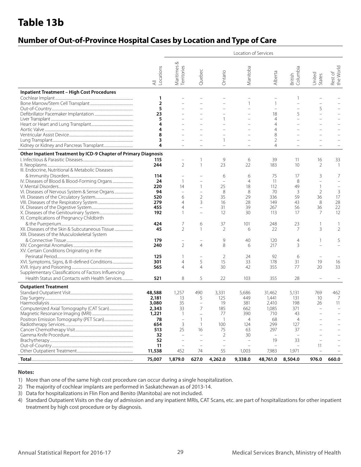# **Table 13b**

### **Number of Out-of-Province Hospital Cases by Location and Type of Care**

|                                                                                                                                              |                                                                            |                                                                                            |                                                                                                                                              |                                                           | Location of Services                                                   |                                                                    |                                                          |                                              |                                           |
|----------------------------------------------------------------------------------------------------------------------------------------------|----------------------------------------------------------------------------|--------------------------------------------------------------------------------------------|----------------------------------------------------------------------------------------------------------------------------------------------|-----------------------------------------------------------|------------------------------------------------------------------------|--------------------------------------------------------------------|----------------------------------------------------------|----------------------------------------------|-------------------------------------------|
|                                                                                                                                              | Locations<br>$\equiv$                                                      | ∞<br>Maritimes &<br>Territories                                                            | Quebec                                                                                                                                       | Ontario                                                   | Manitoba                                                               | Alberta                                                            | British<br>Columbia                                      | United<br>States                             | Rest of<br>the World                      |
| <b>Inpatient Treatment - High Cost Procedures</b>                                                                                            | 1<br>$\overline{2}$<br>5<br>23<br>5<br>4<br>4<br>8<br>3                    |                                                                                            |                                                                                                                                              | $\overline{\phantom{0}}$<br>1                             | $\mathbf{1}$                                                           | $\mathbf{1}$<br>18<br>$\overline{4}$<br>4<br>4<br>8<br>2           | 1<br>$\overline{\phantom{0}}$<br>5                       | 5                                            |                                           |
|                                                                                                                                              | 4                                                                          |                                                                                            |                                                                                                                                              |                                                           |                                                                        | 4                                                                  |                                                          |                                              |                                           |
| Other Inpatient Treatment by ICD-9 Chapter of Primary Diagnosis<br>III. Endocrine, Nutritional & Metabolic Diseases                          | 115<br>244                                                                 | $\overline{2}$                                                                             | 1<br>$\mathbf{1}$                                                                                                                            | 9<br>23                                                   | 6<br>22                                                                | 39<br>183                                                          | 11<br>10                                                 | 16<br>$\overline{2}$                         | 33<br>$\overline{1}$                      |
| VI. Diseases of Nervous System & Sense Organs                                                                                                | 114<br>24<br>220<br>94<br>520<br>279<br>455<br>192                         | $\mathbf{1}$<br>14<br>$\overline{\phantom{0}}$<br>6<br>4<br>$\overline{4}$<br>$\mathbf{1}$ | $\qquad \qquad -$<br>$\mathbf{1}$<br>$\overline{\phantom{0}}$<br>$\overline{2}$<br>3<br>$\overline{\phantom{0}}$<br>$\overline{\phantom{0}}$ | 6<br>$\qquad \qquad -$<br>25<br>8<br>35<br>16<br>31<br>12 | 6<br>$\overline{4}$<br>18<br>8<br>29<br>28<br>39<br>30                 | 75<br>11<br>112<br>70<br>336<br>149<br>267<br>113                  | 17<br>8<br>49<br>3<br>59<br>43<br>56<br>17               | 3<br>$\mathbf{1}$<br>2<br>36<br>8<br>36<br>7 | 7<br>$\mathbf{3}$<br>17<br>28<br>22<br>12 |
| XI. Complications of Pregnancy Childbirth<br>XII. Diseases of the Skin & Subcutaneous Tissue<br>XIII. Diseases of the Musculoskeletal System | 424<br>45                                                                  | 7<br>$\mathfrak{D}$                                                                        | 6<br>$\mathbf{1}$                                                                                                                            | 37<br>2                                                   | 101<br>6                                                               | 248<br>22                                                          | 23<br>$\overline{7}$                                     | 3                                            | $\overline{2}$                            |
| XV. Certain Conditions Originating in the                                                                                                    | 179<br>240                                                                 | $\overline{2}$                                                                             | $\overline{a}$<br>$\overline{4}$                                                                                                             | 9<br>8                                                    | 40<br>6                                                                | 120<br>217                                                         | 4<br>3                                                   | -1                                           | 5                                         |
| XVI. Symptoms, Signs, & III-defined Conditions<br>Supplementary Classifications of Factors Influencing                                       | 125<br>301<br>565                                                          | -1<br>$\overline{4}$<br>4                                                                  | $\overline{a}$<br>5<br>$\overline{4}$                                                                                                        | 2<br>15<br>30                                             | 24<br>33<br>42                                                         | 92<br>178<br>355                                                   | 6<br>31<br>77                                            | 19<br>20                                     | 16<br>33                                  |
| Health Status and Contacts with Health Services                                                                                              | 521                                                                        | 8                                                                                          | 5                                                                                                                                            | 22                                                        | 103                                                                    | 355                                                                | 28                                                       | $\overline{\phantom{0}}$                     |                                           |
| <b>Outpatient Treatment</b>                                                                                                                  | 48,588<br>2,181<br>3,080<br>2,343<br>1,221<br>78<br>654<br>513<br>32<br>52 | 1,257<br>13<br>35<br>33<br>$\mathbf{1}$<br>3<br>25                                         | 490<br>5<br>$\qquad \qquad -$<br>$\overline{7}$<br>-1<br>$\mathbf{1}$<br>16                                                                  | 3,331<br>125<br>19<br>185<br>77<br>100<br>75<br>2         | 5,686<br>449<br>381<br>662<br>390<br>$\overline{4}$<br>124<br>63<br>30 | 31,462<br>1,441<br>2,410<br>1,085<br>710<br>68<br>299<br>297<br>19 | 5,131<br>131<br>198<br>371<br>43<br>4<br>127<br>37<br>33 | 769<br>10<br>26<br>$\overline{\phantom{a}}$  | 462<br>7<br>11                            |
|                                                                                                                                              | 11<br>11,538                                                               | 452                                                                                        | 74                                                                                                                                           | $\overline{a}$<br>55                                      | 1,003                                                                  | 7,983                                                              | 1,971                                                    | 11                                           |                                           |
|                                                                                                                                              | 75,007                                                                     | 1,879.0                                                                                    | 627.0                                                                                                                                        | 4,262.0                                                   | 9,338.0                                                                | 48,761.0                                                           | 8,504.0                                                  | 976.0                                        | 660.0                                     |

#### **Notes:**

1) More than one of the same high cost procedure can occur during a single hospitalization.

2) The majority of cochlear implants are performed in Saskatchewan as of 2013-14.

3) Data for hospitalizations in Flin Flon and Benito (Manitoba) are not included.

4) Standard Outpatient Visits on the day of admission and any inpatient MRIs, CAT Scans, etc. are part of hospitalizations for other inpatient treatment by high cost procedure or by diagnosis.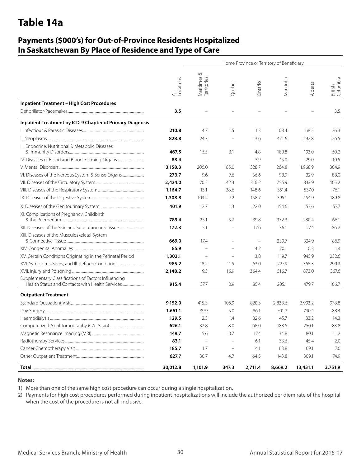# **Table 14a**

### **Payments (\$000's) for Out-of-Province Residents Hospitalized In Saskatchewan By Place of Residence and Type of Care**

|                                                                  |                                        | Home Province or Territory of Beneficiary |                          |                          |          |          |                     |  |  |  |  |
|------------------------------------------------------------------|----------------------------------------|-------------------------------------------|--------------------------|--------------------------|----------|----------|---------------------|--|--|--|--|
|                                                                  | Locations<br>$\overline{\preccurlyeq}$ | Maritimes &<br>Territories                | Quebec                   | Ontario                  | Manitoba | Alberta  | British<br>Columbia |  |  |  |  |
| <b>Inpatient Treatment - High Cost Procedures</b>                |                                        |                                           |                          |                          |          |          |                     |  |  |  |  |
|                                                                  | 3.5                                    |                                           |                          |                          |          |          | 3.5                 |  |  |  |  |
| <b>Inpatient Treatment by ICD-9 Chapter of Primary Diagnosis</b> |                                        |                                           |                          |                          |          |          |                     |  |  |  |  |
|                                                                  | 210.8                                  | 4.7                                       | 1.5                      | 1.3                      | 108.4    | 68.5     | 26.3                |  |  |  |  |
|                                                                  | 828.8                                  | 24.3                                      | $\overline{\phantom{0}}$ | 13.6                     | 471.6    | 292.8    | 26.5                |  |  |  |  |
| III. Endocrine, Nutritional & Metabolic Diseases                 | 467.5                                  | 16.5                                      | 3.1                      | 4.8                      | 189.8    | 193.0    | 60.2                |  |  |  |  |
| IV. Diseases of Blood and Blood-Forming Organs                   | 88.4                                   | $\overline{\phantom{0}}$                  | $\overline{\phantom{a}}$ | 3.9                      | 45.0     | 29.0     | 10.5                |  |  |  |  |
|                                                                  | 3,158.3                                | 206.0                                     | 85.0                     | 328.7                    | 264.8    | 1,968.9  | 304.9               |  |  |  |  |
| VI. Diseases of the Nervous System & Sense Organs                | 273.7                                  | 9.6                                       | 7.6                      | 36.6                     | 98.9     | 32.9     | 88.0                |  |  |  |  |
|                                                                  | 2,424.0                                | 70.5                                      | 42.3                     | 316.2                    | 756.9    | 832.9    | 405.2               |  |  |  |  |
|                                                                  | 1,164.7                                | 13.1                                      | 38.6                     | 148.6                    | 351.4    | 537.0    | 76.1                |  |  |  |  |
|                                                                  | 1,308.8                                | 103.2                                     | 7.2                      | 158.7                    | 395.1    | 454.9    | 189.8               |  |  |  |  |
|                                                                  | 401.9                                  | 12.7                                      | 1.3                      | 22.0                     | 154.6    | 153.6    | 57.7                |  |  |  |  |
| XI. Complications of Pregnancy, Childbirth                       | 789.4                                  | 25.1                                      | 5.7                      | 39.8                     | 372.3    | 280.4    | 66.1                |  |  |  |  |
| XII. Diseases of the Skin and Subcutaneous Tissue                | 172.3                                  | 5.1                                       | $\overline{\phantom{0}}$ | 17.6                     | 36.1     | 27.4     | 86.2                |  |  |  |  |
| XIII. Diseases of the Musculoskeletal System                     | 669.0                                  | 17.4                                      | $\overline{\phantom{0}}$ | $\overline{\phantom{0}}$ | 239.7    | 324.9    | 86.9                |  |  |  |  |
|                                                                  | 85.9                                   |                                           |                          | 4.2                      | 70.1     | 10.3     | 1.4                 |  |  |  |  |
| XV. Certain Conditions Originating in the Perinatal Period       | 1,302.1                                | $\qquad \qquad -$                         | $\overline{\phantom{0}}$ | 3.8                      | 119.7    | 945.9    | 232.6               |  |  |  |  |
| XVI. Symptoms, Signs, and III-defined Conditions                 | 985.2                                  | 18.2                                      | 11.5                     | 63.0                     | 227.9    | 365.3    | 299.3               |  |  |  |  |
|                                                                  | 2,148.2                                | 9.5                                       | 16.9                     | 364.4                    | 516.7    | 873.0    | 367.6               |  |  |  |  |
| Supplementary Classifications of Factors Influencing             | 915.4                                  | 37.7                                      | 0.9                      | 85.4                     | 205.1    | 479.7    | 106.7               |  |  |  |  |
| <b>Outpatient Treatment</b>                                      |                                        |                                           |                          |                          |          |          |                     |  |  |  |  |
|                                                                  | 9,152.0                                | 415.3                                     | 105.9                    | 820.3                    | 2,838.6  | 3,993.2  | 978.8               |  |  |  |  |
|                                                                  | 1,661.1                                | 39.9                                      | 5.0                      | 86.1                     | 701.2    | 740.4    | 88.4                |  |  |  |  |
|                                                                  | 129.5                                  | 2.3                                       | 1.4                      | 32.6                     | 45.7     | 33.2     | 14.3                |  |  |  |  |
|                                                                  | 626.1                                  | 32.8                                      | 8.0                      | 68.0                     | 183.5    | 250.1    | 83.8                |  |  |  |  |
|                                                                  | 149.7                                  | 5.6                                       | 0.7                      | 17.4                     | 34.8     | 80.1     | 11.2                |  |  |  |  |
|                                                                  | 83.1                                   | $\overline{\phantom{a}}$                  |                          | 6.1                      | 33.6     | 45.4     | $-2.0$              |  |  |  |  |
|                                                                  | 185.7                                  | 1.7                                       | $\overline{\phantom{0}}$ | 4.1                      | 63.8     | 109.1    | 7.0                 |  |  |  |  |
|                                                                  | 627.7                                  | 30.7                                      | 4.7                      | 64.5                     | 143.8    | 309.1    | 74.9                |  |  |  |  |
|                                                                  | 30,012.8                               | 1,101.9                                   | 347.3                    | 2,711.4                  | 8,669.2  | 13,431.1 | 3,751.9             |  |  |  |  |

#### **Notes:**

1) More than one of the same high cost procedure can occur during a single hospitalization.

2) Payments for high cost procedures performed during inpatient hospitalizations will include the authorized per diem rate of the hospital when the cost of the procedure is not all-inclusive.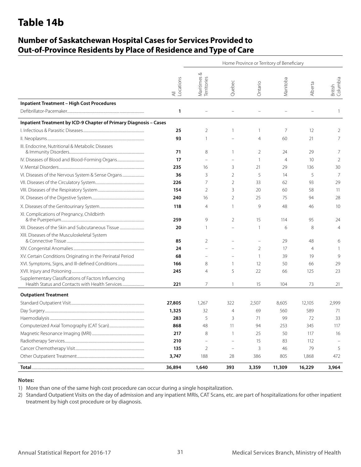# **Table 14b**

### **Number of Saskatchewan Hospital Cases for Services Provided to Out-of-Province Residents by Place of Residence and Type of Care**

|                                                                   | Home Province or Territory of Beneficiary |                               |                |                |                |                |                     |  |  |  |
|-------------------------------------------------------------------|-------------------------------------------|-------------------------------|----------------|----------------|----------------|----------------|---------------------|--|--|--|
|                                                                   | -ocations<br>$\overline{\overline{z}}$    | ∞<br>Maritimes<br>Territories | Quebec         | Ontario        | Manitoba       | Alberta        | British<br>Columbia |  |  |  |
| <b>Inpatient Treatment - High Cost Procedures</b>                 |                                           |                               |                |                |                |                |                     |  |  |  |
|                                                                   | 1                                         |                               |                |                |                |                | 1                   |  |  |  |
| Inpatient Treatment by ICD-9 Chapter of Primary Diagnosis - Cases |                                           |                               |                |                |                |                |                     |  |  |  |
|                                                                   | 25                                        | 2                             | $\mathbf{1}$   | 1              | 7              | 12             | 2                   |  |  |  |
|                                                                   | 93                                        | 1                             |                | 4              | 60             | 21             | 7                   |  |  |  |
| III. Endocrine, Nutritional & Metabolic Diseases                  | 71                                        | 8                             | $\mathbf{1}$   | $\overline{2}$ | 24             | 29             | 7                   |  |  |  |
| IV. Diseases of Blood and Blood-Forming Organs                    | 17                                        | $\overline{a}$                |                | $\mathbf{1}$   | $\overline{4}$ | 10             | 2                   |  |  |  |
|                                                                   | 235                                       | 16                            | 3              | 21             | 29             | 136            | 30                  |  |  |  |
| VI. Diseases of the Nervous System & Sense Organs                 | 36                                        | 3                             | $\overline{2}$ | 5              | 14             | 5              | 7                   |  |  |  |
|                                                                   | 226                                       | 7                             | $\overline{2}$ | 33             | 62             | 93             | 29                  |  |  |  |
|                                                                   | 154                                       | 2                             | 3              | 20             | 60             | 58             | 11                  |  |  |  |
|                                                                   | 240                                       | 16                            | 2              | 25             | 75             | 94             | 28                  |  |  |  |
|                                                                   | 118                                       | 4                             | 1              | 9              | 48             | 46             | 10                  |  |  |  |
| XI. Complications of Pregnancy, Childbirth                        | 259                                       | 9                             | 2              | 15             | 114            | 95             | 24                  |  |  |  |
| XII. Diseases of the Skin and Subcutaneous Tissue                 | 20                                        |                               |                | -1             | 6              | 8              | $\overline{4}$      |  |  |  |
| XIII. Diseases of the Musculoskeletal System                      | 85                                        | 2                             |                |                | 29             | 48             | 6                   |  |  |  |
|                                                                   | 24                                        |                               |                | $\overline{2}$ | 17             | $\overline{4}$ |                     |  |  |  |
| XV. Certain Conditions Originating in the Perinatal Period        | 68                                        |                               |                | 1              | 39             | 19             | 9                   |  |  |  |
| XVI. Symptoms, Signs, and III-defined Conditions                  | 166                                       | 8                             | 1              | 12             | 50             | 66             | 29                  |  |  |  |
|                                                                   | 245                                       | 4                             | 5              | 22             | 66             | 125            | 23                  |  |  |  |
| Supplementary Classifications of Factors Influencing              |                                           |                               |                |                |                |                |                     |  |  |  |
|                                                                   | 221                                       | 7                             | $\mathbf{1}$   | 15             | 104            | 73             | 21                  |  |  |  |
| <b>Outpatient Treatment</b>                                       |                                           |                               |                |                |                |                |                     |  |  |  |
|                                                                   | 27,805                                    | 1,267                         | 322            | 2,507          | 8,605          | 12,105         | 2,999               |  |  |  |
|                                                                   | 1,325                                     | 32                            | $\overline{4}$ | 69             | 560            | 589            | 71                  |  |  |  |
|                                                                   | 283                                       | 5                             | 3              | 71             | 99             | 72             | 33                  |  |  |  |
|                                                                   | 868                                       | 48                            | 11             | 94             | 253            | 345            | 117                 |  |  |  |
|                                                                   | 217                                       | 8                             | 1              | 25             | 50             | 117            | 16                  |  |  |  |
|                                                                   | 210                                       |                               |                | 15             | 83             | 112            |                     |  |  |  |
|                                                                   | 135                                       | 2                             |                | 3              | 46             | 79             | 5                   |  |  |  |
|                                                                   | 3,747                                     | 188                           | 28             | 386            | 805            | 1,868          | 472                 |  |  |  |
|                                                                   | 36,894                                    | 1,640                         | 393            | 3,359          | 11,309         | 16,229         | 3,964               |  |  |  |

#### **Notes:**

1) More than one of the same high cost procedure can occur during a single hospitalization.

2) Standard Outpatient Visits on the day of admission and any inpatient MRIs, CAT Scans, etc. are part of hospitalizations for other inpatient treatment by high cost procedure or by diagnosis.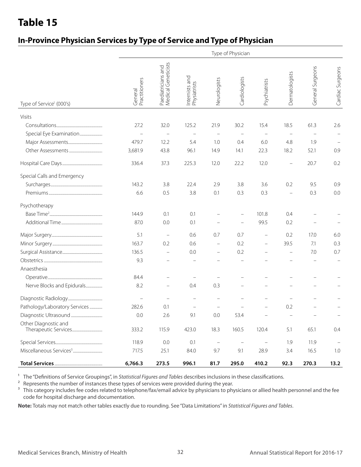### **In-Province Physician Services by Type of Service and Type of Physician**

|                                              |                          | Type of Physician                         |                                |                          |                   |                          |                   |                  |                   |  |
|----------------------------------------------|--------------------------|-------------------------------------------|--------------------------------|--------------------------|-------------------|--------------------------|-------------------|------------------|-------------------|--|
| Type of Service <sup>1</sup> (000's)         | General<br>Practitioners | Paediatricians and<br>Medical Geneticists | Internists and<br>Physiatrists | Neurologists             | Cardiologists     | Psychiatrists            | Dermatologists    | General Surgeons | Cardiac Surgeons  |  |
| Visits                                       |                          |                                           |                                |                          |                   |                          |                   |                  |                   |  |
|                                              | 27.2                     | 32.0                                      | 125.2                          | 21.9                     | 30.2              | 15.4                     | 18.5              | 61.3             | 2.6               |  |
| Special Eye Examination                      |                          |                                           |                                |                          |                   |                          |                   |                  |                   |  |
|                                              | 479.7                    | 12.2                                      | 5.4                            | 1.0                      | 0.4               | 6.0                      | 4.8               | 1.9              |                   |  |
|                                              | 3,681.9                  | 43.8                                      | 96.1                           | 14.9                     | 14.1              | 22.3                     | 18.2              | 52.1             | 0.9               |  |
|                                              | 336.4                    | 37.3                                      | 225.3                          | 12.0                     | 22.2              | 12.0                     | $\qquad \qquad -$ | 20.7             | 0.2               |  |
| Special Calls and Emergency                  |                          |                                           |                                |                          |                   |                          |                   |                  |                   |  |
|                                              | 143.2                    | 3.8                                       | 22.4                           | 2.9                      | 3.8               | 3.6                      | 0.2               | 9.5              | 0.9               |  |
|                                              | 6.6                      | 0.5                                       | 3.8                            | 0.1                      | 0.3               | 0.3                      |                   | 0.3              | 0.0               |  |
| Psychotherapy                                |                          |                                           |                                |                          |                   |                          |                   |                  |                   |  |
|                                              | 144.9                    | 0.1                                       | 0.1                            |                          |                   | 101.8                    | 0.4               |                  |                   |  |
|                                              | 87.0                     | 0.0                                       | 0.1                            |                          |                   | 99.5                     | 0.2               |                  |                   |  |
|                                              | 5.1                      | $\overline{\phantom{0}}$                  | 0.6                            | 0.7                      | 0.7               | $\overline{\phantom{0}}$ | 0.2               | 17.0             | 6.0               |  |
|                                              | 163.7                    | 0.2                                       | 0.6                            | $\qquad \qquad -$        | 0.2               |                          | 39.5              | 7.1              | 0.3               |  |
|                                              | 136.5                    | $\overline{\phantom{0}}$                  | 0.0                            | $\qquad \qquad -$        | 0.2               |                          |                   | 7.0              | 0.7               |  |
|                                              | 9.3                      |                                           |                                |                          |                   |                          |                   |                  |                   |  |
| Anaesthesia                                  |                          |                                           |                                |                          |                   |                          |                   |                  |                   |  |
|                                              | 84.4                     |                                           |                                |                          |                   |                          |                   |                  |                   |  |
| Nerve Blocks and Epidurals                   | 8.2                      | -                                         | 0.4                            | 0.3                      |                   |                          |                   |                  |                   |  |
|                                              |                          |                                           |                                |                          |                   |                          |                   |                  |                   |  |
| Pathology/Laboratory Services                | 282.6                    | 0.1                                       |                                |                          |                   |                          | 0.2               |                  |                   |  |
|                                              | 0.0                      | 2.6                                       | 9.1                            | 0.0                      | 53.4              | $\frac{1}{2}$            | $\equiv$          | $\equiv$         |                   |  |
| Other Diagnostic and<br>Therapeutic Services | 333.2                    | 115.9                                     | 423.0                          | 18.3                     | 160.5             | 120.4                    | 5.1               | 65.1             | 0.4               |  |
|                                              | 118.9                    | 0.0                                       | 0.1                            | $\overline{\phantom{m}}$ | $\qquad \qquad -$ | $\qquad \qquad -$        | 1.9               | 11.9             | $\qquad \qquad -$ |  |
|                                              | 717.5                    | 25.1                                      | 84.0                           | 9.7                      | 9.1               | 28.9                     | 3.4               | 16.5             | 1.0               |  |
|                                              | 6,766.3                  | 273.5                                     | 996.1                          | 81.7                     | 295.0             | 410.2                    | 92.3              | 270.3            | 13.2              |  |

<sup>1</sup> The "Definitions of Service Groupings", in *Statistical Figures and Tables* describes inclusions in these classifications.

<sup>2</sup> Represents the number of instances these types of services were provided during the year.

<sup>3</sup> This category includes fee codes related to telephone/fax/email advice by physicians to physicians or allied health personnel and the fee code for hospital discharge and documentation.

**Note:** Totals may not match other tables exactly due to rounding. See "Data Limitations" in *Statistical Figures and Tables*.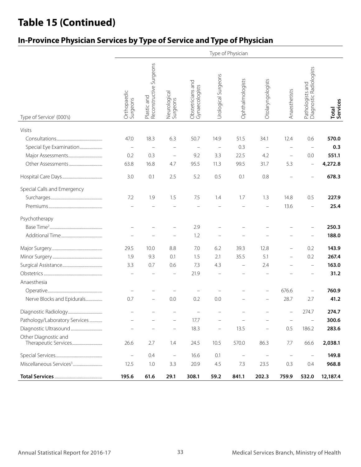# **Table 15 (Continued)**

### **In-Province Physician Services by Type of Service and Type of Physician**

|                                      |                         |                                        |                          |                                     |                     | Type of Physician |                                   |                          |                                             |                   |
|--------------------------------------|-------------------------|----------------------------------------|--------------------------|-------------------------------------|---------------------|-------------------|-----------------------------------|--------------------------|---------------------------------------------|-------------------|
| Type of Service <sup>1</sup> (000's) | Orthopaedic<br>Surgeons | Reconstructive Surgeons<br>Plastic and | Neurological<br>Surgeons | Obstetricians and<br>Gynaecologists | Urological Surgeons | Ophthalmologists  | Otolaryngologists                 | Anaesthetists            | Pathologists and<br>Diagnostic Radiologists | Total<br>Services |
| Visits                               |                         |                                        |                          |                                     |                     |                   |                                   |                          |                                             |                   |
|                                      | 47.0                    | 18.3                                   | 6.3                      | 50.7                                | 14.9                | 51.5              | 34.1                              | 12.4                     | 0.6                                         | 570.0             |
| Special Eye Examination              |                         |                                        |                          |                                     |                     | 0.3               | $\qquad \qquad -$                 |                          |                                             | 0.3               |
|                                      | 0.2                     | 0.3                                    | $\overline{\phantom{0}}$ | 9.2                                 | 3.3                 | 22.5              | 4.2                               | $\overline{\phantom{0}}$ | 0.0                                         | 551.1             |
|                                      | 63.8                    | 16.8                                   | 4.7                      | 95.5                                | 11.3                | 99.5              | 31.7                              | 5.3                      | $\equiv$                                    | 4,272.8           |
|                                      | 3.0                     | 0.1                                    | 2.5                      | 5.2                                 | 0.5                 | 0.1               | 0.8                               |                          |                                             | 678.3             |
| Special Calls and Emergency          |                         |                                        |                          |                                     |                     |                   |                                   |                          |                                             |                   |
|                                      | 7.2                     | 1.9                                    | 1.5                      | 7.5                                 | 1.4                 | 1.7               | 1.3                               | 14.8                     | 0.5                                         | 227.9             |
|                                      |                         |                                        |                          |                                     |                     |                   |                                   | 13.6                     | $\overline{\phantom{0}}$                    | 25.4              |
| Psychotherapy                        |                         |                                        |                          |                                     |                     |                   |                                   |                          |                                             |                   |
|                                      |                         |                                        |                          | 2.9                                 |                     |                   |                                   |                          |                                             | 250.3             |
|                                      |                         |                                        |                          | 1.2                                 |                     |                   |                                   |                          |                                             | 188.0             |
|                                      | 29.5                    | 10.0                                   | 8.8                      | 7.0                                 | 6.2                 | 39.3              | 12.8                              |                          | 0.2                                         | 143.9             |
|                                      | 1.9                     | 9.3                                    | 0.1                      | 1.5                                 | 2.1                 | 35.5              | 5.1                               |                          | 0.2                                         | 267.4             |
|                                      | 3.3                     | 0.7                                    | 0.6                      | 7.3                                 | 4.3                 |                   | 2.4                               |                          |                                             | 163.0             |
|                                      |                         |                                        |                          | 21.9                                |                     |                   |                                   |                          |                                             | 31.2              |
| Anaesthesia                          |                         |                                        |                          |                                     |                     |                   |                                   |                          |                                             |                   |
|                                      |                         |                                        |                          |                                     |                     |                   |                                   | 676.6                    |                                             | 760.9             |
| Nerve Blocks and Epidurals           | 0.7                     |                                        | 0.0                      | 0.2                                 | 0.0                 |                   |                                   | 28.7                     | 2.7                                         | 41.2              |
|                                      |                         |                                        |                          |                                     |                     |                   |                                   | $\qquad \qquad =$        | 274.7                                       | 274.7             |
| Pathology/Laboratory Services        |                         |                                        |                          | 17.7                                |                     |                   |                                   |                          | $\equiv$                                    | 300.6             |
|                                      |                         |                                        | -                        | 18.3                                | -                   | 13.5              | $\qquad \qquad -$                 | 0.5                      | 186.2                                       | 283.6             |
| Other Diagnostic and                 | 26.6                    | 2.7                                    | 1.4                      | 24.5                                | 10.5                | 570.0             | 86.3                              | $7.7\,$                  | 66.6                                        | 2,038.1           |
|                                      | $\equiv$                | 0.4                                    | $\overline{\phantom{a}}$ | 16.6                                | $0.1\,$             | $\qquad \qquad -$ | $\hspace{1.0cm} - \hspace{1.0cm}$ |                          | $\overline{\phantom{a}}$                    | 149.8             |
|                                      | 12.5                    | $1.0\,$                                | 3.3                      | 20.9                                | 4.5                 | 7.3               | 23.5                              | 0.3                      | 0.4                                         | 968.8             |
|                                      | 195.6                   | 61.6                                   | 29.1                     | 308.1                               | 59.2                | 841.1             | 202.3                             | 759.9                    | 532.0                                       | 12,187.4          |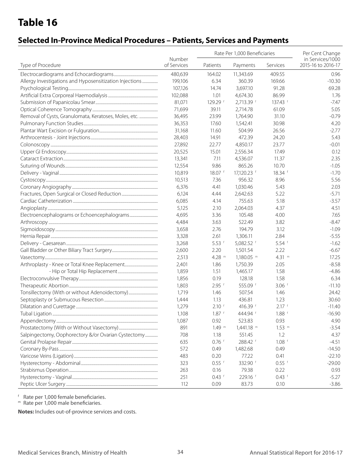### **Selected In-Province Medical Procedures – Patients, Services and Payments**

|                                                         |                       |           | Rate Per 1,000 Beneficiaries |                     | Per Cent Change                        |  |
|---------------------------------------------------------|-----------------------|-----------|------------------------------|---------------------|----------------------------------------|--|
| Type of Procedure                                       | Number<br>of Services | Patients  | Payments                     | Services            | in Services/1000<br>2015-16 to 2016-17 |  |
|                                                         | 480,639               | 164.02    | 11,343.69                    | 409.55              | 0.96                                   |  |
| Allergy Investigations and Hyposensitization Injections | 199,106               | 6.34      | 360.39                       | 169.66              | $-10.30$                               |  |
|                                                         | 107,126               | 14.74     | 3,697.10                     | 91.28               | 69.28                                  |  |
|                                                         | 102,088               | 1.01      | 4,674.30                     | 86.99               | 1.76                                   |  |
|                                                         | 81,071                | 129.29 f  | 2,713.39 f                   | $137.43$ f          | $-7.47$                                |  |
|                                                         | 71,699                | 39.11     | 2,714.78                     | 61.09               | 5.05                                   |  |
| Removal of Cysts, Granulomata, Keratoses, Moles, etc.   | 36,495                | 23.99     | 1,764.90                     | 31.10               | $-0.79$                                |  |
|                                                         | 36,353                | 17.60     | 1,542.41                     | 30.98               | 4.20                                   |  |
|                                                         | 31,168                | 11.60     | 504.99                       | 26.56               | $-2.77$                                |  |
|                                                         | 28,403                | 14.91     | 472.39                       | 24.20               | 5.43                                   |  |
|                                                         | 27,892                | 22.77     | 4,850.17                     | 23.77               | $-0.01$                                |  |
|                                                         | 20,525                | 15.01     | 2,556.34                     | 17.49               | 0.12                                   |  |
|                                                         | 13,341                | 7.11      | 4,536.07                     | 11.37               | 2.35                                   |  |
|                                                         | 12,554                | 9.86      | 865.26                       | 10.70               | $-1.05$                                |  |
|                                                         | 10,819                | $18.07$ f | 17,120.23 f                  | $18.34$ f           | $-1.70$                                |  |
|                                                         | 10,513                | 7.36      | 956.32                       | 8.96                | 5.56                                   |  |
|                                                         | 6,376                 | 4.41      | 1,030.46                     | 5.43                | 2.03                                   |  |
|                                                         | 6,124                 | 4.44      | 2,642.63                     | 5.22                | $-5.71$                                |  |
|                                                         | 6,085                 | 4.14      | 755.63                       | 5.18                | $-3.57$                                |  |
|                                                         | 5,125                 | 2.10      | 2,064.03                     | 4.37                | 4.51                                   |  |
|                                                         | 4,695                 | 3.36      | 105.48                       | 4.00                | 7.65                                   |  |
|                                                         | 4,484                 | 3.63      | 522.49                       | 3.82                | $-8.47$                                |  |
|                                                         | 3,658                 | 2.76      | 194.79                       | 3.12                | $-1.09$                                |  |
|                                                         |                       | 2.61      | 1,306.11                     | 2.84                | $-5.55$                                |  |
|                                                         | 3,328                 |           |                              |                     |                                        |  |
|                                                         | 3,268                 | $5.53$ f  | 5,082.52 f                   | $5.54$ f            | $-1.62$                                |  |
|                                                         | 2,600                 | 2.20      | 1,501.54                     | 2.22                | $-6.67$                                |  |
|                                                         | 2,513                 | 4.28 $m$  | $1,180.05$ m                 | 4.31 $m$            | 17.25                                  |  |
|                                                         | 2,401                 | 1.86      | 1,750.39                     | 2.05                | $-8.58$                                |  |
|                                                         | 1,859                 | 1.51      | 1,465.17                     | 1.58                | $-4.86$                                |  |
|                                                         | 1,856                 | 0.19      | 128.18                       | 1.58                | 6.34                                   |  |
|                                                         | 1,803                 | $2.95$ f  | 555.09 f                     | $3.06$ f            | $-11.10$                               |  |
| Tonsillectomy (With or without Adenoidectomy)           | 1,719                 | 1.46      | 507.54                       | 1.46                | 24.42                                  |  |
|                                                         | 1,444                 | 1.13      | 436.81                       | 1.23                | 30.60                                  |  |
|                                                         | 1,279                 | $2.10$ f  | 416.39 f                     | $2.17$ f            | $-11.40$                               |  |
|                                                         | 1,108                 | 1.87 f    | 444.94                       | 1.88 †              | $-16.90$                               |  |
|                                                         | 1,087                 | 0.92      | 523.83                       | 0.93                | 4.90                                   |  |
|                                                         | 891                   | $1.49$ m  | 1,441.18 m                   | $1.53$ <sup>m</sup> | $-3.54$                                |  |
| Salpingectomy, Oophorectory &/or Ovarian Cystectomy     | 708                   | 1.18      | 551.45                       | 1.2                 | 4.37                                   |  |
|                                                         | 635                   | $0.76$ f  | 288.42 f                     | $1.08$ f            | $-4.51$                                |  |
|                                                         | 572                   | 0.49      | 1,482.68                     | 0.49                | $-14.50$                               |  |
|                                                         | 483                   | 0.20      | 77.22                        | 0.41                | $-22.10$                               |  |
|                                                         | 323                   | $0.55$ f  | 332.90 f                     | $0.55$ f            | $-29.00$                               |  |
|                                                         | 263                   | 0.16      | 79.38                        | 0.22                | 0.93                                   |  |
|                                                         | 251                   | $0.43$ f  | 229.16 f                     | $0.43$ f            | $-5.27$                                |  |
|                                                         | 112                   | 0.09      | 83.73                        | 0.10                | $-3.86$                                |  |

<sup>f</sup> Rate per 1,000 female beneficiaries.

m Rate per 1,000 male beneficiaries.

**Notes:** Includes out-of-province services and costs.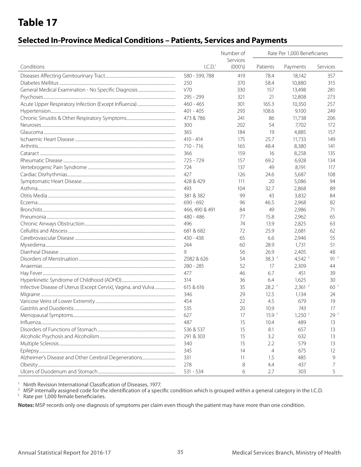### **Selected In-Province Medical Conditions – Patients, Services and Payments**

|                                                                | Number of<br>Rate Per 1,000 Beneficiaries<br>Services |         |                   |           |                   |
|----------------------------------------------------------------|-------------------------------------------------------|---------|-------------------|-----------|-------------------|
| Conditions                                                     | I.C.D. <sup>1</sup>                                   | (000's) | Patients          | Payments  | Services          |
|                                                                | 580 - 599, 788                                        | 419     | 78.4              | 18,142    | 357               |
|                                                                | 250                                                   | 370     | 58.4              | 10,880    | 315               |
|                                                                | V70                                                   | 330     | 157               | 13,498    | 281               |
|                                                                | 295 - 299                                             | 321     | 21                | 12,808    | 273               |
|                                                                | $460 - 465$                                           | 301     | 165.3             | 10,350    | 257               |
|                                                                | $401 - 405$                                           | 293     | 108.6             | 9,100     | 249               |
|                                                                | 473 & 786                                             | 241     | 86                | 11,738    | 206               |
|                                                                | 300                                                   | 202     | 54                | 7,702     | 172               |
|                                                                | 365                                                   | 184     | 19                | 4,885     | 157               |
|                                                                | $410 - 414$                                           | 175     | 25.7              | 11,733    | 149               |
|                                                                | $710 - 716$                                           | 165     | 48.4              | 8,380     | 141               |
|                                                                | 366                                                   | 159     | 16                | 8,258     | 135               |
|                                                                | $725 - 729$                                           | 157     | 69.2              | 6,928     | 134               |
|                                                                | 724                                                   | 137     | 49                | 8,191     | 117               |
|                                                                | 427                                                   | 126     | 24.6              | 5,687     | 108               |
|                                                                | 428 & 429                                             | 111     | 20                | 5,086     | 94                |
|                                                                | 493                                                   | 104     | 32.7              | 2,868     | 89                |
|                                                                | 381 & 382                                             | 99      | 43                | 3,832     | 84                |
|                                                                | $690 - 692$                                           | 96      | 46.5              | 2,968     | 82                |
|                                                                | 466, 490 & 491                                        | 84      | 49                | 2,986     | 71                |
|                                                                | $480 - 486$                                           | 77      | 15.8              | 2,962     | 65                |
|                                                                | 496                                                   | 74      | 13.9              | 2,825     | 63                |
|                                                                | 681 & 682                                             | 72      | 25.9              | 2,681     | 62                |
|                                                                | 430 - 438                                             | 65      | 6.6               | 2,946     | 55                |
|                                                                | 244                                                   | 60      | 28.9              | 1,731     | 51                |
|                                                                | 9                                                     | 56      | 26.9              | 2,405     | 48                |
|                                                                | Z082 & 626                                            | 54      | 38.3 $f$          | 4,542 $f$ | $91$ <sup>f</sup> |
|                                                                | $280 - 285$                                           | 52      | 17                | 2,309     | 44                |
|                                                                | 477                                                   | 46      | 6.7               | 451       | 39                |
|                                                                | 314                                                   | 36      | 6.4               | 1,625     | 30                |
| Infective Disease of Uterus (Except Cervix), Vagina, and Vulva | 615 & 616                                             | 35      | $28.2$ f          | $2,361$ f | 60 <sup>1</sup>   |
|                                                                | 346                                                   | 29      | 12.5              | 1,134     | 24                |
|                                                                | 454                                                   | 22      | 4.5               | 679       | 19                |
|                                                                | 535                                                   | 20      | 10.9              | 743       | 17                |
|                                                                | 627                                                   | 17      | 15.9 <sup>†</sup> | $1,250$ f | 29 <sup>†</sup>   |
|                                                                | 487                                                   | 15      | 10.4              | 489       | 13                |
|                                                                | 536 & 537                                             | 15      | 8.1               | 657       | 13                |
|                                                                | 291 & 303                                             | 15      | 3.2               | 632       | 13                |
|                                                                | 340                                                   | 15      | 2.2               | 579       | 13                |
|                                                                | 345                                                   | 14      | $\overline{4}$    | 675       | 12                |
|                                                                | 331                                                   | 11      | 1.5               | 485       | 9                 |
|                                                                | 278                                                   | 8       | 4.4               | 437       |                   |
|                                                                | 531 - 534                                             | 6       | 2.7               | 303       | 5                 |

<sup>1</sup> Ninth Revision International Classification of Diseases, 1977.

 $^2$  MSP internally assigned code for the identification of a specific condition which is grouped within a general category in the I.C.D.  $f$  Rate per 1,000 female beneficiaries.

**Notes:** MSP records only one diagnosis of symptoms per claim even though the patient may have more than one condition.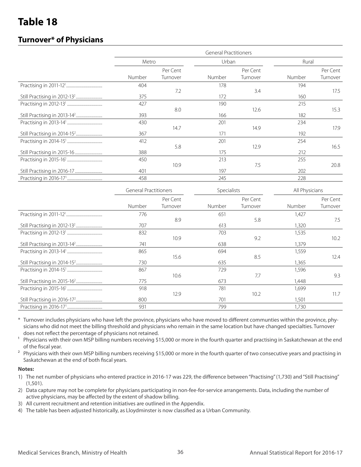### **Turnover\* of Physicians**

|        |          | <b>General Practitioners</b> |          |        |          |
|--------|----------|------------------------------|----------|--------|----------|
| Metro  |          | Urban                        |          | Rural  |          |
|        | Per Cent |                              | Per Cent |        | Per Cent |
| Number | Turnover | Number                       | Turnover | Number | Turnover |
| 404    |          | 178                          |          | 194    |          |
|        | 7.2      |                              | 3.4      |        | 17.5     |
| 375    |          | 172                          |          | 160    |          |
| 427    |          | 190                          |          | 215    |          |
|        | 8.0      |                              | 12.6     |        | 15.3     |
| 393    |          | 166                          |          | 182    |          |
| 430    |          | 201                          |          | 234    |          |
|        | 14.7     |                              | 14.9     |        | 17.9     |
| 367    |          | 171                          |          | 192    |          |
| 412    |          | 201                          |          | 254    |          |
|        | 5.8      |                              | 12.9     |        | 16.5     |
| 388    |          | 175                          |          | 212    |          |
| 450    |          | 213                          |          | 255    |          |
|        | 10.9     |                              | 7.5      |        | 20.8     |
| 401    |          | 197                          |          | 202    |          |
| 458    |          | 245                          |          | 228    |          |
|        |          |                              |          |        |          |

| <b>General Practitioners</b> |          | Specialists |          | All Physicians |          |  |
|------------------------------|----------|-------------|----------|----------------|----------|--|
|                              | Per Cent |             | Per Cent |                | Per Cent |  |
| Number                       | Turnover | Number      | Turnover | Number         | Turnover |  |
| 776                          |          | 651         |          | 1,427          |          |  |
|                              | 8.9      |             | 5.8      |                | 7.5      |  |
| 707                          |          | 613         |          | 1,320          |          |  |
| 832                          |          | 703         |          | 1,535          |          |  |
|                              | 10.9     |             | 9.2      |                | 10.2     |  |
| 741                          |          | 638         |          | 1,379          |          |  |
| 865                          |          | 694         |          | 1,559          |          |  |
|                              | 15.6     |             | 8.5      |                | 12.4     |  |
| 730                          |          | 635         |          | 1,365          |          |  |
| 867                          |          | 729         |          | 1,596          |          |  |
|                              | 10.6     |             | 7.7      |                | 9.3      |  |
| 775                          |          | 673         |          | 1,448          |          |  |
| 918                          |          | 781         |          | 1,699          |          |  |
|                              | 12.9     |             | 10.2     |                | 11.7     |  |
| 800                          |          | 701         |          | 1,501          |          |  |
| 931                          |          | 799         |          | 1,730          |          |  |

\* Turnover includes physicians who have left the province, physicians who have moved to different communties within the province, physicians who did not meet the billing threshold and physicians who remain in the same location but have changed specialties. Turnover does not reflect the percentage of physicians not retained.

<sup>1</sup> Physicians with their own MSP billing numbers receiving \$15,000 or more in the fourth quarter and practising in Saskatchewan at the end of the fiscal year.

<sup>2</sup> Physicians with their own MSP billing numbers receiving \$15,000 or more in the fourth quarter of two consecutive years and practising in Saskatchewan at the end of both fiscal years.

#### **Notes:**

- 1) The net number of physicians who entered practice in 2016-17 was 229, the difference between "Practising" (1,730) and "Still Practising" (1,501).
- 2) Data capture may not be complete for physicians participating in non-fee-for-service arrangements. Data, including the number of active physicians, may be affected by the extent of shadow billing.
- 3) All current recruitment and retention initiatives are outlined in the Appendix.
- 4) The table has been adjusted historically, as Lloydminster is now classified as a Urban Community.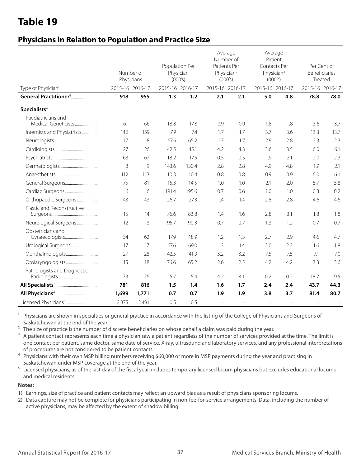### **Physicians in Relation to Population and Practice Size**

|                                           | Number of<br>Physicians |       | Population Per<br>Physician<br>(000's) |       | Average<br>Number of<br>Patients Per<br>Physician <sup>2</sup><br>(000's) |        | Average<br>Patient<br>Contacts Per<br>Physician <sup>3</sup><br>(000's) |                          | Per Cent of<br>Beneficiaries<br>Treated |      |
|-------------------------------------------|-------------------------|-------|----------------------------------------|-------|---------------------------------------------------------------------------|--------|-------------------------------------------------------------------------|--------------------------|-----------------------------------------|------|
| Type of Physician <sup>1</sup>            | 2015-16 2016-17         |       | 2015-16 2016-17                        |       | 2015-16 2016-17                                                           |        | 2015-16 2016-17                                                         |                          | 2015-16 2016-17                         |      |
|                                           | 918                     | 955   | 1.3                                    | 1.2   | 2.1                                                                       | 2.1    | 5.0                                                                     | 4.8                      | 78.8                                    | 78.0 |
| Specialists <sup>4</sup>                  |                         |       |                                        |       |                                                                           |        |                                                                         |                          |                                         |      |
| Paediatricians and<br>Medical Geneticists | 61                      | 66    | 18.8                                   | 17.8  | 0.9                                                                       | 0.9    | 1.8                                                                     | 1.8                      | 3.6                                     | 3.7  |
| Internists and Physiatrists               | 146                     | 159   | 7.9                                    | 7.4   | 1.7                                                                       | 1.7    | 3.7                                                                     | 3.6                      | 13.3                                    | 13.7 |
|                                           | 17                      | 18    | 67.6                                   | 65.2  | 1.7                                                                       | 1.7    | 2.9                                                                     | 2.8                      | 2.3                                     | 2.3  |
|                                           | 27                      | 26    | 42.5                                   | 45.1  | 4.2                                                                       | 4.3    | 3.6                                                                     | 3.5                      | 6.0                                     | 6.1  |
|                                           | 63                      | 67    | 18.2                                   | 17.5  | 0.5                                                                       | 0.5    | 1.9                                                                     | 2.1                      | 2.0                                     | 2.3  |
|                                           | 8                       | 9     | 143.6                                  | 130.4 | 2.8                                                                       | 2.8    | 4.9                                                                     | 4.8                      | 1.9                                     | 2.1  |
|                                           | 112                     | 113   | 10.3                                   | 10.4  | 0.8                                                                       | 0.8    | 0.9                                                                     | 0.9                      | 6.0                                     | 6.1  |
|                                           | 75                      | 81    | 15.3                                   | 14.5  | 1.0                                                                       | 1.0    | 2.1                                                                     | 2.0                      | 5.7                                     | 5.8  |
|                                           | 6                       | 6     | 191.4                                  | 195.6 | 0.7                                                                       | 0.6    | 1.0                                                                     | 1.0                      | 0.3                                     | 0.2  |
| Orthopaedic Surgeons                      | 43                      | 43    | 26.7                                   | 27.3  | 1.4                                                                       | 1.4    | 2.8                                                                     | 2.8                      | 4.6                                     | 4.6  |
| Plastic and Reconstructive                | 15                      | 14    | 76.6                                   | 83.8  | 1.4                                                                       | 1.6    | 2.8                                                                     | 3.1                      | 1.8                                     | 1.8  |
| Neurological Surgeons                     | 12                      | 13    | 95.7                                   | 90.3  | 0.7                                                                       | 0.7    | 1.3                                                                     | 1.2                      | 0.7                                     | 0.7  |
| Obstetricians and                         | 64                      | 62    | 17.9                                   | 18.9  | 1.2                                                                       | 1.3    | 2.7                                                                     | 2.9                      | 4.6                                     | 4.7  |
|                                           | 17                      | 17    | 67.6                                   | 69.0  | 1.3                                                                       | 1.4    | 2.0                                                                     | 2.2                      | 1.6                                     | 1.8  |
|                                           | 27                      | 28    | 42.5                                   | 41.9  | 3.2                                                                       | 3.2    | 7.5                                                                     | 7.5                      | 7.1                                     | 7.0  |
|                                           | 15                      | 18    | 76.6                                   | 65.2  | 2.6                                                                       | 2.5    | 4.2                                                                     | 4.2                      | 3.3                                     | 3.6  |
| Pathologists and Diagnostic               | 73                      | 76    | 15.7                                   | 15.4  | 4.2                                                                       | 4.1    | 0.2                                                                     | 0.2                      | 18.7                                    | 19.5 |
|                                           | 781                     | 816   | 1.5                                    | 1.4   | 1.6                                                                       | 1.7    | 2.4                                                                     | 2.4                      | 43.7                                    | 44.3 |
|                                           | 1,699                   | 1,771 | 0.7                                    | 0.7   | 1.9                                                                       | 1.9    | 3.8                                                                     | 3.7                      | 81.4                                    | 80.7 |
|                                           | 2,375                   | 2,491 | 0.5                                    | 0.5   | $\equiv$                                                                  | $\sim$ | $\sim$                                                                  | $\overline{\phantom{0}}$ | $\overline{\phantom{0}}$                |      |

<sup>1</sup> Physicians are shown in specialties or general practice in accordance with the listing of the College of Physicians and Surgeons of Saskatchewan at the end of the year.

<sup>2</sup> The size of practice is the number of discrete beneficiaries on whose behalf a claim was paid during the year.

<sup>3</sup> A patient contact represents each time a physician saw a patient regardless of the number of services provided at the time. The limit is one contact per patient, same doctor, same date of service. X-ray, ultrasound and laboratory services, and any professional interpretations of procedures are not considered to be patient contacts.

4 Physicians with their own MSP billing numbers receiving \$60,000 or more in MSP payments during the year and practising in Saskatchewan under MSP coverage at the end of the year.

<sup>5</sup> Licensed physicians, as of the last day of the fiscal year, includes temporary licensed locum physicians but excludes educational locums and medical residents.

#### **Notes:**

1) Earnings, size of practice and patient contacts may reflect an upward bias as a result of physicians sponsoring locums.

2) Data capture may not be complete for physicians participating in non-fee-for-service arrangements. Data, including the number of active physicians, may be affected by the extent of shadow billing.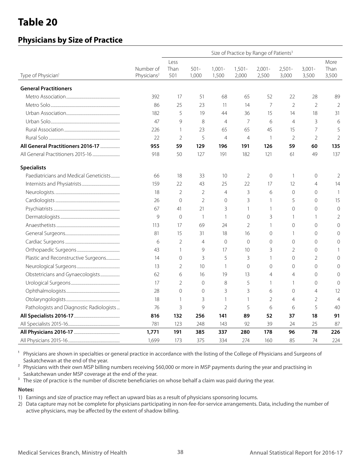### **Physicians by Size of Practice**

|                                          |                                      |                |                  |                    | Size of Practice by Range of Patients <sup>3</sup> |                    |                    |                    |                |
|------------------------------------------|--------------------------------------|----------------|------------------|--------------------|----------------------------------------------------|--------------------|--------------------|--------------------|----------------|
|                                          |                                      | Less           |                  |                    |                                                    |                    |                    |                    | More           |
| Type of Physician <sup>1</sup>           | Number of<br>Physicians <sup>2</sup> | Than<br>501    | $501 -$<br>1,000 | $1,001 -$<br>1,500 | $1,501 -$<br>2,000                                 | $2,001 -$<br>2,500 | $2,501 -$<br>3,000 | $3,001 -$<br>3,500 | Than<br>3,500  |
| <b>General Practitioners</b>             |                                      |                |                  |                    |                                                    |                    |                    |                    |                |
|                                          | 392                                  | 17             | 51               | 68                 | 65                                                 | 52                 | 22                 | 28                 | 89             |
|                                          | 86                                   | 25             | 23               | 11                 | 14                                                 | 7                  | $\overline{2}$     | $\overline{2}$     | $\overline{2}$ |
|                                          | 182                                  | 5              | 19               | 44                 | 36                                                 | 15                 | 14                 | 18                 | 31             |
|                                          | 47                                   | 9              | 8                | $\overline{4}$     | 7                                                  | 6                  | $\overline{4}$     | 3                  | 6              |
|                                          | 226                                  | $\mathbf{1}$   | 23               | 65                 | 65                                                 | 45                 | 15                 | 7                  | 5              |
|                                          | 22                                   | $\overline{2}$ | 5                | $\overline{4}$     | $\overline{4}$                                     | $\mathbf{1}$       | $\overline{2}$     | $\overline{2}$     | $\overline{2}$ |
| All General Practitioners 2016-17        | 955                                  | 59             | 129              | 196                | 191                                                | 126                | 59                 | 60                 | 135            |
|                                          | 918                                  | 50             | 127              | 191                | 182                                                | 121                | 61                 | 49                 | 137            |
| <b>Specialists</b>                       |                                      |                |                  |                    |                                                    |                    |                    |                    |                |
| Paediatricians and Medical Geneticists   | 66                                   | 18             | 33               | 10                 | 2                                                  | $\mathbf 0$        | 1                  | $\mathbf 0$        | $\overline{2}$ |
|                                          | 159                                  | 22             | 43               | 25                 | 22                                                 | 17                 | 12                 | 4                  | 14             |
|                                          | 18                                   | $\overline{2}$ | $\overline{2}$   | $\overline{4}$     | 3                                                  | 6                  | $\overline{0}$     | $\overline{0}$     | -1             |
|                                          | 26                                   | $\overline{0}$ | $\overline{2}$   | $\overline{0}$     | 3                                                  | 1                  | 5                  | $\overline{0}$     | 15             |
|                                          | 67                                   | 41             | 21               | 3                  | $\mathbf{1}$                                       | 1                  | $\Omega$           | $\overline{0}$     | $\overline{0}$ |
|                                          | 9                                    | $\Omega$       | $\mathbf{1}$     | $\mathbf{1}$       | 0                                                  | 3                  | $\mathbf{1}$       | $\mathbf{1}$       | 2              |
|                                          | 113                                  | 17             | 69               | 24                 | $\overline{2}$                                     | $\mathbf{1}$       | $\Omega$           | $\overline{0}$     | $\Omega$       |
|                                          | 81                                   | 15             | 31               | 18                 | 16                                                 | 0                  | $\mathbf{1}$       | $\overline{0}$     | $\Omega$       |
|                                          | 6                                    | $\overline{2}$ | 4                | $\overline{0}$     | $\mathbf 0$                                        | 0                  | $\Omega$           | $\overline{0}$     | $\Omega$       |
|                                          | 43                                   | 1              | 9                | 17                 | 10                                                 | 3                  | $\overline{2}$     | $\overline{0}$     |                |
| Plastic and Reconstructive Surgeons      | 14                                   | $\Omega$       | 3                | 5                  | 3                                                  | 1                  | $\Omega$           | $\overline{2}$     | $\Omega$       |
|                                          | 13                                   | $\overline{2}$ | 10               | $\mathbf{1}$       | 0                                                  | $\mathbf{0}$       | $\Omega$           | $\overline{0}$     | $\Omega$       |
| Obstetricians and Gynaecologists         | 62                                   | 6              | 16               | 19                 | 13                                                 | $\overline{4}$     | $\overline{4}$     | $\overline{0}$     | $\Omega$       |
|                                          | 17                                   | $\overline{2}$ | $\overline{0}$   | 8                  | 5                                                  | 1                  | $\mathbf{1}$       | $\overline{0}$     | $\Omega$       |
|                                          | 28                                   | $\Omega$       | $\Omega$         | 3                  | 3                                                  | 6                  | $\Omega$           | $\overline{4}$     | 12             |
|                                          | 18                                   | $\mathbf{1}$   | 3                | 1                  | 1                                                  | $\overline{2}$     | $\overline{4}$     | $\overline{2}$     | $\overline{4}$ |
| Pathologists and Diagnostic Radiologists | 76                                   | 3              | 9                | $\overline{2}$     | 5                                                  | 6                  | 6                  | 5                  | 40             |
|                                          | 816                                  | 132            | 256              | 141                | 89                                                 | 52                 | 37                 | 18                 | 91             |
|                                          | 781                                  | 123            | 248              | 143                | 92                                                 | 39                 | 24                 | 25                 | 87             |
|                                          | 1,771                                | 191            | 385              | 337                | 280                                                | 178                | 96                 | 78                 | 226            |
|                                          | 1,699                                | 173            | 375              | 334                | 274                                                | 160                | 85                 | 74                 | 224            |

<sup>1</sup> Physicians are shown in specialties or general practice in accordance with the listing of the College of Physicians and Surgeons of Saskatchewan at the end of the year.

<sup>2</sup> Physicians with their own MSP billing numbers receiving \$60,000 or more in MSP payments during the year and practising in Saskatchewan under MSP coverage at the end of the year.

<sup>3</sup> The size of practice is the number of discrete beneficiaries on whose behalf a claim was paid during the year.

#### **Notes:**

1) Earnings and size of practice may reflect an upward bias as a result of physicians sponsoring locums.

2) Data capture may not be complete for physicians participating in non-fee-for-service arrangements. Data, including the number of active physicians, may be affected by the extent of shadow billing.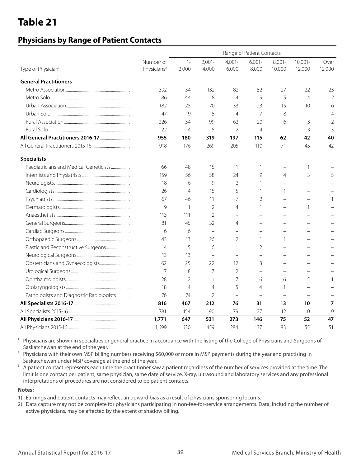### **Physicians by Range of Patient Contacts**

|                                          |                         |                |                |                   | Range of Patient Contacts <sup>3</sup> |                          |                          |                |
|------------------------------------------|-------------------------|----------------|----------------|-------------------|----------------------------------------|--------------------------|--------------------------|----------------|
|                                          | Number of               | $1 -$          | $2,001 -$      | $4,001 -$         | $6,001 -$                              | $8,001 -$                | $10,001 -$               | Over           |
| Type of Physician <sup>1</sup>           | Physicians <sup>2</sup> | 2,000          | 4,000          | 6,000             | 8,000                                  | 10,000                   | 12,000                   | 12,000         |
| <b>General Practitioners</b>             |                         |                |                |                   |                                        |                          |                          |                |
|                                          | 392                     | 54             | 132            | 82                | 52                                     | 27                       | 22                       | 23             |
|                                          | 86                      | 44             | 8              | 14                | 9                                      | 5                        | $\overline{4}$           | $\overline{2}$ |
|                                          | 182                     | 25             | 70             | 33                | 23                                     | 15                       | 10                       | 6              |
|                                          | 47                      | 19             | 5              | $\overline{4}$    | 7                                      | 8                        | $\overline{\phantom{m}}$ | $\overline{4}$ |
|                                          | 226                     | 34             | 99             | 62                | 20                                     | 6                        | 3                        | $\sqrt{2}$     |
|                                          | 22                      | $\overline{4}$ | 5              | $\overline{2}$    | $\overline{4}$                         | $\mathbf{1}$             | 3                        | 3              |
|                                          | 955                     | 180            | 319            | 197               | 115                                    | 62                       | 42                       | 40             |
|                                          | 918                     | 176            | 269            | 205               | 110                                    | 71                       | 45                       | 42             |
| <b>Specialists</b>                       |                         |                |                |                   |                                        |                          |                          |                |
| Paediatricians and Medical Geneticists   | 66                      | 48             | 15             | 1                 | 1                                      | $\overline{\phantom{0}}$ | 1                        |                |
|                                          | 159                     | 56             | 58             | 24                | 9                                      | 4                        | 3                        | 5              |
|                                          | 18                      | 6              | 9              | $\overline{2}$    | $\mathbf{1}$                           |                          |                          |                |
|                                          | 26                      | $\overline{4}$ | 15             | 5                 | $\mathbf{1}$                           | 1                        | $\sim$                   |                |
|                                          | 67                      | 46             | 11             | 7                 | $\overline{2}$                         |                          |                          | 1              |
|                                          | 9                       | $\mathbf{1}$   | $\overline{2}$ | $\overline{4}$    | $\mathbf{1}$                           | $\overline{\phantom{0}}$ | $\mathbf{1}$             |                |
|                                          | 113                     | 111            | $\overline{2}$ | $\qquad \qquad -$ | $\overline{\phantom{0}}$               |                          |                          |                |
|                                          | 81                      | 45             | 32             | 4                 | $\overline{\phantom{0}}$               | $\overline{\phantom{a}}$ | $\equiv$                 |                |
|                                          | 6                       | 6              | $\frac{1}{2}$  | $\qquad \qquad -$ | $\overline{\phantom{0}}$               | $\overline{\phantom{0}}$ |                          |                |
|                                          | 43                      | 13             | 26             | $\overline{2}$    | $\mathbf{1}$                           | 1                        |                          |                |
| Plastic and Reconstructive Surgeons      | 14                      | 5              | 6              | $\mathbf{1}$      | 2                                      |                          |                          |                |
|                                          | 13                      | 13             | $\equiv$       | $\equiv$          | $\equiv$                               |                          |                          |                |
|                                          | 62                      | 25             | 22             | 12                | 3                                      |                          |                          |                |
|                                          | 17                      | 8              | $\overline{7}$ | $\overline{2}$    | $\equiv$                               |                          |                          |                |
|                                          | 28                      | $\overline{2}$ | $\mathbf{1}$   | 7                 | 6                                      | 6                        | 5                        |                |
|                                          | 18                      | $\overline{4}$ | $\overline{4}$ | 5                 | $\overline{4}$                         | $\mathbf{1}$             | $\equiv$                 |                |
| Pathologists and Diagnostic Radiologists | 76                      | 74             | $\overline{2}$ | $\equiv$          |                                        |                          |                          |                |
|                                          | 816                     | 467            | 212            | 76                | 31                                     | 13                       | 10                       | $\overline{7}$ |
|                                          | 781                     | 454            | 190            | 79                | 27                                     | 12                       | 10                       | 9              |
|                                          | 1,771                   | 647            | 531            | 273               | 146                                    | 75                       | 52                       | 47             |
|                                          | 1,699                   | 630            | 459            | 284               | 137                                    | 83                       | 55                       | 51             |

<sup>1</sup> Physicians are shown in specialties or general practice in accordance with the listing of the College of Physicians and Surgeons of Saskatchewan at the end of the year.

<sup>2</sup> Physicians with their own MSP billing numbers receiving \$60,000 or more in MSP payments during the year and practising in Saskatchewan under MSP coverage at the end of the year.

<sup>3</sup> A patient contact represents each time the practitioner saw a patient regardless of the number of services provided at the time. The limit is one contact per patient, same physician, same date of service. X-ray, ultrasound and laboratory services and any professional interpretations of procedures are not considered to be patient contacts.

#### **Notes:**

1) Earnings and patient contacts may reflect an upward bias as a result of physicians sponsoring locums.

2) Data capture may not be complete for physicians participating in non-fee-for-service arrangements. Data, including the number of active physicians, may be affected by the extent of shadow billing.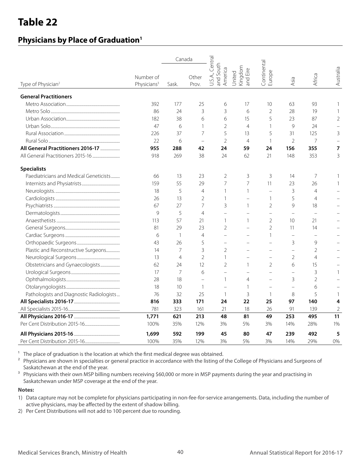### **Physicians by Place of Graduation1**

|                                          |                                      | Canada          |                          |                                         |                               |                          |                          |                          |                |
|------------------------------------------|--------------------------------------|-----------------|--------------------------|-----------------------------------------|-------------------------------|--------------------------|--------------------------|--------------------------|----------------|
| Type of Physician <sup>2</sup>           | Number of<br>Physicians <sup>3</sup> | Sask.           | Other<br>Prov.           | U.S.A., Central<br>and South<br>America | Kingdom<br>and Eire<br>United | Continental<br>Europe    | Asia                     | Africa                   | Australia      |
| <b>General Practitioners</b>             |                                      |                 |                          |                                         |                               |                          |                          |                          |                |
|                                          | 392                                  | 177             | 25                       | 6                                       | 17                            | 10                       | 63                       | 93                       |                |
|                                          | 86                                   | 24              | 3                        | 3                                       | 6                             | $\overline{2}$           | 28                       | 19                       | 1              |
|                                          | 182                                  | 38              | 6                        | 6                                       | 15                            | 5                        | 23                       | 87                       | $\overline{2}$ |
|                                          | 47                                   | 6               | 1                        | $\overline{2}$                          | $\overline{4}$                | $\mathbf{1}$             | 9                        | 24                       |                |
|                                          | 226                                  | 37              | 7                        | 5                                       | 13                            | 5                        | 31                       | 125                      | 3              |
|                                          | 22                                   | 6               | $\equiv$                 | $\overline{2}$                          | $\overline{4}$                | $\mathbf{1}$             | $\overline{2}$           | 7                        |                |
| All General Practitioners 2016-17        | 955                                  | 288             | 42                       | 24                                      | 59                            | 24                       | 156                      | 355                      | 7              |
|                                          | 918                                  | 269             | 38                       | 24                                      | 62                            | 21                       | 148                      | 353                      | 3              |
| <b>Specialists</b>                       |                                      |                 |                          |                                         |                               |                          |                          |                          |                |
| Paediatricians and Medical Geneticists   | 66                                   | 13              | 23                       | 2                                       | 3                             | 3                        | 14                       | 7                        |                |
|                                          | 159                                  | 55              | 29                       | 7                                       | 7                             | 11                       | 23                       | 26                       |                |
|                                          | 18                                   | 5               | $\overline{4}$           |                                         | 1                             | $\overline{\phantom{0}}$ | 3                        | $\overline{4}$           |                |
|                                          | 26                                   | 13              | 2                        | 1                                       | $\equiv$                      | $\mathbf{1}$             | 5                        | $\overline{4}$           |                |
|                                          | 67                                   | 27              | 7                        | 3                                       | $\mathbf{1}$                  | $\overline{2}$           | 9                        | 18                       |                |
|                                          | 9                                    | 5               | $\overline{4}$           | $\overline{\phantom{0}}$                | L.                            | $\overline{\phantom{0}}$ | $\equiv$                 | $\overline{\phantom{a}}$ |                |
|                                          | 113                                  | 57              | 21                       | 1                                       | 1                             | $\overline{2}$           | 10                       | 21                       |                |
|                                          | 81                                   | 29              | 23                       | 2                                       | $\overline{a}$                | $\overline{2}$           | 11                       | 14                       |                |
|                                          | 6                                    | $\mathbf{1}$    | $\overline{4}$           | $=$                                     |                               | $\mathbf{1}$             | $\equiv$                 |                          |                |
|                                          | 43                                   | 26              | 5                        | $\equiv$                                | $\overline{\phantom{0}}$      |                          | 3                        | 9                        |                |
| Plastic and Reconstructive Surgeons      | 14                                   | 7               | 3                        | 2                                       | $\overline{\phantom{0}}$      |                          | $\overline{a}$           | $\overline{2}$           |                |
|                                          | 13                                   | 4               | $\overline{2}$           | 1                                       |                               |                          | $\overline{2}$           | $\overline{4}$           |                |
| Obstetricians and Gynaecologists         | 62                                   | 24              | 12                       | 2                                       | 1                             | $\overline{2}$           | 6                        | 15                       |                |
|                                          | 17                                   | $\overline{7}$  | 6                        | $\overline{\phantom{0}}$                | $\overline{a}$                | $\equiv$                 | $\overline{a}$           | 3                        | 1              |
|                                          | 28                                   | 18              | $\overline{\phantom{0}}$ | 1                                       | $\overline{4}$                | $\overline{\phantom{0}}$ | 3                        | $\overline{2}$           |                |
|                                          | 18                                   | 10 <sup>°</sup> | $\mathbf{1}$             | $\equiv$                                | $\mathbf{1}$                  |                          | $\overline{\phantom{0}}$ | 6                        |                |
| Pathologists and Diagnostic Radiologists | 76                                   | 32              | 25                       | $\mathbf{1}$                            | 3                             | $\mathbf{1}$             | 8                        | 5                        | $\mathbf{1}$   |
|                                          | 816                                  | 333             | 171                      | 24                                      | 22                            | 25                       | 97                       | 140                      | 4              |
|                                          | 781                                  | 323             | 161                      | 21                                      | 18                            | 26                       | 91                       | 139                      | $\overline{2}$ |
|                                          | 1,771                                | 621             | 213                      | 48                                      | 81                            | 49                       | 253                      | 495                      | 11             |
|                                          | 100%                                 | 35%             | 12%                      | 3%                                      | 5%                            | 3%                       | 14%                      | 28%                      | 1%             |
|                                          | 1,699                                | 592             | 199                      | 45                                      | 80                            | 47                       | 239                      | 492                      | 5              |
|                                          | 100%                                 | 35%             | 12%                      | 3%                                      | 5%                            | 3%                       | 14%                      | 29%                      | 0%             |

 $1$  The place of graduation is the location at which the first medical degree was obtained.

<sup>2</sup> Physicians are shown in specialties or general practice in accordance with the listing of the College of Physicians and Surgeons of Saskatchewan at the end of the year.

<sup>3</sup> Physicians with their own MSP billing numbers receiving \$60,000 or more in MSP payments during the year and practising in Saskatchewan under MSP coverage at the end of the year.

#### **Notes:**

- 1) Data capture may not be complete for physicians participating in non-fee-for-service arrangements. Data, including the number of active physicians, may be affected by the extent of shadow billing.
- 2) Per Cent Distributions will not add to 100 percent due to rounding.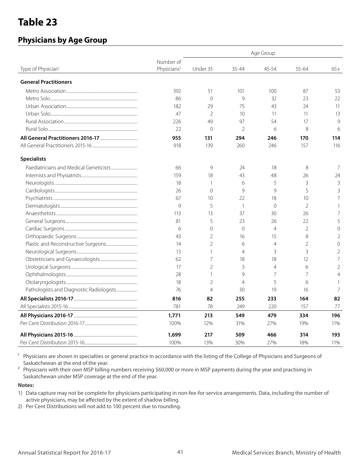### **Physicians by Age Group**

| Type of Physician <sup>1</sup>           | Number of<br>Physicians <sup>2</sup> | Under 35       | $35 - 44$      | 45-54          | 55-64          | $65+$          |
|------------------------------------------|--------------------------------------|----------------|----------------|----------------|----------------|----------------|
| <b>General Practitioners</b>             |                                      |                |                |                |                |                |
|                                          | 392                                  | 51             | 101            | 100            | 87             | 53             |
|                                          | 86                                   | $\Omega$       | 9              | 32             | 23             | 22             |
|                                          | 182                                  | 29             | 75             | 43             | 24             | 11             |
|                                          | 47                                   | $\overline{2}$ | 10             | 11             | 11             | 13             |
|                                          | 226                                  | 49             | 97             | 54             | 17             | 9              |
|                                          | 22                                   | $\overline{0}$ | $\mathfrak{D}$ | 6              | 8              | 6              |
|                                          | 955                                  | 131            | 294            | 246            | 170            | 114            |
|                                          | 918                                  | 139            | 260            | 246            | 157            | 116            |
| <b>Specialists</b>                       |                                      |                |                |                |                |                |
|                                          | 66                                   | 9              | 24             | 18             | 8              | 7              |
|                                          | 159                                  | 18             | 43             | 48             | 26             | 24             |
|                                          | 18                                   | $\mathbf{1}$   | 6              | 5              | 3              | 3              |
|                                          | 26                                   | $\Omega$       | $\mathsf{Q}$   | 9              | 5              | 3              |
|                                          | 67                                   | 10             | 22             | 18             | 10             | 7              |
|                                          | 9                                    | 5              | $\overline{1}$ | $\Omega$       | $\overline{2}$ |                |
|                                          | 113                                  | 13             | 37             | 30             | 26             | 7              |
|                                          | 81                                   | 5              | 23             | 26             | 22             | 5              |
|                                          | 6                                    | 0              | $\Omega$       | $\overline{4}$ | 2              | $\Omega$       |
|                                          | 43                                   | 2              | 16             | 15             | 8              | $\overline{2}$ |
|                                          | 14                                   | 2              | 6              | $\overline{4}$ | 2              | $\Omega$       |
|                                          | 13                                   | 1              | $\overline{4}$ | 3              | 3              | 2              |
|                                          | 62                                   | 7              | 18             | 18             | 12             | 7              |
|                                          | 17                                   | 2              | 3              | $\overline{4}$ | 6              | 2              |
|                                          | 28                                   | 1              | $\mathsf{Q}$   | 7              | 7              | $\overline{4}$ |
|                                          | 18                                   | 2              | $\overline{4}$ | 5              | 6              | 1              |
| Pathologists and Diagnostic Radiologists | 76                                   | 4              | 30             | 19             | 16             | 7              |
|                                          | 816                                  | 82             | 255            | 233            | 164            | 82             |
|                                          | 781                                  | 78             | 249            | 220            | 157            | 77             |
|                                          | 1,771                                | 213            | 549            | 479            | 334            | 196            |
|                                          | 100%                                 | 12%            | 31%            | 27%            | 19%            | 11%            |
|                                          | 1,699                                | 217            | 509            | 466            | 314            | 193            |
|                                          | 100%                                 | 13%            | 30%            | 27%            | 18%            | 11%            |

<sup>1</sup> Physicians are shown in specialties or general practice in accordance with the listing of the College of Physicians and Surgeons of Saskatchewan at the end of the year.

2 Physicians with their own MSP billing numbers receiving \$60,000 or more in MSP payments during the year and practising in Saskatchewan under MSP coverage at the end of the year.

#### **Notes:**

1) Data capture may not be complete for physicians participating in non-fee-for-service arrangements. Data, including the number of active physicians, may be affected by the extent of shadow billing.

2) Per Cent Distributions will not add to 100 percent due to rounding.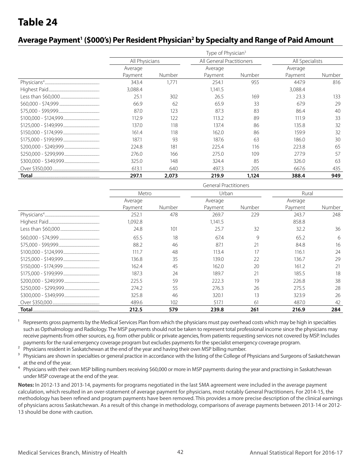### Average Payment<sup>1</sup> (\$000's) Per Resident Physician<sup>2</sup> by Specialty and Range of Paid Amount

| Type of Physician <sup>3</sup> |        |                           |        |                 |        |  |  |  |
|--------------------------------|--------|---------------------------|--------|-----------------|--------|--|--|--|
| All Physicians                 |        | All General Practitioners |        | All Specialists |        |  |  |  |
| Average                        |        | Average                   |        | Average         |        |  |  |  |
| Payment                        | Number | Payment                   | Number | Payment         | Number |  |  |  |
| 343.4                          | 1.771  | 254.1                     | 955    | 447.9           | 816    |  |  |  |
| 3,088.4                        |        | 1.141.5                   |        | 3,088.4         |        |  |  |  |
| 25.1                           | 302    | 26.5                      | 169    | 23.3            | 133    |  |  |  |
| 66.9                           | 62     | 65.9                      | 33     | 67.9            | 29     |  |  |  |
| 87.0                           | 123    | 87.3                      | 83     | 86.4            | 40     |  |  |  |
| 112.9                          | 122    | 113.2                     | 89     | 111.9           | 33     |  |  |  |
| 137.0                          | 118    | 137.4                     | 86     | 135.8           | 32     |  |  |  |
| 161.4                          | 118    | 162.0                     | 86     | 159.9           | 32     |  |  |  |
| 187.1                          | 93     | 187.6                     | 63     | 186.0           | 30     |  |  |  |
| 224.8                          | 181    | 225.4                     | 116    | 223.8           | 65     |  |  |  |
| 276.0                          | 166    | 275.0                     | 109    | 277.9           | 57     |  |  |  |
| 325.0                          | 148    | 324.4                     | 85     | 326.0           | 63     |  |  |  |
| 613.1                          | 640    | 497.3                     | 205    | 667.6           | 435    |  |  |  |
| 297.1                          | 2,073  | 219.9                     | 1,124  | 388.4           | 949    |  |  |  |

| <b>General Practitioners</b> |        |                    |        |                    |        |  |  |  |
|------------------------------|--------|--------------------|--------|--------------------|--------|--|--|--|
| Metro                        |        | Urban              |        | Rural              |        |  |  |  |
| Average<br>Payment           | Number | Average<br>Payment | Number | Average<br>Payment | Number |  |  |  |
| 252.1<br>,092.8              | 478    | 269.7<br>1,141.5   | 229    | 243.7<br>858.8     | 248    |  |  |  |
| 24.8                         | 101    | 25.7               | 32     | 32.2               | 36     |  |  |  |
| 65.5                         | 18     | 67.4               | 9      | 65.2               | 6      |  |  |  |
| 88.2                         | 46     | 87.1               | 21     | 84.8               | 16     |  |  |  |
| 111.7                        | 48     | 113.4              | 17     | 116.1              | 24     |  |  |  |
| 136.8                        | 35     | 139.0              | 22     | 136.7              | 29     |  |  |  |
| 162.4                        | 45     | 162.0              | 20     | 161.2              | 21     |  |  |  |
| 187.3                        | 24     | 189.7              | 21     | 185.5              | 18     |  |  |  |
| 225.5                        | 59     | 222.3              | 19     | 226.8              | 38     |  |  |  |
| 274.2                        | 55     | 276.3              | 26     | 275.5              | 28     |  |  |  |
| 325.8                        | 46     | 320.1              | 13     | 323.9              | 26     |  |  |  |
| 489.6                        | 102    | 517.1              | 61     | 487.0              | 42     |  |  |  |
| 212.5                        | 579    | 239.8              | 261    | 216.9              | 284    |  |  |  |

<sup>1</sup> Represents gross payments by the Medical Services Plan from which the physicians must pay overhead costs which may be high in specialties such as Opthalmology and Radiology. The MSP payments should not be taken to represent total professional income since the physicians may receive payments from other sources, e.g. from other public or private agencies, from patients requesting services not covered by MSP. Includes payments for the rural emergency coverage program but excludes payments for the specialist emergency coverage program.

<sup>2</sup> Physicians resident in Saskatchewan at the end of the year and having their own MSP billing number.

<sup>3</sup> Physicians are shown in specialties or general practice in accordance with the listing of the College of Physicians and Surgeons of Saskatchewan at the end of the year.

<sup>4</sup> Physicians with their own MSP billing numbers receiving \$60,000 or more in MSP payments during the year and practising in Saskatchewan under MSP coverage at the end of the year.

**Notes:** In 2012-13 and 2013-14, payments for programs negotiated in the last SMA agreement were included in the average payment calculation, which resulted in an over-statement of average payment for physicians, most notably General Practitioners. For 2014-15, the methodology has been refined and program payments have been removed. This provides a more precise description of the clinical earnings of physicians across Saskatchewan. As a result of this change in methodology, comparisons of average payments between 2013-14 or 2012- 13 should be done with caution.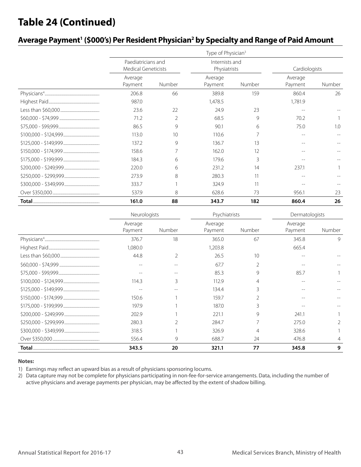### **Table 24 (Continued)**

### Average Payment<sup>1</sup> (\$000's) Per Resident Physician<sup>2</sup> by Specialty and Range of Paid Amount

|                                                  | Type of Physician <sup>3</sup> |                                |        |                    |        |  |  |  |  |
|--------------------------------------------------|--------------------------------|--------------------------------|--------|--------------------|--------|--|--|--|--|
| Paediatricians and<br><b>Medical Geneticists</b> |                                | Internists and<br>Physiatrists |        | Cardiologists      |        |  |  |  |  |
| Average<br>Payment                               | Number                         | Average<br>Payment             | Number | Average<br>Payment | Number |  |  |  |  |
| 206.8                                            | 66                             | 389.8                          | 159    | 860.4              | 26     |  |  |  |  |
| 987.0                                            |                                | 1,478.5                        |        | 1,781.9            |        |  |  |  |  |
| 23.6                                             | 22                             | 24.9                           | 23     |                    |        |  |  |  |  |
| 71.2                                             | $\overline{2}$                 | 68.5                           | 9      | 70.2               |        |  |  |  |  |
| 86.5                                             | 9                              | 90.1                           | 6      | 75.0               | 1.0    |  |  |  |  |
| 113.0                                            | 10                             | 110.6                          |        |                    |        |  |  |  |  |
| 137.2                                            | 9                              | 136.7                          | 13     |                    |        |  |  |  |  |
| 158.6                                            | 7                              | 162.0                          | 12     |                    |        |  |  |  |  |
| 184.3                                            | 6                              | 179.6                          | 3      |                    |        |  |  |  |  |
| 220.0                                            | 6                              | 231.2                          | 14     | 237.1              |        |  |  |  |  |
| 273.9                                            | 8                              | 280.3                          | 11     |                    |        |  |  |  |  |
| 333.7                                            |                                | 324.9                          | 11     |                    |        |  |  |  |  |
| 537.9                                            | 8                              | 628.6                          | 73     | 956.1              | 23     |  |  |  |  |
| 161.0                                            | 88                             | 343.7                          | 182    | 860.4              | 26     |  |  |  |  |

| Neurologists       |                | Psychiatrists      |                | Dermatologists     |        |  |
|--------------------|----------------|--------------------|----------------|--------------------|--------|--|
| Average<br>Payment | Number         | Average<br>Payment | Number         | Average<br>Payment | Number |  |
| 376.7              | 18             | 365.0              | 67             | 345.8              | 9      |  |
| 1,080.0            |                | ,203.8             |                | 665.4              |        |  |
| 44.8               | 2              | 26.5               | 10             |                    |        |  |
| --                 |                | 67.7               |                |                    |        |  |
|                    |                | 85.3               | 9              | 85.7               |        |  |
| 114.3              | 3              | 112.9              | 4              |                    |        |  |
|                    |                | 134.4              | 3              |                    |        |  |
| 150.6              |                | 159.7              |                |                    |        |  |
| 197.9              |                | 187.0              | 3              |                    |        |  |
| 202.9              |                | 221.1              | 9              | 241.1              |        |  |
| 280.3              | $\mathfrak{D}$ | 284.7              | $\overline{7}$ | 275.0              |        |  |
| 318.5              |                | 326.9              | 4              | 328.6              |        |  |
| 556.4              | 9              | 688.7              | 24             | 476.8              | 4      |  |
| 343.5              | 20             | 321.1              | 77             | 345.8              | 9      |  |

#### **Notes:**

1) Earnings may reflect an upward bias as a result of physicians sponsoring locums.

2) Data capture may not be complete for physicians participating in non-fee-for-service arrangements. Data, including the number of active physicians and average payments per physician, may be affected by the extent of shadow billing.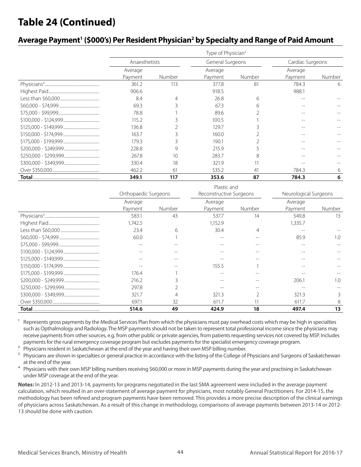### **Table 24 (Continued)**

### Average Payment<sup>1</sup> (\$000's) Per Resident Physician<sup>2</sup> by Specialty and Range of Paid Amount

| Type of Physician <sup>3</sup> |        |                  |        |                  |        |  |  |  |  |
|--------------------------------|--------|------------------|--------|------------------|--------|--|--|--|--|
| Anaesthetists                  |        | General Surgeons |        | Cardiac Surgeons |        |  |  |  |  |
| Average                        |        |                  |        | Average          |        |  |  |  |  |
| Payment                        | Number | Payment          | Number | Payment          | Number |  |  |  |  |
| 361.2                          | 113    | 377.8            | 81     | 784.3            | 6      |  |  |  |  |
| 906.6                          |        | 918.5            |        | 988.1            |        |  |  |  |  |
| 8.4                            | 4      | 26.8             | 6      |                  |        |  |  |  |  |
| 69.3                           |        | 67.3             | 6      |                  |        |  |  |  |  |
| 78.8                           |        | 89.6             |        |                  |        |  |  |  |  |
| 115.2                          |        | 100.5            |        |                  |        |  |  |  |  |
| 136.8                          |        | 129.7            |        |                  |        |  |  |  |  |
| 163.7                          |        | 160.0            |        |                  |        |  |  |  |  |
| 179.3                          |        | 190.1            |        |                  |        |  |  |  |  |
| 228.8                          | 9      | 215.9            |        |                  |        |  |  |  |  |
| 267.8                          | 10     | 283.7            | 8      |                  |        |  |  |  |  |
| 330.4                          | 18     | 321.9            |        |                  |        |  |  |  |  |
| 462.2                          | 61     | 535.2            | 41     | 784.3            | 6      |  |  |  |  |
| 349.1                          | 117    | 353.6            | 87     | 784.3            | 6      |  |  |  |  |

| Plastic and          |        |                         |        |                       |        |  |  |  |
|----------------------|--------|-------------------------|--------|-----------------------|--------|--|--|--|
| Orthopaedic Surgeons |        | Reconstructive Surgeons |        | Neurological Surgeons |        |  |  |  |
| Average              |        | Average                 |        | Average               |        |  |  |  |
| Payment              | Number | Payment                 | Number | Payment               | Number |  |  |  |
| 583.1                | 43     | 537.7                   | 14     | 549.8                 | 13     |  |  |  |
| ,742.5               |        | 1,152.9                 |        | 1,335.7               |        |  |  |  |
| 23.4                 | 6      | 30.4                    |        |                       |        |  |  |  |
| 60.0                 |        |                         |        | 85.9                  | 1.0    |  |  |  |
| --                   |        |                         |        |                       |        |  |  |  |
| --                   | --     |                         | --     |                       |        |  |  |  |
|                      | --     |                         |        |                       |        |  |  |  |
|                      |        | 155.5                   |        |                       |        |  |  |  |
| 176.4                |        |                         |        |                       |        |  |  |  |
| 216.2                |        |                         |        | 206.1                 | 1.0    |  |  |  |
| 297.8                |        |                         |        |                       |        |  |  |  |
| 321.7                | 4      | 321.3                   |        | 321.3                 | 3      |  |  |  |
| 697.1                | 32     | 611.7                   |        | 611.7                 | 8      |  |  |  |
| 514.6                | 49     | 424.9                   | 18     | 497.4                 | 13     |  |  |  |

Represents gross payments by the Medical Services Plan from which the physicians must pay overhead costs which may be high in specialties such as Opthalmology and Radiology. The MSP payments should not be taken to represent total professional income since the physicians may receive payments from other sources, e.g. from other public or private agencies, from patients requesting services not covered by MSP. Includes payments for the rural emergency coverage program but excludes payments for the specialist emergency coverage program.

<sup>2</sup> Physicians resident in Saskatchewan at the end of the year and having their own MSP billing number.

<sup>3</sup> Physicians are shown in specialties or general practice in accordance with the listing of the College of Physicians and Surgeons of Saskatchewan at the end of the year.

<sup>4</sup> Physicians with their own MSP billing numbers receiving \$60,000 or more in MSP payments during the year and practising in Saskatchewan under MSP coverage at the end of the year.

**Notes:** In 2012-13 and 2013-14, payments for programs negotiated in the last SMA agreement were included in the average payment calculation, which resulted in an over-statement of average payment for physicians, most notably General Practitioners. For 2014-15, the methodology has been refined and program payments have been removed. This provides a more precise description of the clinical earnings of physicians across Saskatchewan. As a result of this change in methodology, comparisons of average payments between 2013-14 or 2012- 13 should be done with caution.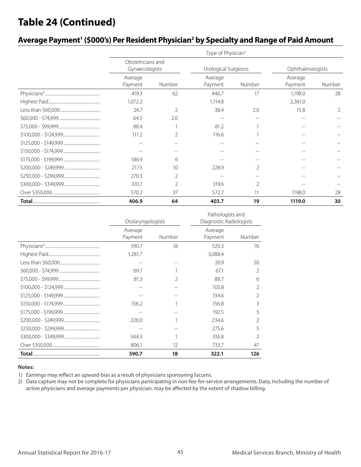### **Table 24 (Continued)**

| Average Payment' (\$000's) Per Resident Physician <sup>2</sup> by Specialty and Range of Paid Amount |  |  |  |  |  |
|------------------------------------------------------------------------------------------------------|--|--|--|--|--|
|------------------------------------------------------------------------------------------------------|--|--|--|--|--|

| Type of Physician <sup>3</sup>      |                |                    |                          |                    |                  |  |  |  |  |
|-------------------------------------|----------------|--------------------|--------------------------|--------------------|------------------|--|--|--|--|
| Obstetricians and<br>Gynaecologists |                |                    | Urological Surgeons      |                    | Ophthalmologists |  |  |  |  |
| Average<br>Payment                  | Number         | Average<br>Payment | Number                   | Average<br>Payment | Number           |  |  |  |  |
| 419.3                               | 62             | 446.7              | 17                       | 1,198.0            | 28               |  |  |  |  |
| 1,072.2                             |                | 1,114.8            |                          | 2,361.0            |                  |  |  |  |  |
| 24.7                                | $\overline{2}$ | 38.4               | 2.0                      | 15.8               | $\mathfrak{D}$   |  |  |  |  |
| 64.5                                | 2.0            |                    | --                       | $ -$               |                  |  |  |  |  |
| 88.4                                |                | 81.2               |                          |                    |                  |  |  |  |  |
| 111.2                               | 2              | 116.6              |                          |                    |                  |  |  |  |  |
| --                                  | --             |                    |                          |                    |                  |  |  |  |  |
|                                     |                |                    |                          |                    |                  |  |  |  |  |
| 186.9                               | 6              |                    |                          |                    |                  |  |  |  |  |
| 217.5                               | 10             | 228.9              |                          |                    |                  |  |  |  |  |
| 270.3                               | 2              |                    | $-$                      |                    |                  |  |  |  |  |
| 310.7                               | $\overline{2}$ | 319.6              | $\overline{\phantom{a}}$ |                    |                  |  |  |  |  |
| 570.2                               | 37             | 572.7              | 11                       | 1198.0             | 28               |  |  |  |  |
| 406.9                               | 64             | 403.7              | 19                       | 1119.0             | 30               |  |  |  |  |

|       | Otolaryngologists  |               | Pathologists and<br>Diagnostic Radiologists |        |  |
|-------|--------------------|---------------|---------------------------------------------|--------|--|
|       | Average<br>Payment | Number        | Average<br>Payment                          | Number |  |
|       | 590.7              | 18            | 520.3                                       | 76     |  |
|       | 1,281.7            |               | 3,088.4                                     |        |  |
|       | --                 |               | 20.9                                        | 50     |  |
|       | 69.7               |               | 671                                         | 2      |  |
|       | 81.3               | $\mathcal{D}$ | 88.7                                        | 6      |  |
|       |                    |               | 103.8                                       | 2      |  |
|       |                    |               | 134.6                                       | 2      |  |
|       | 156.2              |               | 156.8                                       | 3      |  |
|       |                    |               | 192.5                                       | 5      |  |
|       | 226.0              |               | 234.6                                       |        |  |
|       |                    |               | 275.6                                       | 5      |  |
|       | 344.3              |               | 316.8                                       | 2      |  |
|       | 806.1              | 12            | 733.7                                       | 47     |  |
| Total | 590.7              | 18            | 322.1                                       | 126    |  |

#### **Notes:**

1) Earnings may reflect an upward bias as a result of physicians sponsoring locums.

2) Data capture may not be complete for physicians participating in non-fee-for-service arrangements. Data, including the number of active physicians and average payments per physician, may be affected by the extent of shadow billing.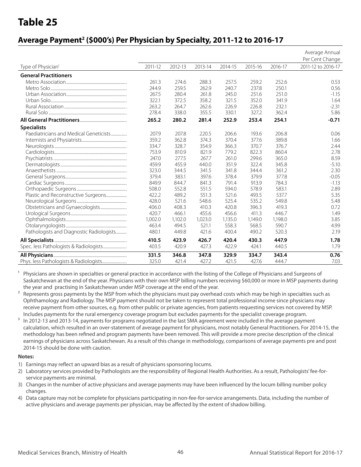### **Average Payment2 (\$000's) Per Physician by Specialty, 2011-12 to 2016-17**

|                                          |         |         |         |         |         |         | Average Annual<br>Per Cent Change |
|------------------------------------------|---------|---------|---------|---------|---------|---------|-----------------------------------|
| Type of Physician <sup>1</sup>           | 2011-12 | 2012-13 | 2013-14 | 2014-15 | 2015-16 | 2016-17 | 2011-12 to 2016-17                |
| <b>General Practitioners</b>             |         |         |         |         |         |         |                                   |
|                                          | 261.3   | 274.6   | 288.3   | 257.5   | 259.2   | 252.6   | 0.53                              |
|                                          | 244.9   | 259.5   | 262.9   | 240.7   | 237.8   | 250.1   | 0.56                              |
|                                          | 267.5   | 280.4   | 261.8   | 245.0   | 251.6   | 251.0   | $-1.15$                           |
|                                          | 322.1   | 372.5   | 358.2   | 321.5   | 352.0   | 341.9   | 1.64                              |
|                                          | 263.2   | 264.7   | 262.6   | 226.9   | 226.8   | 232.1   | $-2.31$                           |
|                                          | 278.4   | 338.0   | 355.5   | 330.1   | 327.2   | 362.4   | 5.86                              |
|                                          | 265.2   | 280.2   | 281.4   | 252.9   | 253.4   | 254.1   | $-0.71$                           |
| <b>Specialists</b>                       |         |         |         |         |         |         |                                   |
| Paediatricians and Medical Geneticists   | 207.9   | 207.8   | 220.5   | 206.6   | 193.6   | 206.8   | 0.06                              |
|                                          | 359.2   | 362.8   | 374.3   | 370.4   | 377.6   | 389.8   | 1.66                              |
|                                          | 334.7   | 328.7   | 354.9   | 366.3   | 370.7   | 376.7   | 2.44                              |
|                                          | 753.9   | 810.9   | 821.9   | 779.2   | 822.3   | 860.4   | 2.78                              |
|                                          | 247.0   | 277.5   | 267.7   | 261.0   | 299.6   | 365.0   | 8.59                              |
|                                          | 459.9   | 455.9   | 440.0   | 351.9   | 322.4   | 345.8   | $-5.10$                           |
|                                          | 323.0   | 344.5   | 341.5   | 341.8   | 344.4   | 361.2   | 2.30                              |
|                                          | 379.4   | 383.1   | 397.6   | 378.4   | 379.9   | 377.8   | $-0.05$                           |
|                                          | 849.9   | 844.7   | 841.3   | 791.4   | 913.9   | 784.3   | $-1.13$                           |
|                                          | 508.0   | 552.8   | 551.5   | 594.0   | 578.9   | 583.1   | 2.89                              |
| Plastic and Reconstructive Surgeons      | 422.2   | 489.2   | 551.3   | 521.6   | 493.5   | 537.7   | 5.35                              |
|                                          | 428.0   | 521.6   | 548.6   | 525.4   | 535.2   | 549.8   | 5.48                              |
|                                          | 406.0   | 408.3   | 410.3   | 420.8   | 396.3   | 419.3   | 0.72                              |
|                                          | 420.7   | 466.1   | 455.6   | 456.6   | 411.3   | 446.7   | 1.49                              |
|                                          | 1,002.0 | 1,102.0 | 1,023.0 | 1,135.0 | 1,149.0 | 1,198.0 | 3.85                              |
|                                          | 463.4   | 494.5   | 521.1   | 558.3   | 568.5   | 590.7   | 4.99                              |
| Pathologists and Diagnostic Radiologists | 480.1   | 449.8   | 421.6   | 400.4   | 490.2   | 520.3   | 2.19                              |
|                                          | 410.5   | 423.9   | 426.7   | 420.4   | 430.3   | 447.9   | 1.78                              |
|                                          | 403.5   | 420.9   | 427.3   | 422.9   | 424.1   | 440.5   | 1.79                              |
|                                          | 331.5   | 346.8   | 347.8   | 329.9   | 334.7   | 343.4   | 0.76                              |
|                                          | 325.0   | 421.4   | 427.2   | 421.5   | 427.6   | 444.7   | 7.03                              |

Physicians are shown in specialties or general practice in accordance with the listing of the College of Physicians and Surgeons of Saskatchewan at the end of the year. Physicians with their own MSP billing numbers receiving \$60,000 or more in MSP payments during the year and practising in Saskatchewan under MSP coverage at the end of the year.

- <sup>2</sup> Represents gross payments by the MSP from which the physicians must pay overhead costs which may be high in specialties such as Ophthamology and Radiology. The MSP payment should not be taken to represent total professional income since physicians may receive payment from other sources, e.g. from other public or private agencies, from patients requesting services not covered by MSP. Includes payments for the rural emergency coverage program but excludes payments for the specialist coverage program.
- <sup>3</sup> In 2012-13 and 2013-14, payments for programs negotiated in the last SMA agreement were included in the average payment calculation, which resulted in an over-statement of average payment for physicians, most notably General Practitioners. For 2014-15, the methodology has been refined and program payments have been removed. This will provide a more precise description of the clinical earnings of physicians across Saskatchewan. As a result of this change in methodology, comparisons of average payments pre and post 2014-15 should be done with caution.

#### **Notes:**

- 1) Earnings may reflect an upward bias as a result of physicians sponsoring locums.
- 2) Laboratory services provided by Pathologists are the responsibility of Regional Health Authorities. As a result, Pathologists' fee-forservice payments are minimal.
- 3) Changes in the number of active physicians and average payments may have been influenced by the locum billing number policy changes.
- 4) Data capture may not be complete for physicians participating in non-fee-for-service arrangements. Data, including the number of active physicians and average payments per physician, may be affected by the extent of shadow billing.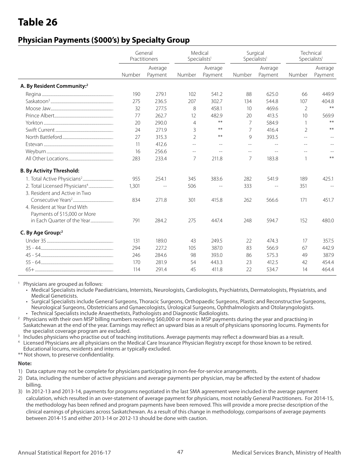### **Physician Payments (\$000's) by Specialty Group**

|                                           | General<br>Practitioners |         |                | Medical<br>Specialists <sup>1</sup> |        | Surgical<br>Specialists <sup>1</sup> |                          | Technical<br>Specialists <sup>1</sup> |
|-------------------------------------------|--------------------------|---------|----------------|-------------------------------------|--------|--------------------------------------|--------------------------|---------------------------------------|
|                                           |                          | Average |                | Average                             |        | Average                              |                          | Average                               |
|                                           | Number                   | Payment | Number         | Payment                             | Number | Payment                              | Number                   | Payment                               |
| A. By Resident Community: <sup>2</sup>    |                          |         |                |                                     |        |                                      |                          |                                       |
|                                           | 190                      | 279.1   | 102            | 541.2                               | 88     | 625.0                                | 66                       | 449.9                                 |
|                                           | 275                      | 236.5   | 207            | 302.7                               | 134    | 544.8                                | 107                      | 404.8                                 |
|                                           | 32                       | 277.5   | 8              | 458.1                               | 10     | 469.6                                | $\overline{2}$           | $***$                                 |
|                                           | 77                       | 262.7   | 12             | 482.9                               | 20     | 413.5                                | 10                       | 569.9                                 |
|                                           | 20                       | 290.0   | $\overline{4}$ | $***$                               | 7      | 584.9                                | $\mathbf{1}$             | $***$                                 |
|                                           | 24                       | 271.9   | 3              | $***$                               | 7      | 416.4                                | $\mathfrak{D}$           | $***$                                 |
|                                           | 27                       | 315.3   | $\overline{2}$ | $***$                               | 9      | 393.5                                | $\overline{\phantom{m}}$ | $\sim$                                |
|                                           | 11                       | 412.6   | $-$            | $\overline{\phantom{m}}$            | $-$    | $-$                                  | $-$                      |                                       |
|                                           | 16                       | 256.6   | $-$            | $\sim$                              | $-$    | $-$                                  |                          |                                       |
|                                           | 283                      | 233.4   | $\overline{7}$ | 211.8                               | 7      | 183.8                                | $\mathbf{1}$             | $**$                                  |
| <b>B. By Activity Threshold:</b>          |                          |         |                |                                     |        |                                      |                          |                                       |
|                                           | 955                      | 254.1   | 345            | 383.6                               | 282    | 541.9                                | 189                      | 425.1                                 |
| 2. Total Licensed Physicians <sup>4</sup> | 1,301                    | $-$     | 506            |                                     | 333    | $-$                                  | 351                      |                                       |
| 3. Resident and Active in Two             |                          |         |                |                                     |        |                                      |                          |                                       |
|                                           | 834                      | 271.8   | 301            | 415.8                               | 262    | 566.6                                | 171                      | 451.7                                 |
| 4. Resident at Year End With              |                          |         |                |                                     |        |                                      |                          |                                       |
| Payments of \$15,000 or More              |                          |         |                |                                     |        |                                      |                          |                                       |
| in Each Ouarter of the Year               | 791                      | 284.2   | 275            | 447.4                               | 248    | 594.7                                | 152                      | 480.0                                 |
| C. By Age Group: <sup>2</sup>             |                          |         |                |                                     |        |                                      |                          |                                       |
|                                           | 131                      | 189.0   | 43             | 249.5                               | 22     | 474.3                                | 17                       | 357.5                                 |
|                                           | 294                      | 227.2   | 105            | 387.0                               | 83     | 566.9                                | 67                       | 442.9                                 |
|                                           | 246                      | 284.6   | 98             | 393.0                               | 86     | 575.3                                | 49                       | 387.9                                 |
|                                           | 170                      | 281.9   | 54             | 443.3                               | 23     | 412.5                                | 42                       | 454.4                                 |
|                                           | 114                      | 291.4   | 45             | 411.8                               | 22     | 534.7                                | 14                       | 464.4                                 |

<sup>1</sup> Physicians are grouped as follows:

- Medical Specialists include Paediatricians, Internists, Neurologists, Cardiologists, Psychiatrists, Dermatologists, Physiatrists, and Medical Geneticists.
- Surgical Specialists include General Surgeons, Thoracic Surgeons, Orthopaedic Surgeons, Plastic and Reconstructive Surgeons, Neurological Surgeons, Obstetricians and Gynaecologists, Urological Surgeons, Ophthalmologists and Otolaryngologists. • Technical Specialists include Anaesthetists, Pathologists and Diagnostic Radiologists.
- <sup>2</sup> Physicians with their own MSP billing numbers receiving \$60,000 or more in MSP payments during the year and practising in Saskatchewan at the end of the year. Earnings may reflect an upward bias as a result of physicians sponsoring locums. Payments for the specialist coverage program are excluded.
- <sup>3</sup> Includes physicians who practise out of teaching institutions. Average payments may reflect a downward bias as a result.
- Licensed Physicians are all physicians on the Medical Care Insurance Physician Registry except for those known to be retired. Educational locums, residents and interns ar typically excluded.

\*\* Not shown, to preserve confidentiality.

#### **Note:**

- 1) Data capture may not be complete for physicians participating in non-fee-for-service arrangements.
- 2) Data, including the number of active physicians and average payments per physician, may be affected by the extent of shadow billing.
- 3) In 2012-13 and 2013-14, payments for programs negotiated in the last SMA agreement were included in the average payment calculation, which resulted in an over-statement of average payment for physicians, most notably General Practitioners. For 2014-15, the methodology has been refined and program payments have been removed. This will provide a more precise description of the clinical earnings of physicians across Saskatchewan. As a result of this change in methodology, comparisons of average payments between 2014-15 and either 2013-14 or 2012-13 should be done with caution.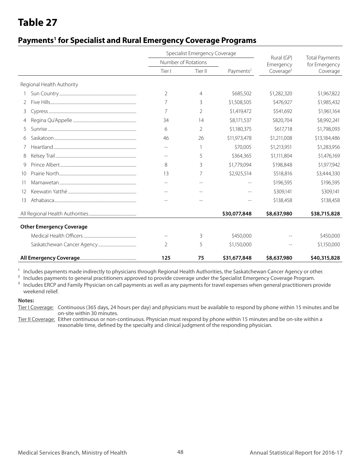### **Payments1 for Specialist and Rural Emergency Coverage Programs**

|                 |                                 |                | Specialist Emergency Coverage |                       |                         |                                        |
|-----------------|---------------------------------|----------------|-------------------------------|-----------------------|-------------------------|----------------------------------------|
|                 |                                 |                | Number of Rotations           |                       | Rural (GP)<br>Emergency | <b>Total Payments</b><br>for Emergency |
|                 |                                 | Tier I         | Tier II                       | Payments <sup>2</sup> | Coverage <sup>3</sup>   | Coverage                               |
|                 | Regional Health Authority       |                |                               |                       |                         |                                        |
|                 |                                 | $\overline{2}$ | 4                             | \$685,502             | \$1,282,320             | \$1,967,822                            |
|                 |                                 | 7              | 3                             | \$1,508,505           | \$476,927               | \$1,985,432                            |
| 3               |                                 | 7              | 2                             | \$1,419,472           | \$541,692               | \$1,961,164                            |
|                 |                                 | 34             | 14                            | \$8,171,537           | \$820,704               | \$8,992,241                            |
| 5               |                                 | 6              | $\overline{2}$                | \$1,180,375           | \$617,718               | \$1,798,093                            |
| 6               |                                 | 46             | 26                            | \$11,973,478          | \$1,211,008             | \$13,184,486                           |
|                 |                                 | $\sim$         | 1                             | \$70,005              | \$1,213,951             | \$1,283,956                            |
| 8               |                                 | $\sim$         | 5                             | \$364,365             | \$1,111,804             | \$1,476,169                            |
| 9               |                                 | 8              | 3                             | \$1,779,094           | \$198,848               | \$1,977,942                            |
| 10 <sup>2</sup> |                                 | 13             | 7                             | \$2,925,514           | \$518,816               | \$3,444,330                            |
| -11             |                                 |                |                               |                       | \$196,595               | \$196,595                              |
| 12              |                                 |                |                               |                       | \$309,141               | \$309,141                              |
| 13              |                                 |                |                               | $- -$                 | \$138,458               | \$138,458                              |
|                 |                                 |                |                               | \$30,077,848          | \$8,637,980             | \$38,715,828                           |
|                 | <b>Other Emergency Coverage</b> |                |                               |                       |                         |                                        |
|                 |                                 |                | 3                             | \$450,000             |                         | \$450,000                              |
|                 |                                 | 2              | 5                             | \$1,150,000           |                         | \$1,150,000                            |
|                 |                                 | 125            | 75                            | \$31,677,848          | \$8,637,980             | \$40,315,828                           |

<sup>1</sup> Includes payments made indirectly to physicians through Regional Health Authorities, the Saskatchewan Cancer Agency or other.<br><sup>2</sup> Includes payments to general practitioners approved to provide coverage under the Specia

2 Includes payments to general practitioners approved to provide coverage under the Specialist Emergency Coverage Program.

<sup>3</sup> Includes ERCP and Family Physician on call payments as well as any payments for travel expenses when general practitioners provide weekend relief.

#### **Notes:**

Tier I Coverage: Continuous (365 days, 24 hours per day) and physicians must be available to respond by phone within 15 minutes and be on-site within 30 minutes.

Tier II Coverage: Either continuous or non-continuous. Physician must respond by phone within 15 minutes and be on-site within a reasonable time, defined by the specialty and clinical judgment of the responding physician.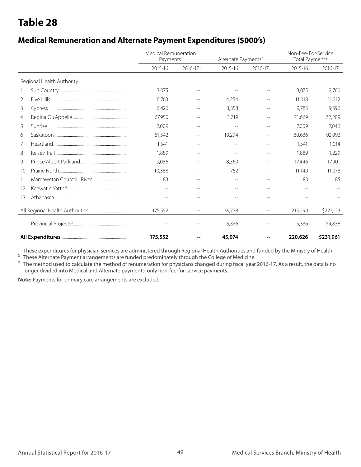### **Medical Remuneration and Alternate Payment Expenditures (\$000's)**

|                 |                           | Medical Remuneration<br>Payments <sup>1</sup> |              | Alternate Payments <sup>2</sup> |              | Non-Fee-For-Service<br><b>Total Payments</b> |              |  |
|-----------------|---------------------------|-----------------------------------------------|--------------|---------------------------------|--------------|----------------------------------------------|--------------|--|
|                 |                           | 2015-16                                       | $2016 - 173$ | 2015-16                         | $2016 - 173$ | 2015-16                                      | $2016 - 173$ |  |
|                 | Regional Health Authority |                                               |              |                                 |              |                                              |              |  |
|                 |                           | 3,075                                         |              |                                 |              | 3,075                                        | 2.760        |  |
| $\overline{2}$  |                           | 6,763                                         |              | 4,254                           |              | 11,018                                       | 11,212       |  |
| 3               |                           | 6,426                                         |              | 3,358                           |              | 9,785                                        | 9,596        |  |
| 4               |                           | 67,950                                        |              | 3,719                           |              | 71,669                                       | 72,209       |  |
| 5               |                           | 7,009                                         | $-$          | $-$                             |              | 7.009                                        | 7.046        |  |
| 6               |                           | 61,342                                        | $-$          | 19,294                          |              | 80,636                                       | 92,992       |  |
| 7               |                           | 1,541                                         | $-$          | $-$                             |              | 1,541                                        | 1,014        |  |
| 8               |                           | 1,889                                         | --           | $-$                             |              | 1,889                                        | 1,229        |  |
| 9               |                           | 9,086                                         | $-$          | 8,360                           |              | 17,446                                       | 17,901       |  |
| 10 <sup>2</sup> |                           | 10,388                                        |              | 752                             |              | 11,140                                       | 11,078       |  |
| 11              |                           | 83                                            |              |                                 |              | 83                                           | 85           |  |
| 12              |                           | --                                            |              | $-$                             |              | $-$                                          |              |  |
| 13              |                           | $-$                                           |              |                                 |              |                                              |              |  |
|                 |                           | 175,552                                       | $-$          | 39,738                          | $-$          | 215,290                                      | \$227,123    |  |
|                 |                           |                                               |              | 5,336                           |              | 5,336                                        | \$4,838      |  |
|                 |                           | 175,552                                       |              | 45,074                          |              | 220,626                                      | \$231,961    |  |

<sup>1</sup> These expenditures for physician services are administered through Regional Health Authorities and funded by the Ministry of Health.

2 These Alternate Payment arrangements are funded predominately through the College of Medicine.<br><sup>3</sup> The method used to calculate the method of renumeration for physicians changed during fiscal year.

The method used to calculate the method of renumeration for physicians changed during fiscal year 2016-17. As a result, the data is no longer divided into Medical and Alternate payments, only non-fee-for-service payments.

**Note:** Payments for primary care arrangements are excluded.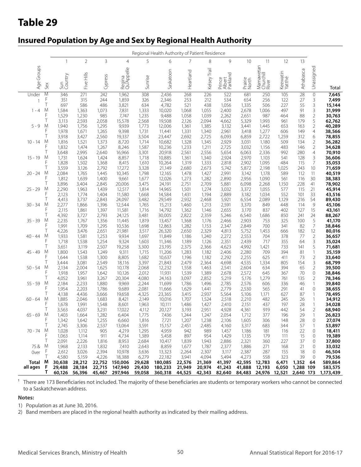### **Insured Population by Age and Sex by Regional Health Authority**

|                             |                                              |                                                       |                                                       |                                                     |                                                              |                                                       | Regional Health Authority of Patient Residence       |                                              |                                                       |                                                         |                                                         |                                            |                                                  |                                                       |                                                           |                                                        |
|-----------------------------|----------------------------------------------|-------------------------------------------------------|-------------------------------------------------------|-----------------------------------------------------|--------------------------------------------------------------|-------------------------------------------------------|------------------------------------------------------|----------------------------------------------|-------------------------------------------------------|---------------------------------------------------------|---------------------------------------------------------|--------------------------------------------|--------------------------------------------------|-------------------------------------------------------|-----------------------------------------------------------|--------------------------------------------------------|
|                             |                                              | 1                                                     | $\overline{2}$                                        | 3                                                   | 4                                                            | 5                                                     | 6                                                    | 7                                            | 8                                                     | 9                                                       | 10 <sup>°</sup>                                         | 11                                         | 12                                               | 13                                                    |                                                           |                                                        |
| Age Groups                  | Sex                                          | Sun<br>Country                                        | Five Hills                                            | Cypress                                             | Regina<br>Qu'Appelle                                         | Sunrise                                               | Saskatoon                                            | Heartland                                    | Kelsey Trail                                          | Prince<br>Albert<br>Parkland                            | Prairie<br>North                                        | Mamawetan<br>Churchill<br>River            | Keewatin<br>Yatthé                               | Athabasca                                             | Unassigned                                                | Total                                                  |
| Under<br>$1 - 4$<br>$5 - 9$ | $\overline{M}$<br>F<br>T<br>M<br>F<br>Τ<br>M | 346<br>351<br>697<br>1,584<br>1,529<br>3,113<br>1,940 | 271<br>315<br>586<br>1,363<br>1,230<br>2,593<br>1,756 | 242<br>244<br>486<br>1,073<br>985<br>2,058<br>1,295 | 1,962<br>1,859<br>3,821<br>7,831<br>7,747<br>15,578<br>9,939 | 308<br>326<br>634<br>1,333<br>1,235<br>2,568<br>1,773 | 2,436<br>2,346<br>4,782<br>10,020<br>9,488<br>19,508 | 268<br>253<br>521<br>1,068<br>1,058<br>2,126 | 226<br>212<br>438<br>1,055<br>1,039<br>2,094<br>1,385 | 522<br>534<br>1,056<br>2,400<br>2,262<br>4,662<br>3,132 | 681<br>654<br>1,335<br>2,678<br>2,651<br>5,329<br>3,441 | 250<br>256<br>506<br>1,006<br>987<br>1,993 | 105<br>122<br>227<br>497<br>464<br>961<br>653    | $\overline{28}$<br>27<br>55<br>91<br>88<br>179<br>163 | 0<br>3<br>3<br>3<br>$\overline{2}$<br>5<br>$\overline{2}$ | 7,645<br>7,499<br>15,144<br>31,999<br>30,763<br>62,762 |
| $10 - 14$                   | F<br>T<br>M<br>F<br>Τ                        | 1,978<br>3,918<br>1,816<br>1,832                      | 1,671<br>3,427<br>1,521<br>1,474                      | 1,265<br>2,560<br>1,373<br>1,267                    | 9,398<br>19,337<br>8,720<br>8,246                            | 1,731<br>3,504<br>1,714<br>1,587                      | 12,006<br>11,441<br>23,447<br>10,682<br>10,236       | 1,361<br>1,331<br>2,692<br>1,328<br>1,233    | 1,340<br>2,725<br>1,345<br>1,211                      | 2,961<br>6,093<br>2,929<br>2,725                        | 3,418<br>6,859<br>3,031<br>3,032                        | 1,445<br>1,277<br>2,722<br>1,180<br>1,156  | 606<br>1,259<br>509<br>483                       | 149<br>312<br>134<br>146                              | 4<br>6<br>$\overline{2}$<br>$\overline{2}$                | 40,289<br>38,566<br>78,855<br>36,282<br>34,628         |
| $15 - 19$                   | M<br>F<br>Τ                                  | 3,648<br>1,731<br>1,828<br>3,559                      | 2,995<br>1,624<br>1,502<br>3,126                      | 2,640<br>1,424<br>1,368<br>2,792                    | 16,966<br>8,857<br>8,415<br>17,272                           | 3,301<br>1,718<br>1,610<br>3,328                      | 20,918<br>10,885<br>10,264<br>21,149                 | 2,561<br>1,361<br>1,319<br>2,680             | 2,556<br>1,340<br>1,333<br>2,673                      | 5,654<br>2,924<br>2,818<br>5,742                        | 6,063<br>2,970<br>2,902<br>5,872                        | 2,336<br>1,103<br>1,095<br>2,198           | 992<br>541<br>484<br>1,025                       | 280<br>128<br>115<br>243                              | 4<br>3<br>7<br>10                                         | 70,910<br>36,606<br>35,053<br>71,659                   |
| $20 - 24$                   | M<br>F<br>T                                  | 2,084<br>1,812<br>3,896                               | 1,765<br>1,639<br>3,404                               | 1,445<br>1,400<br>2,845                             | 10,345<br>9,661<br>20,006                                    | 1,798<br>1,677<br>3,475                               | 12,165<br>12,026<br>24,191                           | 1,478<br>1,273<br>2,751                      | 1,427<br>1,282<br>2,709                               | 2,991<br>2,890<br>5,881                                 | 3,142<br>2,956<br>6,098                                 | 1,178<br>1,090<br>2,268                    | 589<br>561<br>1,150                              | 112<br>116<br>228                                     | 11<br>30<br>41                                            | 40,519<br>38,383<br>78,902                             |
| 25 - 29                     | M<br>F<br>Τ                                  | 2,290<br>2,123<br>4,413                               | 1,963<br>1,774<br>3,737                               | 1,439<br>1,404<br>2,843                             | 12,517<br>11,580<br>24,097                                   | 1,814<br>1,668<br>3,482                               | 14,965<br>14,584<br>29,549                           | 1,501<br>1,431<br>2,932                      | 1,274<br>1,194<br>2,468                               | 3,032<br>2,889<br>5,921                                 | 3,372<br>3,182<br>6,554                                 | 1,055<br>1,034<br>2,089                    | 577<br>552<br>1,129                              | 115<br>101<br>216                                     | 21<br>33<br>54                                            | 45,914<br>43,516<br>89,430                             |
| 30 - 34                     | M<br>F<br>Τ                                  | 2,277<br>2,115<br>4,392                               | 1,866<br>1,861<br>3,727                               | 1,396<br>1,397<br>2,793                             | 12,544<br>11,581<br>24,125                                   | 1,765<br>1,716<br>3,481                               | 15,213<br>14,792<br>30,005                           | 1,460<br>1,362<br>2,822                      | 1,213<br>1,146<br>2,359                               | 2,591<br>2,655<br>5,246                                 | 3,370<br>3,170<br>6,540                                 | 849<br>837<br>1,686                        | 448<br>402<br>850                                | 114<br>127<br>241                                     | 9<br>15<br>24                                             | 45,106<br>43,161<br>88,267                             |
| $35 - 39$                   | M<br>F<br>Τ                                  | 2,235<br>1,991<br>4,226                               | 1,767<br>1,709<br>3,476                               | 1,356<br>1,295<br>2,651                             | 11,445<br>10,536<br>21,981                                   | 1,819<br>1,698<br>3,517                               | 13,457<br>12,863<br>26,320                           | 1,368<br>1,282<br>2,650                      | 1,176<br>1,153<br>2,329                               | 2,466<br>2,347<br>4,813                                 | 2,903<br>2,849<br>5,752                                 | 753<br>700<br>1,453                        | 325<br>341<br>666                                | 100<br>82<br>182                                      | 5<br>$\overline{7}$<br>12                                 | 41,170<br>38,846<br>80,016                             |
| $40 - 44$                   | M<br>F<br>Τ                                  | 1,933<br>1,718<br>3,651                               | 1,581<br>1,538<br>3,119                               | 1,253<br>1,254<br>2,507                             | 9,934<br>9,324<br>19,258                                     | 1,697<br>1,603<br>3,300                               | 11,849<br>11,346<br>23,195                           | 1,186<br>1,189<br>2,375                      | 1,240<br>1,126<br>2,366                               | 2,272<br>2,351<br>4,623                                 | 2,553<br>2,439<br>4,992                                 | 704<br>717<br>1,421                        | 378<br>355<br>733                                | 77<br>64<br>141                                       | $\sqrt{2}$<br>$\frac{3}{5}$                               | 36,657<br>35,024<br>71,681                             |
| 45 - 49                     | M<br>F<br>Τ                                  | 1,800<br>1,644<br>3,444                               | 1,543<br>1,538<br>3,081                               | 1,249<br>1,300<br>2,549                             | 9,311<br>8,805<br>18,116                                     | 1,715<br>1,682<br>3,397                               | 11,206<br>10,637<br>21,843                           | 1,283<br>1,196<br>2,479                      | 1,182<br>1,182<br>2,364                               | 2,406<br>2,292<br>4,698                                 | 2,280<br>2,255<br>4,535                                 | 709<br>625<br>1,334                        | 394<br>411<br>805                                | 81<br>73<br>154                                       | $\mathbf{1}$<br>$\overline{c}$<br>3                       | 35,159<br>33,640<br>68,799                             |
| 50 - 54                     | M<br>F<br>Τ                                  | 2,134<br>1,918<br>4,052                               | 2,004<br>1,957<br>3,961                               | 1,625<br>1,642<br>3,267                             | 10,178<br>10,126<br>20,304                                   | 2,068<br>2,012<br>4,080                               | 12,232<br>11,931<br>24,163                           | 1,558<br>1,539<br>3,097                      | 1,463<br>1,389<br>2,852                               | 2,541<br>2,678<br>5,219                                 | 2,604<br>2,572<br>5,176                                 | 634<br>645<br>1,279                        | 394<br>367<br>761                                | 65<br>70<br>135                                       | $\overline{2}$<br>$\mathbf 0$<br>$\overline{2}$           | 39,500<br>38,846<br>78,346                             |
| $55 - 59$                   | M<br>F<br>Τ                                  | 2,184<br>1,954<br>4,138                               | 2,233<br>2,203<br>4,436                               | 1,880<br>1,786<br>3,666                             | 9,969<br>9,689<br>19,658                                     | 2,244<br>2,081<br>4,325                               | 11,699<br>11,666<br>23,365                           | 1,786<br>1,629<br>3,415                      | 1,496<br>1,441<br>2,937                               | 2,785<br>2,779<br>5,564                                 | 2,576<br>2,530<br>5,106                                 | 606<br>565<br>1,171                        | 336<br>291<br>627                                | 46<br>41<br>87                                        | 1<br>0<br>$\mathbf{1}$                                    | 39,840<br>38,655<br>78,495                             |
| $60 - 64$                   | M<br>F<br>Τ                                  | 1,885<br>1,678                                        | 2,046<br>1,991<br>4,037                               | 1,683<br>1,548                                      | 8,421<br>8,601<br>17,022                                     | 2,149<br>1,963<br>4,112                               | 10,016<br>10,111<br>20,127                           | 1,707<br>1,486                               | 1,524<br>1,427<br>2,951                               | 2,518<br>2,410<br>4,928                                 | 2,210<br>2,151<br>4,361                                 | 482<br>437<br>919                          | 245<br>197<br>442                                | 26<br>28<br>54                                        | 1<br>$\mathbf{1}$<br>$\overline{2}$                       | 34,912<br>34,028                                       |
| $-69$ M<br>65               | F<br>$\top$                                  | 3,563<br>1,403<br>1,342<br>2,745                      | 1,664<br>1,642<br>3,306                               | 3,231<br>1,282<br>1,255<br>2,537                    | 6,404<br>6,660<br>13,064                                     | 1,775<br>1,816<br>3,591                               | 7,436<br>7,721<br>15,157                             | 3,193<br>1,244<br>1,207<br>2,451             | 1,247<br>1,238<br>2,485                               | 2,054<br>2,106<br>4,160                                 | 1,712<br>1,605<br>3,317                                 | 377<br>306<br>683                          | 196<br>148<br>344                                | 29<br>28<br>57                                        | 0<br>1                                                    | 68,940<br>26,823<br>27,074<br>53,897                   |
| 70 - 74 M                   | F<br>Τ                                       | 1,028<br>1,063<br>2,091                               | 1,112<br>1,114<br>2,226                               | 905<br>911<br>1,816                                 | 4,219<br>4,734<br>8,953                                      | 1,295<br>1,389<br>2,684                               | 4,959<br>5,458<br>10,417                             | 942<br>897<br>1,839                          | 989<br>954<br>1,943                                   | 1,457<br>1,429<br>2,886                                 | 1,186<br>1,135<br>2,321                                 | 181<br>179<br>360                          | 116<br>111<br>227                                | 22<br>15<br>37                                        | 0<br>0<br>0                                               | 18,411<br>19,389<br>37,800                             |
| 75&<br>0 <sub>ver</sub>     | M<br>F<br>Т                                  | 1,968<br>2,612<br>4,580                               | 2,133<br>3,026<br>5,159                               | 1,832<br>2,394<br>4,226                             | 7,410<br>10,978<br>18,388                                    | 2,643<br>3,636<br>6,279                               | 8,859<br>13,323<br>22,182                            | 1,677<br>2,264<br>3,941                      | 1,787<br>2,307<br>4,094                               | 2,377<br>3,117<br>5,494                                 | 1,886<br>2,387<br>4,273                                 | 271<br>287<br>558                          | 168<br>155<br>323                                | 21<br>18<br>39                                        | 0<br>0<br>0                                               | 33,032<br>46,504<br>79,536                             |
| Total<br>all ages           | M<br>- F<br>Т                                | 30,638<br>29,488<br>60,126                            | 28,212<br>28,184<br>56,396                            | 22,715                                              | 22,752 150,006<br>147,940<br>45,467 297,946                  | 29,628<br>29,430                                      | 180,085<br>180,233<br>59,058 360,318                 | 22,576<br>21,949<br>44,525                   | 21,369<br>20,974                                      | 41,397<br>41,243<br>42,343 82,640                       | 42,595<br>41,888                                        | 12,783<br>12,193                           | 6,471<br>6,050<br>84,483 24,976 12,521 2,640 173 | 1,352<br>1,288 109                                    | - 64                                                      | 589,864<br>583,575<br>1,173,439                        |

<sup>1</sup> There are 173 Beneficiaries not included. The majority of these beneficiaries are students or temporary workers who cannot be connected to a Saskatchewan address.

#### **Notes:**

1) Population as at June 30, 2016.

2) Band members are placed in the regional health authority as indicated by their mailing address.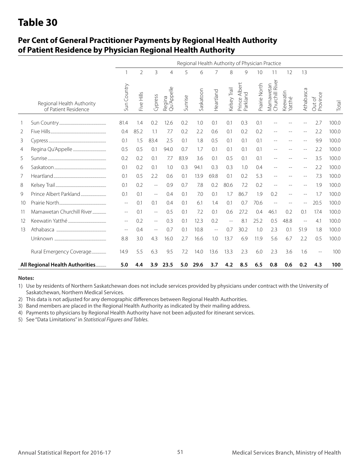### **Per Cent of General Practitioner Payments by Regional Health Authority of Patient Residence by Physician Regional Health Authority**

|    |                                                   |             |                |                          |                      |         | Regional Health Authority of Physician Practice |                   |              |                           |               |                              |                    |           |                    |       |
|----|---------------------------------------------------|-------------|----------------|--------------------------|----------------------|---------|-------------------------------------------------|-------------------|--------------|---------------------------|---------------|------------------------------|--------------------|-----------|--------------------|-------|
|    |                                                   |             | $\overline{2}$ | 3                        | $\overline{4}$       | 5       | 6                                               | 7                 | 8            | 9                         | 10            | 11                           | 12                 | 13        |                    |       |
|    | Regional Health Authority<br>of Patient Residence | Sun Country | Five Hills     | Cypress                  | Regina<br>Qu'Appelle | Sunrise | Saskatoon                                       | Heartland         | Kelsey Trail | Prince Albert<br>Parkland | Prairie North | Mamawetan<br>Churchill River | Keewatin<br>Yatthé | Athabasca | Out of<br>Province | Total |
|    |                                                   | 81.4        | 1.4            | 0.2                      | 12.6                 | 0.2     | 1.0                                             | 0.1               | 0.1          | 0.3                       | 0.1           |                              |                    |           | 2.7                | 100.0 |
| 2  |                                                   | 0.4         | 85.2           | 1.1                      | 7.7                  | 0.2     | 2.2                                             | 0.6               | 0.1          | 0.2                       | 0.2           |                              |                    | --        | 2.2                | 100.0 |
| 3  |                                                   | 0.1         | 1.5            | 83.4                     | 2.5                  | 0.1     | 1.8                                             | 0.5               | 0.1          | 0.1                       | 0.1           |                              |                    | $-$       | 9.9                | 100.0 |
| 4  |                                                   | 0.5         | 0.5            | 0.1                      | 94.0                 | 0.7     | 1.7                                             | 0.1               | 0.1          | 0.1                       | 0.1           |                              |                    | $-$       | 2.2                | 100.0 |
| 5  |                                                   | 0.2         | 0.2            | 0.1                      | 7.7                  | 83.9    | 3.6                                             | 0.1               | 0.5          | 0.1                       | 0.1           |                              |                    | $-$       | 3.5                | 100.0 |
| 6  |                                                   | 0.1         | 0.2            | 0.1                      | 1.0                  | 0.3     | 94.1                                            | 0.3               | 0.3          | 1.0                       | 0.4           | $-$                          |                    | $-$       | 2.2                | 100.0 |
| 7  |                                                   | 0.1         | 0.5            | 2.2                      | 0.6                  | 0.1     | 13.9                                            | 69.8              | 0.1          | 0.2                       | 5.3           |                              |                    | $-$       | 7.3                | 100.0 |
| 8  |                                                   | 0.1         | 0.2            | $\qquad \qquad -$        | 0.9                  | 0.7     | 7.8                                             | 0.2               | 80.6         | 7.2                       | 0.2           |                              |                    |           | 1.9                | 100.0 |
| 9  |                                                   | 0.1         | 0.1            | $\overline{a}$           | 0.4                  | 0.1     | 7.0                                             | 0.1               | 1.7          | 86.7                      | 1.9           | 0.2                          |                    |           | 1.7                | 100.0 |
| 10 |                                                   | $- \, -$    | 0.1            | 0.1                      | 0.4                  | 0.1     | 6.1                                             | 1.4               | 0.1          | 0.7                       | 70.6          |                              |                    |           | 20.5               | 100.0 |
| 11 | Mamawetan Churchill River                         | $\sim$ $-$  | 0.1            | $\overline{\phantom{m}}$ | 0.5                  | 0.1     | 7.2                                             | 0.1               | 0.6          | 27.2                      | 0.4           | 46.1                         | 0.2                | 0.1       | 17.4               | 100.0 |
| 12 |                                                   | $-$         | 0.2            | $\overline{\phantom{m}}$ | 0.3                  | 0.1     | 12.3                                            | 0.2               | $-$          | 8.1                       | 25.2          | 0.5                          | 48.8               | $-$       | 4.1                | 100.0 |
| 13 |                                                   |             | 0.4            | $-$                      | 0.7                  | 0.1     | 10.8                                            | $\qquad \qquad -$ | 0.7          | 30.2                      | 1.0           | 2.3                          | 0.1                | 51.9      | 1.8                | 100.0 |
|    |                                                   | 8.8         | 3.0            | 4.3                      | 16.0                 | 2.7     | 16.6                                            | 1.0               | 13.7         | 6.9                       | 11.9          | 5.6                          | 6.7                | 2.2       | 0.5                | 100.0 |
|    | Rural Emergency Coverage                          | 14.9        | 5.5            | 6.3                      | 9.5                  | 7.2     | 14.0                                            | 13.6              | 13.3         | 2.3                       | 6.0           | 2.3                          | 3.6                | 1.6       | $-$                | 100   |
|    | All Regional Health Authorities                   | 5.0         | 4.4            | 3.9                      | 23.5                 | 5.0     | 29.6                                            | 3.7               | 4.2          | 8.5                       | 6.5           | 0.8                          | 0.6                | 0.2       | 4.3                | 100   |

#### **Notes:**

1) Use by residents of Northern Saskatchewan does not include services provided by physicians under contract with the University of Saskatchewan, Northern Medical Services.

2) This data is not adjusted for any demographic differences between Regional Health Authorities.

3) Band members are placed in the Regional Health Authority as indicated by their mailing address.

4) Payments to physicians by Regional Health Authority have not been adjusted for itinerant services.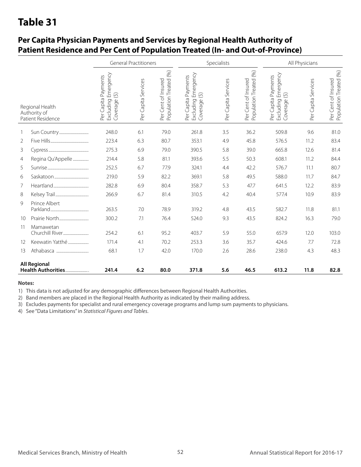|                   |                                                      |                                                                                   | <b>General Practitioners</b> |                                               |                                                                         | Specialists         |                                               |                                                                      | All Physicians      |                                               |
|-------------------|------------------------------------------------------|-----------------------------------------------------------------------------------|------------------------------|-----------------------------------------------|-------------------------------------------------------------------------|---------------------|-----------------------------------------------|----------------------------------------------------------------------|---------------------|-----------------------------------------------|
|                   | Regional Health<br>Authority of<br>Patient Residence | Emergency<br>Per Capita Payments<br>$\overline{(\zeta)}$<br>Excluding<br>Coverage | Per Capita Services          | Population Treated (%)<br>Per Cent of Insured | Emergency<br>Payments<br>$\odot$<br>Per Capita<br>Excluding<br>Coverage | Per Capita Services | Population Treated (%)<br>Per Cent of Insured | Emergency<br>Per Capita Payments<br>$\odot$<br>Excluding<br>Coverage | Per Capita Services | Per Cent of Insured<br>Population Treated (%) |
| 1                 |                                                      | 248.0                                                                             | 6.1                          | 79.0                                          | 261.8                                                                   | 3.5                 | 36.2                                          | 509.8                                                                | 9.6                 | 81.0                                          |
| 2                 |                                                      | 223.4                                                                             | 6.3                          | 80.7                                          | 353.1                                                                   | 4.9                 | 45.8                                          | 576.5                                                                | 11.2                | 83.4                                          |
| 3                 |                                                      | 275.3                                                                             | 6.9                          | 79.0                                          | 390.5                                                                   | 5.8                 | 39.0                                          | 665.8                                                                | 12.6                | 81.4                                          |
| $\overline{4}$    | Regina Qu'Appelle                                    | 214.4                                                                             | 5.8                          | 81.1                                          | 393.6                                                                   | 5.5                 | 50.3                                          | 608.1                                                                | 11.2                | 84.4                                          |
| 5                 |                                                      | 252.5                                                                             | 6.7                          | 77.9                                          | 324.1                                                                   | 4.4                 | 42.2                                          | 576.7                                                                | 11.1                | 80.7                                          |
| 6                 |                                                      | 219.0                                                                             | 5.9                          | 82.2                                          | 369.1                                                                   | 5.8                 | 49.5                                          | 588.0                                                                | 11.7                | 84.7                                          |
| 7                 |                                                      | 282.8                                                                             | 6.9                          | 80.4                                          | 358.7                                                                   | 5.3                 | 47.7                                          | 641.5                                                                | 12.2                | 83.9                                          |
| 8                 |                                                      | 266.9                                                                             | 6.7                          | 81.4                                          | 310.5                                                                   | 4.2                 | 40.4                                          | 577.4                                                                | 10.9                | 83.9                                          |
| 9                 | Prince Albert                                        | 263.5                                                                             | 7.0                          | 78.9                                          | 319.2                                                                   | 4.8                 | 43.5                                          | 582.7                                                                | 11.8                | 81.1                                          |
| 10                |                                                      | 300.2                                                                             | 7.1                          | 76.4                                          | 524.0                                                                   | 9.3                 | 43.5                                          | 824.2                                                                | 16.3                | 79.0                                          |
| 11                | Mamawetan                                            | 254.2                                                                             | 6.1                          | 95.2                                          | 403.7                                                                   | 5.9                 | 55.0                                          | 657.9                                                                | 12.0                | 103.0                                         |
| $12 \overline{ }$ | Keewatin Yatthé                                      | 171.4                                                                             | 4.1                          | 70.2                                          | 253.3                                                                   | 3.6                 | 35.7                                          | 424.6                                                                | 7.7                 | 72.8                                          |
| 13                |                                                      | 68.1                                                                              | 1.7                          | 42.0                                          | 170.0                                                                   | 2.6                 | 28.6                                          | 238.0                                                                | 4.3                 | 48.3                                          |
|                   | <b>All Regional</b><br>Health Authorities            | 241.4                                                                             | 6.2                          | 80.0                                          | 371.8                                                                   | 5.6                 | 46.5                                          | 613.2                                                                | 11.8                | 82.8                                          |

### **Per Capita Physician Payments and Services by Regional Health Authority of Patient Residence and Per Cent of Population Treated (In- and Out-of-Province)**

#### **Notes:**

1) This data is not adjusted for any demographic differences between Regional Health Authorities.

2) Band members are placed in the Regional Health Authority as indicated by their mailing address.

3) Excludes payments for specialist and rural emergency coverage programs and lump sum payments to physicians.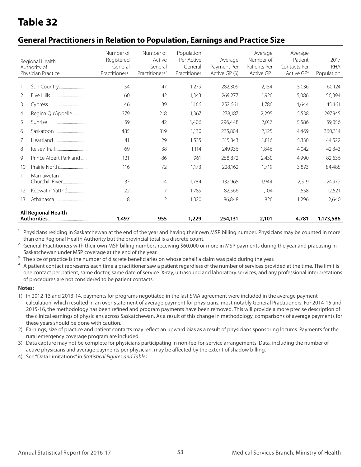### **General Practitioners in Relation to Population, Earnings and Practice Size**

|                | Regional Health<br>Authority of<br>Physician Practice | Number of<br>Registered<br>General<br>Practitioners <sup>1</sup> | Number of<br>Active<br>General<br>Practitioners <sup>2</sup> | Population<br>Per Active<br>General<br>Practitioner | Average<br>Payment Per<br>Active GP (\$) | Average<br>Number of<br>Patients Per<br>Active GP <sup>3</sup> | Average<br>Patient<br>Contacts Per<br>Active GP <sup>4</sup> | 2017<br><b>RHA</b><br>Population |
|----------------|-------------------------------------------------------|------------------------------------------------------------------|--------------------------------------------------------------|-----------------------------------------------------|------------------------------------------|----------------------------------------------------------------|--------------------------------------------------------------|----------------------------------|
| $\mathbf{1}$   |                                                       | 54                                                               | 47                                                           | 1,279                                               | 282,309                                  | 2,154                                                          | 5,036                                                        | 60,124                           |
| 2              |                                                       | 60                                                               | 42                                                           | 1.343                                               | 269,277                                  | 1,926                                                          | 5,086                                                        | 56,394                           |
| 3              |                                                       | 46                                                               | 39                                                           | 1,166                                               | 252,661                                  | 1,786                                                          | 4,644                                                        | 45,461                           |
| $\overline{4}$ | Regina Qu'Appelle                                     | 379                                                              | 218                                                          | 1,367                                               | 278,187                                  | 2,295                                                          | 5,538                                                        | 297,945                          |
| 5              |                                                       | 59                                                               | 42                                                           | 1,406                                               | 296,448                                  | 2,017                                                          | 5,586                                                        | 59,056                           |
| 6              |                                                       | 485                                                              | 319                                                          | 1.130                                               | 235,804                                  | 2.125                                                          | 4,469                                                        | 360,314                          |
| 7              |                                                       | 41                                                               | 29                                                           | 1,535                                               | 315,343                                  | 1.816                                                          | 5,330                                                        | 44,522                           |
| 8              |                                                       | 69                                                               | 38                                                           | 1.114                                               | 249,936                                  | 1.846                                                          | 4,042                                                        | 42,343                           |
| 9              | Prince Albert Parkland                                | 121                                                              | 86                                                           | 961                                                 | 258,872                                  | 2,430                                                          | 4,990                                                        | 82,636                           |
| 10             |                                                       | 116                                                              | 72                                                           | 1.173                                               | 228,162                                  | 1.719                                                          | 3,893                                                        | 84,485                           |
| 11             | Mamawetan                                             | 37                                                               | 14                                                           | 1.784                                               | 132,965                                  | 1.944                                                          | 2,519                                                        | 24,972                           |
| 12             | Keewatin Yatthé                                       | 22                                                               | 7                                                            | 1.789                                               | 82,566                                   | 1.104                                                          | 1,558                                                        | 12,521                           |
| 13             |                                                       | 8                                                                | 2                                                            | 1,320                                               | 86,848                                   | 826                                                            | 1,296                                                        | 2,640                            |
|                | <b>All Regional Health</b>                            | 1,497                                                            | 955                                                          | 1,229                                               | 254,131                                  | 2,101                                                          | 4,781                                                        | 1,173,586                        |

Physicians residing in Saskatchewan at the end of the year and having their own MSP billing number. Physicians may be counted in more than one Regional Health Authority but the provincial total is a discrete count.

<sup>2</sup> General Practitioners with their own MSP billing numbers receiving \$60,000 or more in MSP payments during the year and practising in Saskatchewan under MSP coverage at the end of the year.

<sup>3</sup> The size of practice is the number of discrete beneficiaries on whose behalf a claim was paid during the year.<br><sup>4</sup> A patient contact represents each time a practitioner saw a patient regardless of the number of servic

4 A patient contact represents each time a practitioner saw a patient regardless of the number of services provided at the time. The limit is one contact per patient, same doctor, same date of service. X-ray, ultrasound and laboratory services, and any professional interpretations of procedures are not considered to be patient contacts.

#### **Notes:**

1) In 2012-13 and 2013-14, payments for programs negotiated in the last SMA agreement were included in the average payment calculation, which resulted in an over-statement of average payment for physicians, most notably General Practitioners. For 2014-15 and 2015-16, the methodology has been refined and program payments have been removed. This will provide a more precise description of the clinical earnings of physicians across Saskatchewan. As a result of this change in methodology, comparisons of average payments for these years should be done with caution.

2) Earnings, size of practice and patient contacts may reflect an upward bias as a result of physicians sponsoring locums. Payments for the rural emergency coverage program are included.

3) Data capture may not be complete for physicians participating in non-fee-for-service arrangements. Data, including the number of active physicians and average payments per physician, may be affected by the extent of shadow billing.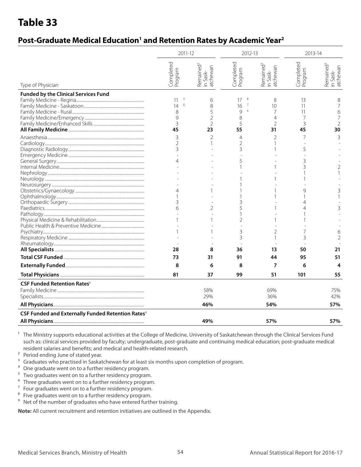### Post-Graduate Medical Education<sup>1</sup> and Retention Rates by Academic Year<sup>2</sup>

|                                                               | 2011-12                                                                    |                                                                 | 2012-13                                                                                         |                                                                       | 2013-14                                                       |                                                 |
|---------------------------------------------------------------|----------------------------------------------------------------------------|-----------------------------------------------------------------|-------------------------------------------------------------------------------------------------|-----------------------------------------------------------------------|---------------------------------------------------------------|-------------------------------------------------|
| Type of Physician                                             | Completed<br>Program                                                       | Remained <sup>3</sup><br>in Sask-<br>atchewan                   | Completed<br>Program                                                                            | Remained <sup>3</sup><br>atchewan<br>Sask-<br>$\mathrel{\widehat{=}}$ | Completed<br>Program                                          | Remained <sup>3</sup><br>in Sask-<br>atchewan   |
| <b>Funded by the Clinical Services Fund</b>                   | 5<br>11<br>6<br>14<br>8<br>9<br>3<br>45<br>3<br>2<br>3<br>4<br>4<br>3<br>6 | 6<br>8<br>5<br>$\overline{2}$<br>$\mathfrak{D}$<br>23<br>2<br>2 | 8<br>17<br>16<br>9<br>$\overline{4}$<br>8<br>5<br>55<br>$\overline{4}$<br>2<br>3<br>5<br>5<br>2 | 8<br>10<br>7<br>4<br>$\overline{2}$<br>31<br>2                        | 13<br>11<br>11<br>7<br>3<br>45<br>7<br>5<br>3<br>$\mathsf{Q}$ | 8<br>7<br>6<br>7<br>2<br>30<br>3<br>2<br>3<br>3 |
|                                                               | 28                                                                         | 8                                                               | 3<br>3<br>36                                                                                    | 2<br>13                                                               | 3<br>50                                                       | 6<br>21                                         |
|                                                               | 73                                                                         | 31                                                              | 91                                                                                              | 44                                                                    | 95                                                            | 51                                              |
|                                                               | 8                                                                          | 6                                                               | 8                                                                                               | 7                                                                     | 6                                                             | 4                                               |
|                                                               | 81                                                                         | 37                                                              | 99                                                                                              | 51                                                                    | 101                                                           | 55                                              |
| <b>CSF Funded Retention Rates<sup>8</sup></b>                 |                                                                            | 58%<br>29%<br>46%                                               |                                                                                                 | 69%<br>36%<br>54%                                                     |                                                               | 75%<br>42%<br>57%                               |
| CSF Funded and Externally Funded Retention Rates <sup>8</sup> |                                                                            |                                                                 |                                                                                                 |                                                                       |                                                               |                                                 |
|                                                               |                                                                            | 49%                                                             |                                                                                                 | 57%                                                                   |                                                               | 57%                                             |

<sup>1</sup> The Ministry supports educational activities at the College of Medicine, University of Saskatchewan through the Clinical Services Fund such as: clinical services provided by faculty; undergraduate, post-graduate and continuing medical education; post-graduate medical resident salaries and benefits; and medical and health-related research.

<sup>2</sup> Period ending June of stated year.

 $3$  Graduates who practised in Saskatchewan for at least six months upon completion of program.<br>
<sup>4</sup> One graduate went on to a further residency program

<sup>4</sup> One graduate went on to a further residency program.<br><sup>5</sup> Jwo graduates went on to a further residency program

<sup>5</sup> Two graduates went on to a further residency program.<br><sup>6</sup> Three graduates went on to a further residency program

- <sup>6</sup> Three graduates went on to a further residency program.<br> $\frac{7}{2}$  Four graduates went on to a further residency program.
- Four graduates went on to a further residency program.
- <sup>8</sup> Five graduates went on to a further residency program.
- <sup>9</sup> Net of the number of graduates who have entered further training.

**Note:** All current recruitment and retention initiatives are outlined in the Appendix.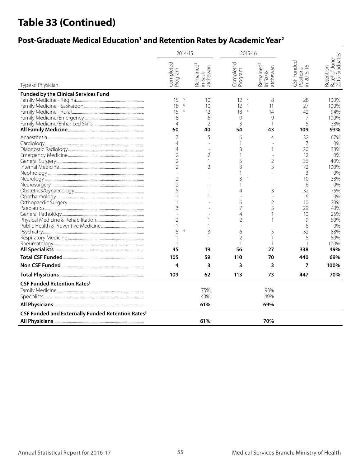# **Table 33 (Continued)**

### Post-Graduate Medical Education<sup>1</sup> and Retention Rates by Academic Year<sup>2</sup>

|                                                               | 2014-15                                                                                                                                                                                        |                                                                                           | 2015-16                                                                                                                                                                                               |                                                                                                        |                                                                                                                                                             |                                                                                                                                                                                      |
|---------------------------------------------------------------|------------------------------------------------------------------------------------------------------------------------------------------------------------------------------------------------|-------------------------------------------------------------------------------------------|-------------------------------------------------------------------------------------------------------------------------------------------------------------------------------------------------------|--------------------------------------------------------------------------------------------------------|-------------------------------------------------------------------------------------------------------------------------------------------------------------|--------------------------------------------------------------------------------------------------------------------------------------------------------------------------------------|
| Type of Physician                                             | Completed<br>Program                                                                                                                                                                           | Remained <sup>3</sup><br>atchewan<br>in Sask-                                             | Completed<br>Program                                                                                                                                                                                  | Remained <sup>3</sup><br>in Sask-<br>atchewan                                                          | CSF Funded<br>Positions<br>in 2015-16                                                                                                                       | Rate <sup>9</sup> of June<br>2015 Graduates<br>Retention                                                                                                                             |
| <b>Funded by the Clinical Services Fund</b>                   | 5<br>15<br>6<br>18<br>5<br>15<br>8<br>$\overline{4}$<br>60<br>7<br>4<br>4<br>$\overline{2}$<br>$\mathcal{P}$<br>2<br>$\overline{2}$<br>2<br>5<br>3<br>2<br>1<br>5<br>$\overline{4}$<br>1<br>45 | 10<br>10<br>12<br>6<br>$\mathcal{P}$<br>40<br>5<br>$\overline{2}$<br>$\overline{2}$<br>19 | 7<br>12<br>$\overline{4}$<br>12<br>18<br>6<br>9<br>3<br>54<br>6<br>3<br>5<br>3<br>$\mathbf{1}$<br>3<br>$\overline{4}$<br>4<br>6<br>7<br>$\overline{4}$<br>$\overline{2}$<br>6<br>$\overline{2}$<br>56 | 8<br>11<br>14<br>9<br>1<br>43<br>4<br>1<br>$\mathcal{P}$<br>3<br>3<br>2<br>3<br>1<br>5<br>1<br>1<br>27 | 28<br>27<br>42<br>7<br>5<br>109<br>32<br>7<br>20<br>12<br>36<br>72<br>3<br>10<br>6<br>32<br>6<br>10<br>29<br>10<br>9<br>6<br>32<br>5<br>$\mathbf{1}$<br>338 | 100%<br>100%<br>94%<br>100%<br>33%<br>93%<br>67%<br>0%<br>33%<br>0%<br>40%<br>100%<br>0%<br>33%<br>0%<br>75%<br>0%<br>33%<br>43%<br>25%<br>50%<br>$0\%$<br>83%<br>50%<br>100%<br>49% |
|                                                               | 105                                                                                                                                                                                            | 59                                                                                        | 110                                                                                                                                                                                                   | 70                                                                                                     | 440                                                                                                                                                         | 69%                                                                                                                                                                                  |
|                                                               | 4                                                                                                                                                                                              | 3                                                                                         | 3                                                                                                                                                                                                     | 3                                                                                                      | 7                                                                                                                                                           | 100%                                                                                                                                                                                 |
|                                                               | 109                                                                                                                                                                                            | 62                                                                                        | 113                                                                                                                                                                                                   | 73                                                                                                     | 447                                                                                                                                                         | 70%                                                                                                                                                                                  |
| <b>CSF Funded Retention Rates<sup>8</sup></b>                 |                                                                                                                                                                                                | 75%<br>43%<br>61%                                                                         |                                                                                                                                                                                                       | 93%<br>49%<br>69%                                                                                      |                                                                                                                                                             |                                                                                                                                                                                      |
| CSF Funded and Externally Funded Retention Rates <sup>8</sup> |                                                                                                                                                                                                |                                                                                           |                                                                                                                                                                                                       |                                                                                                        |                                                                                                                                                             |                                                                                                                                                                                      |
|                                                               |                                                                                                                                                                                                | 61%                                                                                       |                                                                                                                                                                                                       | 70%                                                                                                    |                                                                                                                                                             |                                                                                                                                                                                      |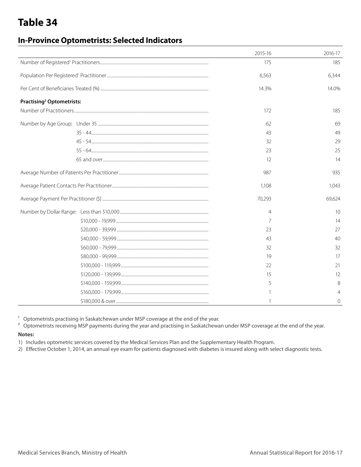### **In-Province Optometrists: Selected Indicators**

|                                             | 2015-16<br>2016-17   |
|---------------------------------------------|----------------------|
|                                             | 175<br>185           |
|                                             | 6,563<br>6,344       |
|                                             | 14.3%<br>14.0%       |
| <b>Practising<sup>2</sup> Optometrists:</b> |                      |
|                                             | 172<br>185           |
|                                             | 69<br>62             |
|                                             | 49<br>43             |
|                                             | 29<br>32             |
|                                             | 25<br>23             |
|                                             | 14<br>12             |
|                                             | 935<br>987           |
|                                             | 1,108<br>1,043       |
|                                             | 70,293<br>69,624     |
|                                             | 10<br>$\overline{4}$ |
|                                             | 7<br>14              |
|                                             | 27<br>23             |
|                                             | 40<br>43             |
|                                             | 32<br>32             |
|                                             | 17<br>19             |
|                                             | 22<br>21             |
|                                             | 15<br>12             |
|                                             | 8<br>5               |
|                                             | $\overline{4}$       |
|                                             | 0                    |

 $1$  Optometrists practising in Saskatchewan under MSP coverage at the end of the year.

<sup>2</sup> Optometrists receiving MSP payments during the year and practising in Saskatchewan under MSP coverage at the end of the year.

#### **Notes:**

1) Includes optometric services covered by the Medical Services Plan and the Supplementary Health Program.

2) Effective October 1, 2014, an annual eye exam for patients diagnosed with diabetes is insured along with select diagnostic tests.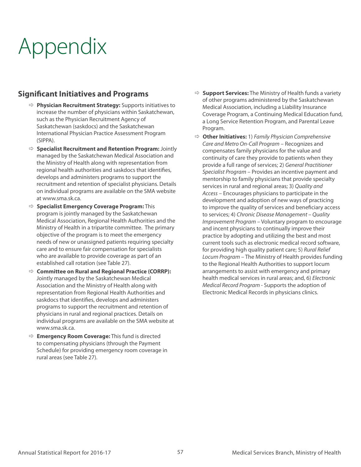# Appendix

### **Significant Initiatives and Programs**

- Ö **Physician Recruitment Strategy:** Supports initiatives to increase the number of physicians within Saskatchewan, such as the Physician Recruitment Agency of Saskatchewan (saskdocs) and the Saskatchewan International Physician Practice Assessment Program (SIPPA).
- Ö **Specialist Recruitment and Retention Program:** Jointly managed by the Saskatchewan Medical Association and the Ministry of Health along with representation from regional health authorities and saskdocs that identifies, develops and administers programs to support the recruitment and retention of specialist physicians. Details on individual programs are available on the SMA website at www.sma.sk.ca.
- Ö **Specialist Emergency Coverage Program:** This program is jointly managed by the Saskatchewan Medical Association, Regional Health Authorities and the Ministry of Health in a tripartite committee. The primary objective of the program is to meet the emergency needs of new or unassigned patients requiring specialty care and to ensure fair compensation for specialists who are available to provide coverage as part of an established call rotation (see Table 27).
- Ö **Committee on Rural and Regional Practice (CORRP):** Jointly managed by the Saskatchewan Medical Association and the Ministry of Health along with representation from Regional Health Authorities and saskdocs that identifies, develops and administers programs to support the recruitment and retention of physicians in rural and regional practices. Details on individual programs are available on the SMA website at www.sma.sk.ca.
- Ö **Emergency Room Coverage:** This fund is directed to compensating physicians (through the Payment Schedule) for providing emergency room coverage in rural areas (see Table 27).
- $\Rightarrow$  **Support Services:** The Ministry of Health funds a variety of other programs administered by the Saskatchewan Medical Association, including a Liability Insurance Coverage Program, a Continuing Medical Education fund, a Long Service Retention Program, and Parental Leave Program.
- Ö **Other Initiatives:** 1) *Family Physician Comprehensive Care and Metro On-Call Program* – Recognizes and compensates family physicians for the value and continuity of care they provide to patients when they provide a full range of services; 2) *General Practitioner Specialist Program* – Provides an incentive payment and mentorship to family physicians that provide specialty services in rural and regional areas; 3) *Quality and Access* – Encourages physicians to participate in the development and adoption of new ways of practicing to improve the quality of services and beneficiary access to services; 4) *Chronic Disease Management – Quality Improvement Program* – Voluntary program to encourage and incent physicians to continually improve their practice by adopting and utilizing the best and most current tools such as electronic medical record software, for providing high quality patient care; 5) *Rural Relief Locum Program* – The Ministry of Health provides funding to the Regional Health Authorities to support locum arrangements to assist with emergency and primary health medical services in rural areas; and, 6) *Electronic Medical Record Program* - Supports the adoption of Electronic Medical Records in physicians clinics.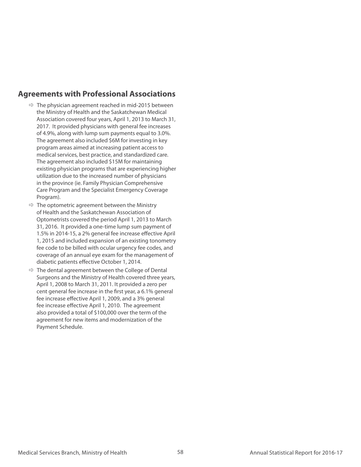#### **Agreements with Professional Associations**

- $\Rightarrow$  The physician agreement reached in mid-2015 between the Ministry of Health and the Saskatchewan Medical Association covered four years, April 1, 2013 to March 31, 2017. It provided physicians with general fee increases of 4.9%, along with lump sum payments equal to 3.0%. The agreement also included \$6M for investing in key program areas aimed at increasing patient access to medical services, best practice, and standardized care. The agreement also included \$15M for maintaining existing physician programs that are experiencing higher utilization due to the increased number of physicians in the province (ie. Family Physician Comprehensive Care Program and the Specialist Emergency Coverage Program).
- $\Rightarrow$  The optometric agreement between the Ministry of Health and the Saskatchewan Association of Optometrists covered the period April 1, 2013 to March 31, 2016. It provided a one-time lump sum payment of 1.5% in 2014-15, a 2% general fee increase effective April 1, 2015 and included expansion of an existing tonometry fee code to be billed with ocular urgency fee codes, and coverage of an annual eye exam for the management of diabetic patients effective October 1, 2014.
- $\Rightarrow$  The dental agreement between the College of Dental Surgeons and the Ministry of Health covered three years, April 1, 2008 to March 31, 2011. It provided a zero per cent general fee increase in the first year, a 6.1% general fee increase effective April 1, 2009, and a 3% general fee increase effective April 1, 2010. The agreement also provided a total of \$100,000 over the term of the agreement for new items and modernization of the Payment Schedule.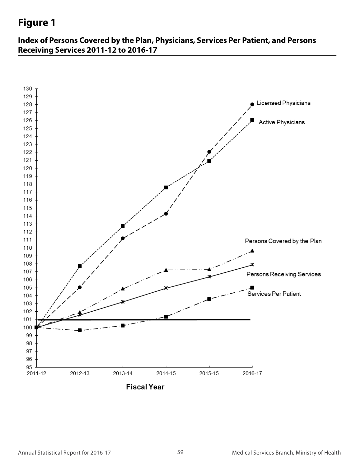#### **Figure 1 Figure 1 Index of Persons Covered by the Plan, Physicians, Physicians, Physicians, Physicians, Physicians, Physicians, Physicians, Physicians, Physicians, Physicians, Physicians, Physicians, Physicians, Physicians, Physicians, Phy**

**Index of Persons Covered by the Plan, Physicians, Services Per Patient, and Persons Services Per Patient, and Persons Receiving Services Receiving Services 2011-12 to 2016-17 2011-12 to 2016-17**

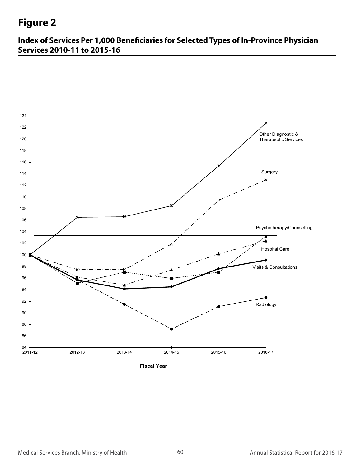# **Figure 2**

**Index of Services Per 1,000 Beneficiaries for Selected Types of In-Province Physician Services 2010-11 to 2015-16**

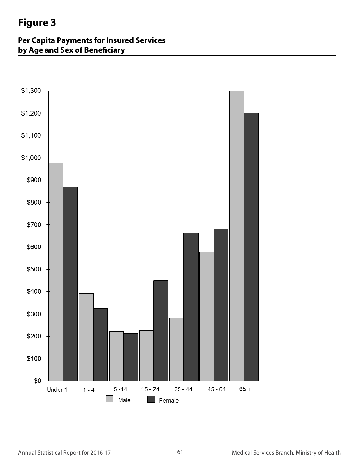# **Figure 3**

**Per Capita Payments for Insured Services Figure 3 <u>by Age and Sex of Beneficiary</u>**